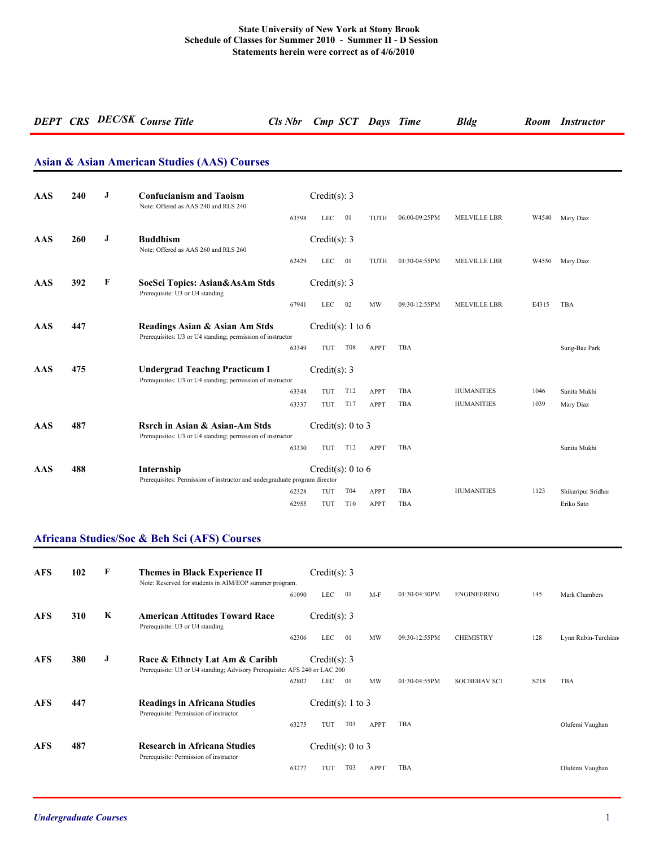# *DEPT CRS DEC/SK Course Title Cls Nbr Cmp SCT Days Time Bldg Room Instructor*

#### **Asian & Asian American Studies (AAS) Courses**

| AAS | 240 | J | <b>Confucianism and Taoism</b><br>Note: Offered as AAS 240 and RLS 240                             |       | Credit(s): $3$        |            |             |               |                     |       |                    |
|-----|-----|---|----------------------------------------------------------------------------------------------------|-------|-----------------------|------------|-------------|---------------|---------------------|-------|--------------------|
|     |     |   |                                                                                                    | 63598 | <b>LEC</b>            | 01         | TUTH        | 06:00-09:25PM | <b>MELVILLE LBR</b> | W4540 | Mary Diaz          |
| AAS | 260 | J | <b>Buddhism</b><br>Note: Offered as AAS 260 and RLS 260                                            |       | Credit(s): 3          |            |             |               |                     |       |                    |
|     |     |   |                                                                                                    | 62429 | <b>LEC</b>            | 01         | TUTH        | 01:30-04:55PM | <b>MELVILLE LBR</b> | W4550 | Mary Diaz          |
| AAS | 392 | F | SocSci Topics: Asian&AsAm Stds<br>Prerequisite: U3 or U4 standing                                  |       | Credit(s): 3          |            |             |               |                     |       |                    |
|     |     |   |                                                                                                    | 67941 | <b>LEC</b>            | 02         | MW          | 09:30-12:55PM | MELVILLE LBR        | E4315 | <b>TBA</b>         |
| AAS | 447 |   | Readings Asian & Asian Am Stds<br>Prerequisites: U3 or U4 standing; permission of instructor       |       | Credit(s): 1 to 6     |            |             |               |                     |       |                    |
|     |     |   |                                                                                                    | 63349 | TUT                   | <b>T08</b> | <b>APPT</b> | TBA           |                     |       | Sung-Bae Park      |
| AAS | 475 |   | <b>Undergrad Teachng Practicum I</b><br>Prerequisites: U3 or U4 standing; permission of instructor |       | Credit(s): 3          |            |             |               |                     |       |                    |
|     |     |   |                                                                                                    | 63348 | TUT                   | T12        | <b>APPT</b> | <b>TBA</b>    | <b>HUMANITIES</b>   | 1046  | Sunita Mukhi       |
|     |     |   |                                                                                                    | 63337 | TUT                   | T17        | <b>APPT</b> | TBA           | <b>HUMANITIES</b>   | 1039  | Mary Diaz          |
| AAS | 487 |   | Rsrch in Asian & Asian-Am Stds<br>Prerequisites: U3 or U4 standing; permission of instructor       |       | Credit(s): $0$ to $3$ |            |             |               |                     |       |                    |
|     |     |   |                                                                                                    | 63330 | TUT                   | T12        | <b>APPT</b> | TBA           |                     |       | Sunita Mukhi       |
| AAS | 488 |   | Internship                                                                                         |       | Credit(s): 0 to 6     |            |             |               |                     |       |                    |
|     |     |   | Prerequisites: Permission of instructor and undergraduate program director                         |       |                       |            |             |               |                     |       |                    |
|     |     |   |                                                                                                    | 62328 | TUT                   | T04        | APPT        | <b>TBA</b>    | <b>HUMANITIES</b>   | 1123  | Shikaripur Sridhar |
|     |     |   |                                                                                                    | 62955 | TUT                   | T10        | <b>APPT</b> | TBA           |                     |       | Eriko Sato         |

#### **Africana Studies/Soc & Beh Sci (AFS) Courses**

| <b>AFS</b> | 102 | F | <b>Themes in Black Experience II</b><br>Note: Reserved for students in AIM/EOP summer program.               |       | Credit(s): $3$        |                  |             |               |                     |      |                     |
|------------|-----|---|--------------------------------------------------------------------------------------------------------------|-------|-----------------------|------------------|-------------|---------------|---------------------|------|---------------------|
|            |     |   |                                                                                                              | 61090 | <b>LEC</b>            | 01               | $M-F$       | 01:30-04:30PM | <b>ENGINEERING</b>  | 145  | Mark Chambers       |
| <b>AFS</b> | 310 | K | <b>American Attitudes Toward Race</b><br>Prerequisite: U3 or U4 standing                                     |       | Credit(s): $3$        |                  |             |               |                     |      |                     |
|            |     |   |                                                                                                              | 62306 | <b>LEC</b>            | 01               | MW          | 09:30-12:55PM | <b>CHEMISTRY</b>    | 128  | Lynn Rubin-Turchian |
| <b>AFS</b> | 380 | J | Race & Ethncty Lat Am & Caribb<br>Prerequisite: U3 or U4 standing; Advisory Prerequisite: AFS 240 or LAC 200 |       | Credit(s): $3$        |                  |             |               |                     |      |                     |
|            |     |   |                                                                                                              | 62802 | <b>LEC</b>            | 01               | MW          | 01:30-04:55PM | <b>SOCBEHAV SCI</b> | S218 | TBA                 |
| <b>AFS</b> | 447 |   | <b>Readings in Africana Studies</b><br>Prerequisite: Permission of instructor                                |       | Credit(s): $1$ to $3$ |                  |             |               |                     |      |                     |
|            |     |   |                                                                                                              | 63275 | TUT                   | T03              | <b>APPT</b> | TBA           |                     |      | Olufemi Vaughan     |
| <b>AFS</b> | 487 |   | <b>Research in Africana Studies</b><br>Prerequisite: Permission of instructor                                |       | Credit(s): $0$ to $3$ |                  |             |               |                     |      |                     |
|            |     |   |                                                                                                              | 63277 | TUT                   | T <sub>0</sub> 3 | APPT        | TBA           |                     |      | Olufemi Vaughan     |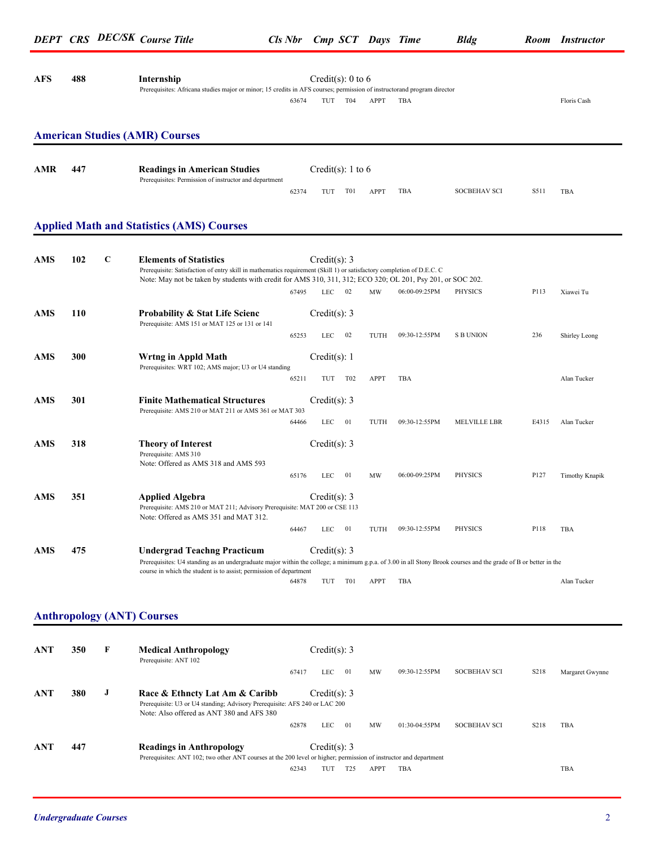|            |     |             | <b>DEPT CRS DEC/SK Course Title</b>                                                                                                                                                                                                                                   | Cls Nbr Cmp SCT Days Time |                          |         |      |               | <b>Bldg</b>         |      | Room Instructor |
|------------|-----|-------------|-----------------------------------------------------------------------------------------------------------------------------------------------------------------------------------------------------------------------------------------------------------------------|---------------------------|--------------------------|---------|------|---------------|---------------------|------|-----------------|
| <b>AFS</b> | 488 |             | Internship<br>Prerequisites: Africana studies major or minor; 15 credits in AFS courses; permission of instructorand program director                                                                                                                                 | 63674                     | Credit(s): 0 to 6<br>TUT | T04     | APPT | TBA           |                     |      | Floris Cash     |
|            |     |             | <b>American Studies (AMR) Courses</b>                                                                                                                                                                                                                                 |                           |                          |         |      |               |                     |      |                 |
| <b>AMR</b> | 447 |             | <b>Readings in American Studies</b><br>Prerequisites: Permission of instructor and department                                                                                                                                                                         |                           | Credit(s): 1 to 6        |         |      |               |                     |      |                 |
|            |     |             |                                                                                                                                                                                                                                                                       | 62374                     | TUT                      | T01     | APPT | TBA           | <b>SOCBEHAV SCI</b> | S511 | TBA             |
|            |     |             | <b>Applied Math and Statistics (AMS) Courses</b>                                                                                                                                                                                                                      |                           |                          |         |      |               |                     |      |                 |
| <b>AMS</b> | 102 | $\mathbf C$ | <b>Elements of Statistics</b><br>Prerequisite: Satisfaction of entry skill in mathematics requirement (Skill 1) or satisfactory completion of D.E.C. C<br>Note: May not be taken by students with credit for AMS 310, 311, 312; ECO 320; OL 201, Psy 201, or SOC 202. |                           | Credit(s): $3$           |         |      |               |                     |      |                 |
|            |     |             |                                                                                                                                                                                                                                                                       | 67495                     | <b>LEC</b>               | 02      | MW   | 06:00-09:25PM | PHYSICS             | P113 | Xiawei Tu       |
| <b>AMS</b> | 110 |             | <b>Probability &amp; Stat Life Scienc</b><br>Prerequisite: AMS 151 or MAT 125 or 131 or 141                                                                                                                                                                           |                           | Credit(s): $3$           |         |      |               |                     |      |                 |
|            |     |             |                                                                                                                                                                                                                                                                       | 65253                     | <b>LEC</b>               | 02      | TUTH | 09:30-12:55PM | <b>S B UNION</b>    | 236  | Shirley Leong   |
| <b>AMS</b> | 300 |             | Wrtng in Appld Math<br>Prerequisites: WRT 102; AMS major; U3 or U4 standing                                                                                                                                                                                           |                           | Credit $(s)$ : 1         |         |      |               |                     |      |                 |
|            |     |             |                                                                                                                                                                                                                                                                       | 65211                     |                          | TUT T02 | APPT | TBA           |                     |      | Alan Tucker     |

**AMS 301 Finite Mathematical Structures** Credit(s): 3 Prerequisite: AMS 210 or MAT 211 or AMS 361 or MAT 303 64466 LEC 01 TUTH 09:30-12:55PM MELVILLE LBR E4315 Alan Tucker **AMS 318 Theory of Interest** Credit(s): 3 Prerequisite: AMS 310 Note: Offered as AMS 318 and AMS 593 65176 LEC 01 MW 06:00-09:25PM PHYSICS P127 Timothy Knapik **AMS 351 Applied Algebra** Credit(s): 3 Prerequisite: AMS 210 or MAT 211; Advisory Prerequisite: MAT 200 or CSE 113 Note: Offered as AMS 351 and MAT 312. 64467 LEC 01 TUTH 09:30-12:55PM PHYSICS P118 TBA **AMS 475 Undergrad Teachng Practicum** Credit(s): 3

> Prerequisites: U4 standing as an undergraduate major within the college; a minimum g.p.a. of 3.00 in all Stony Brook courses and the grade of B or better in the course in which the student is to assist; permission of department

### 64878 TUT T01 APPT TBA Alan Tucker

#### **Anthropology (ANT) Courses**

| <b>ANT</b> | 350 | F | <b>Medical Anthropology</b><br>Prerequisite: ANT 102                                                                                                      | Credit(s): 3 |                 |             |               |                     |                   |                 |
|------------|-----|---|-----------------------------------------------------------------------------------------------------------------------------------------------------------|--------------|-----------------|-------------|---------------|---------------------|-------------------|-----------------|
|            |     |   | 67417                                                                                                                                                     | LEC          | -01             | MW          | 09:30-12:55PM | <b>SOCBEHAV SCI</b> | S <sub>2</sub> 18 | Margaret Gwynne |
| ANT        | 380 | J | Race & Ethncty Lat Am & Caribb<br>Prerequisite: U3 or U4 standing; Advisory Prerequisite: AFS 240 or LAC 200<br>Note: Also offered as ANT 380 and AFS 380 | Credit(s): 3 |                 |             |               |                     |                   |                 |
|            |     |   |                                                                                                                                                           | 62878<br>LEC | 01              | MW          | 01:30-04:55PM | SOCBEHAV SCI        | S <sub>2</sub> 18 | <b>TBA</b>      |
| <b>ANT</b> | 447 |   | <b>Readings in Anthropology</b><br>Prerequisites: ANT 102; two other ANT courses at the 200 level or higher; permission of instructor and department      | Credit(s): 3 |                 |             |               |                     |                   |                 |
|            |     |   | 62343                                                                                                                                                     | TUT          | T <sub>25</sub> | <b>APPT</b> | TBA           |                     |                   | TBA             |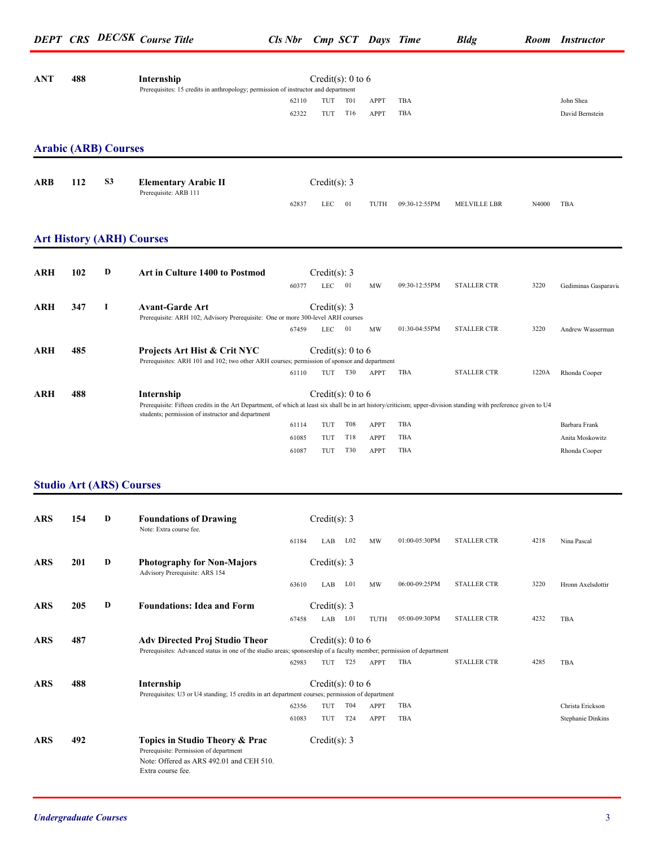| <b>ANT</b> | 488                         |                | Internship<br>Prerequisites: 15 credits in anthropology; permission of instructor and department                                                                  |       | Credit(s): 0 to 6     |                 |             |               |                    |       |                          |
|------------|-----------------------------|----------------|-------------------------------------------------------------------------------------------------------------------------------------------------------------------|-------|-----------------------|-----------------|-------------|---------------|--------------------|-------|--------------------------|
|            |                             |                |                                                                                                                                                                   | 62110 | TUT                   | T01             | <b>APPT</b> | TBA           |                    |       | John Shea                |
|            |                             |                |                                                                                                                                                                   | 62322 | TUT                   | T16             | <b>APPT</b> | TBA           |                    |       | David Bernstein          |
|            | <b>Arabic (ARB) Courses</b> |                |                                                                                                                                                                   |       |                       |                 |             |               |                    |       |                          |
| ARB        | 112                         | S <sub>3</sub> | <b>Elementary Arabic II</b>                                                                                                                                       |       | Credit(s): $3$        |                 |             |               |                    |       |                          |
|            |                             |                | Prerequisite: ARB 111                                                                                                                                             | 62837 | LEC                   | 01              | TUTH        | 09:30-12:55PM | MELVILLE LBR       | N4000 | TBA                      |
|            |                             |                | <b>Art History (ARH) Courses</b>                                                                                                                                  |       |                       |                 |             |               |                    |       |                          |
|            |                             |                |                                                                                                                                                                   |       |                       |                 |             |               |                    |       |                          |
| ARH        | 102                         | D              | <b>Art in Culture 1400 to Postmod</b>                                                                                                                             |       | Credit(s): 3          |                 |             |               |                    |       |                          |
|            |                             |                |                                                                                                                                                                   | 60377 | <b>LEC</b>            | 01              | MW          | 09:30-12:55PM | <b>STALLER CTR</b> | 3220  | Gediminas Gasparavio     |
| ARH        | 347                         | 1              | <b>Avant-Garde Art</b>                                                                                                                                            |       | Credit $(s)$ : 3      |                 |             |               |                    |       |                          |
|            |                             |                | Prerequisite: ARH 102; Advisory Prerequisite: One or more 300-level ARH courses                                                                                   |       |                       |                 |             |               |                    |       |                          |
|            |                             |                |                                                                                                                                                                   | 67459 | LEC                   | 01              | MW          | 01:30-04:55PM | <b>STALLER CTR</b> | 3220  | Andrew Wasserman         |
| ARH        | 485                         |                | <b>Projects Art Hist &amp; Crit NYC</b>                                                                                                                           |       | Credit(s): 0 to 6     |                 |             |               |                    |       |                          |
|            |                             |                | Prerequisites: ARH 101 and 102; two other ARH courses; permission of sponsor and department                                                                       |       |                       |                 |             |               |                    |       |                          |
|            |                             |                |                                                                                                                                                                   | 61110 |                       | TUT T30         | APPT        | TBA           | <b>STALLER CTR</b> | 1220A | Rhonda Cooper            |
| <b>ARH</b> | 488                         |                | Internship                                                                                                                                                        |       | Credit(s): $0$ to $6$ |                 |             |               |                    |       |                          |
|            |                             |                | Prerequisite: Fifteen credits in the Art Department, of which at least six shall be in art history/criticism; upper-division standing with preference given to U4 |       |                       |                 |             |               |                    |       |                          |
|            |                             |                | students; permission of instructor and department                                                                                                                 |       |                       |                 |             |               |                    |       |                          |
|            |                             |                |                                                                                                                                                                   | 61114 | TUT                   | <b>T08</b>      | <b>APPT</b> | TBA           |                    |       | Barbara Frank            |
|            |                             |                |                                                                                                                                                                   | 61085 | TUT                   | T18             | <b>APPT</b> | TBA<br>TBA    |                    |       | Anita Moskowitz          |
|            |                             |                |                                                                                                                                                                   | 61087 | TUT                   | <b>T30</b>      | <b>APPT</b> |               |                    |       | Rhonda Cooper            |
|            |                             |                |                                                                                                                                                                   |       |                       |                 |             |               |                    |       |                          |
|            |                             |                | <b>Studio Art (ARS) Courses</b>                                                                                                                                   |       |                       |                 |             |               |                    |       |                          |
| <b>ARS</b> | 154                         | D              | <b>Foundations of Drawing</b>                                                                                                                                     |       | Credit(s): 3          |                 |             |               |                    |       |                          |
|            |                             |                | Note: Extra course fee.                                                                                                                                           |       |                       |                 |             |               |                    |       |                          |
|            |                             |                |                                                                                                                                                                   | 61184 | LAB                   | $L_{02}$        | MW          | 01:00-05:30PM | <b>STALLER CTR</b> | 4218  | Nina Pascal              |
| <b>ARS</b> | 201                         | D              | <b>Photography for Non-Majors</b><br>Advisory Prerequisite: ARS 154                                                                                               |       | Credit(s): 3          |                 |             |               |                    |       |                          |
|            |                             |                |                                                                                                                                                                   | 63610 | LAB                   | L01             | MW          | 06:00-09:25PM | <b>STALLER CTR</b> | 3220  | Hronn Axelsdottir        |
|            |                             |                |                                                                                                                                                                   |       |                       |                 |             |               |                    |       |                          |
| <b>ARS</b> | 205                         | D              | <b>Foundations: Idea and Form</b>                                                                                                                                 | 67458 | Credit(s): $3$<br>LAB | L01             | TUTH        | 05:00-09:30PM | <b>STALLER CTR</b> | 4232  | TBA                      |
| <b>ARS</b> | 487                         |                | <b>Adv Directed Proj Studio Theor</b>                                                                                                                             |       | Credit(s): $0$ to $6$ |                 |             |               |                    |       |                          |
|            |                             |                | Prerequisites: Advanced status in one of the studio areas; sponsorship of a faculty member; permission of department                                              |       |                       |                 |             |               |                    |       |                          |
|            |                             |                |                                                                                                                                                                   | 62983 |                       | TUT T25         | APPT        | TBA           | <b>STALLER CTR</b> | 4285  | TBA                      |
| <b>ARS</b> | 488                         |                | Internship                                                                                                                                                        |       | Credit(s): 0 to 6     |                 |             |               |                    |       |                          |
|            |                             |                | Prerequisites: U3 or U4 standing; 15 credits in art department courses; permission of department                                                                  |       |                       |                 |             |               |                    |       |                          |
|            |                             |                |                                                                                                                                                                   | 62356 | TUT                   | T04             | <b>APPT</b> | TBA           |                    |       | Christa Erickson         |
|            |                             |                |                                                                                                                                                                   | 61083 | TUT                   | T <sub>24</sub> | <b>APPT</b> | TBA           |                    |       | <b>Stephanie Dinkins</b> |
| <b>ARS</b> | 492                         |                | Topics in Studio Theory & Prac                                                                                                                                    |       | Credit(s): $3$        |                 |             |               |                    |       |                          |
|            |                             |                | Prerequisite: Permission of department<br>Note: Offered as ARS 492.01 and CEH 510.<br>Extra course fee.                                                           |       |                       |                 |             |               |                    |       |                          |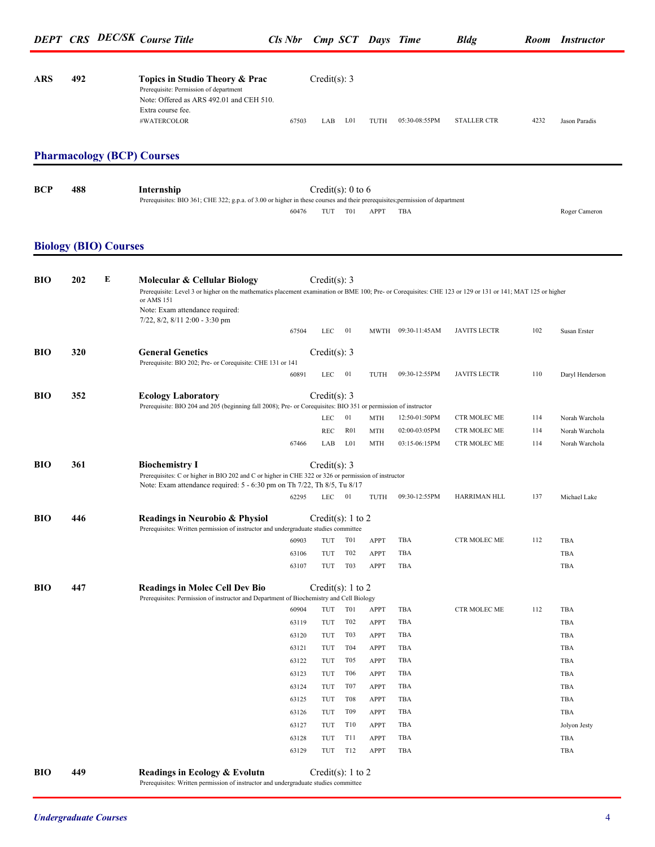| ARS | 492 | Topics in Studio Theory & Prac                                                     |       | Credit(s): 3 |                  |      |               |             |      |               |
|-----|-----|------------------------------------------------------------------------------------|-------|--------------|------------------|------|---------------|-------------|------|---------------|
|     |     | Prerequisite: Permission of department<br>Note: Offered as ARS 492.01 and CEH 510. |       |              |                  |      |               |             |      |               |
|     |     | Extra course fee.                                                                  |       |              |                  |      |               |             |      |               |
|     |     | #WATERCOLOR                                                                        | 67503 | LAB          | L <sub>0</sub> 1 | TUTH | 05:30-08:55PM | STALLER CTR | 4232 | Jason Paradis |
|     |     |                                                                                    |       |              |                  |      |               |             |      |               |

### **Pharmacology (BCP) Courses**

| <b>BCP</b> | 488 | Internship                                                                                                                   |       | Credit(s): 0 to 6 |                  |               |
|------------|-----|------------------------------------------------------------------------------------------------------------------------------|-------|-------------------|------------------|---------------|
|            |     | Prerequisites: BIO 361; CHE 322; g.p.a. of 3.00 or higher in these courses and their prerequisites; permission of department |       |                   |                  |               |
|            |     |                                                                                                                              | 60476 |                   | TUT T01 APPT TBA | Roger Cameron |

#### **Biology (BIO) Courses**

| BIO        | 202 | E | Molecular & Cellular Biology                                                                                                                                             |       | Credit(s): $3$        |                  |             |                    |                     |     |                 |
|------------|-----|---|--------------------------------------------------------------------------------------------------------------------------------------------------------------------------|-------|-----------------------|------------------|-------------|--------------------|---------------------|-----|-----------------|
|            |     |   | Prerequisite: Level 3 or higher on the mathematics placement examination or BME 100; Pre- or Corequisites: CHE 123 or 129 or 131 or 141; MAT 125 or higher<br>or AMS 151 |       |                       |                  |             |                    |                     |     |                 |
|            |     |   | Note: Exam attendance required:                                                                                                                                          |       |                       |                  |             |                    |                     |     |                 |
|            |     |   | 7/22, 8/2, 8/11 2:00 - 3:30 pm                                                                                                                                           |       |                       |                  |             |                    |                     |     |                 |
|            |     |   |                                                                                                                                                                          | 67504 | LEC                   | -01              |             | MWTH 09:30-11:45AM | <b>JAVITS LECTR</b> | 102 | Susan Erster    |
| BIO        | 320 |   | <b>General Genetics</b>                                                                                                                                                  |       | Credit(s): 3          |                  |             |                    |                     |     |                 |
|            |     |   | Prerequisite: BIO 202; Pre- or Corequisite: CHE 131 or 141                                                                                                               |       |                       |                  |             |                    |                     |     |                 |
|            |     |   |                                                                                                                                                                          | 60891 | LEC                   | 01               | TUTH        | 09:30-12:55PM      | <b>JAVITS LECTR</b> | 110 | Daryl Henderson |
| BIO        | 352 |   | <b>Ecology Laboratory</b>                                                                                                                                                |       | Credit(s): $3$        |                  |             |                    |                     |     |                 |
|            |     |   | Prerequisite: BIO 204 and 205 (beginning fall 2008); Pre- or Corequisites: BIO 351 or permission of instructor                                                           |       |                       |                  |             |                    |                     |     |                 |
|            |     |   |                                                                                                                                                                          |       | <b>LEC</b>            | 01               | MTH         | 12:50-01:50PM      | CTR MOLEC ME        | 114 | Norah Warchola  |
|            |     |   |                                                                                                                                                                          |       | <b>REC</b>            | R <sub>01</sub>  | <b>MTH</b>  | 02:00-03:05PM      | CTR MOLEC ME        | 114 | Norah Warchola  |
|            |     |   |                                                                                                                                                                          | 67466 | LAB                   | L <sub>01</sub>  | <b>MTH</b>  | 03:15-06:15PM      | CTR MOLEC ME        | 114 | Norah Warchola  |
| <b>BIO</b> | 361 |   |                                                                                                                                                                          |       | Credit(s): 3          |                  |             |                    |                     |     |                 |
|            |     |   | <b>Biochemistry I</b><br>Prerequisites: C or higher in BIO 202 and C or higher in CHE 322 or 326 or permission of instructor                                             |       |                       |                  |             |                    |                     |     |                 |
|            |     |   | Note: Exam attendance required: 5 - 6:30 pm on Th 7/22, Th 8/5, Tu 8/17                                                                                                  |       |                       |                  |             |                    |                     |     |                 |
|            |     |   |                                                                                                                                                                          | 62295 | LEC                   | 01               | TUTH        | 09:30-12:55PM      | HARRIMAN HLL        | 137 | Michael Lake    |
| BIO        | 446 |   |                                                                                                                                                                          |       |                       |                  |             |                    |                     |     |                 |
|            |     |   | Readings in Neurobio & Physiol<br>Prerequisites: Written permission of instructor and undergraduate studies committee                                                    |       | Credit(s): 1 to 2     |                  |             |                    |                     |     |                 |
|            |     |   |                                                                                                                                                                          | 60903 | TUT                   | T01              | <b>APPT</b> | TBA                | CTR MOLEC ME        | 112 | TBA             |
|            |     |   |                                                                                                                                                                          | 63106 | TUT                   | T <sub>02</sub>  | <b>APPT</b> | TBA                |                     |     | TBA             |
|            |     |   |                                                                                                                                                                          | 63107 | TUT                   | T <sub>0</sub> 3 | APPT        | TBA                |                     |     | TBA             |
| <b>BIO</b> | 447 |   |                                                                                                                                                                          |       | Credit(s): $1$ to $2$ |                  |             |                    |                     |     |                 |
|            |     |   | <b>Readings in Molec Cell Dev Bio</b><br>Prerequisites: Permission of instructor and Department of Biochemistry and Cell Biology                                         |       |                       |                  |             |                    |                     |     |                 |
|            |     |   |                                                                                                                                                                          | 60904 | TUT                   | T <sub>0</sub> 1 | <b>APPT</b> | TBA                | CTR MOLEC ME        | 112 | TBA             |
|            |     |   |                                                                                                                                                                          | 63119 | TUT                   | T <sub>02</sub>  | <b>APPT</b> | TBA                |                     |     | TBA             |
|            |     |   |                                                                                                                                                                          | 63120 | TUT                   | T03              | <b>APPT</b> | TBA                |                     |     | TBA             |
|            |     |   |                                                                                                                                                                          | 63121 | TUT                   | T04              | <b>APPT</b> | TBA                |                     |     | TBA             |
|            |     |   |                                                                                                                                                                          | 63122 | TUT                   | T <sub>05</sub>  | <b>APPT</b> | <b>TBA</b>         |                     |     | TBA             |
|            |     |   |                                                                                                                                                                          | 63123 | TUT                   | <b>T06</b>       | <b>APPT</b> | <b>TBA</b>         |                     |     | TBA             |
|            |     |   |                                                                                                                                                                          | 63124 | TUT                   | T <sub>07</sub>  | <b>APPT</b> | TBA                |                     |     | TBA             |
|            |     |   |                                                                                                                                                                          | 63125 | TUT                   | <b>T08</b>       | <b>APPT</b> | TBA                |                     |     | TBA             |
|            |     |   |                                                                                                                                                                          | 63126 | TUT                   | T <sub>09</sub>  | <b>APPT</b> | TBA                |                     |     | TBA             |
|            |     |   |                                                                                                                                                                          | 63127 | TUT                   | T10              | <b>APPT</b> | TBA                |                     |     | Jolyon Jesty    |
|            |     |   |                                                                                                                                                                          | 63128 | TUT                   | T <sub>1</sub>   | <b>APPT</b> | TBA                |                     |     | TBA             |
|            |     |   |                                                                                                                                                                          | 63129 | TUT                   | T12              | <b>APPT</b> | TBA                |                     |     | TBA             |
| BIO        | 449 |   | Readings in Ecology & Evolutn                                                                                                                                            |       | Credit(s): 1 to 2     |                  |             |                    |                     |     |                 |
|            |     |   | Prerequisites: Written permission of instructor and undergraduate studies committee                                                                                      |       |                       |                  |             |                    |                     |     |                 |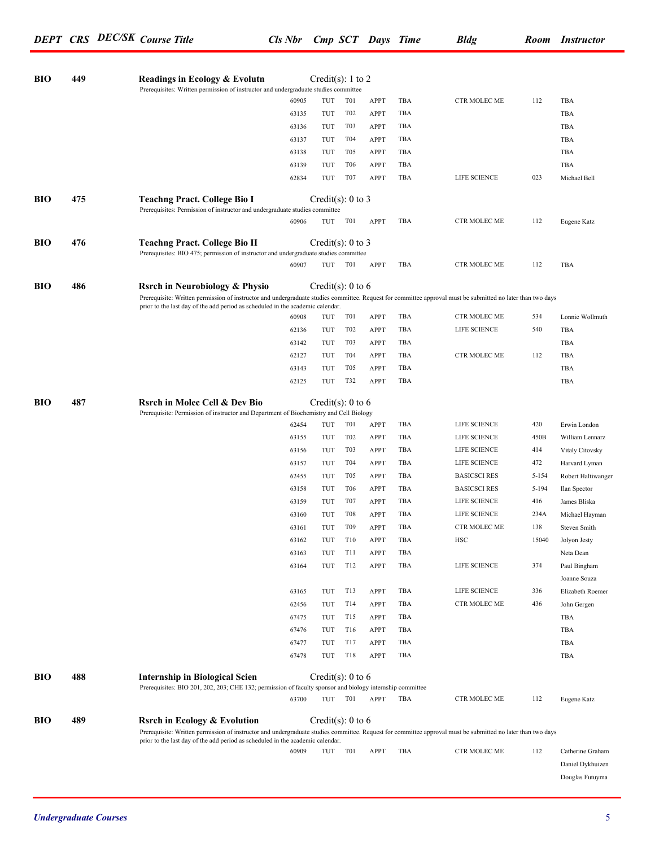| BIO        | 449 | Readings in Ecology & Evolutn                                                                                                                                                                                                                                                              |                | Credit(s): 1 to 2     |                  |                     |            |                     |           |                                     |
|------------|-----|--------------------------------------------------------------------------------------------------------------------------------------------------------------------------------------------------------------------------------------------------------------------------------------------|----------------|-----------------------|------------------|---------------------|------------|---------------------|-----------|-------------------------------------|
|            |     | Prerequisites: Written permission of instructor and undergraduate studies committee                                                                                                                                                                                                        | 60905          | TUT                   | T <sub>0</sub> 1 | <b>APPT</b>         | TBA        | CTR MOLEC ME        | 112       | TBA                                 |
|            |     |                                                                                                                                                                                                                                                                                            | 63135          | TUT                   | T <sub>0</sub> 2 | <b>APPT</b>         | TBA        |                     |           | TBA                                 |
|            |     |                                                                                                                                                                                                                                                                                            | 63136          | TUT                   | T <sub>0</sub> 3 | <b>APPT</b>         | TBA        |                     |           | TBA                                 |
|            |     |                                                                                                                                                                                                                                                                                            | 63137          | TUT                   | T04              | APPT                | TBA        |                     |           | TBA                                 |
|            |     |                                                                                                                                                                                                                                                                                            | 63138          | TUT                   | T <sub>05</sub>  | <b>APPT</b>         | TBA        |                     |           | TBA                                 |
|            |     |                                                                                                                                                                                                                                                                                            | 63139          | TUT                   | T <sub>06</sub>  | APPT                | TBA        |                     |           | TBA                                 |
|            |     |                                                                                                                                                                                                                                                                                            | 62834          | TUT                   | T <sub>07</sub>  | <b>APPT</b>         | TBA        | LIFE SCIENCE        | 023       | Michael Bell                        |
|            |     |                                                                                                                                                                                                                                                                                            |                |                       |                  |                     |            |                     |           |                                     |
| <b>BIO</b> | 475 | <b>Teachng Pract. College Bio I</b><br>Prerequisites: Permission of instructor and undergraduate studies committee                                                                                                                                                                         |                | Credit(s): 0 to 3     |                  |                     |            |                     |           |                                     |
|            |     |                                                                                                                                                                                                                                                                                            | 60906          | TUT                   | <b>T01</b>       | APPT                | TBA        | CTR MOLEC ME        | 112       | Eugene Katz                         |
| <b>BIO</b> | 476 | <b>Teachng Pract. College Bio II</b><br>Prerequisites: BIO 475; permission of instructor and undergraduate studies committee                                                                                                                                                               |                | Credit(s): 0 to 3     |                  |                     |            |                     |           |                                     |
|            |     |                                                                                                                                                                                                                                                                                            | 60907          | TUT                   | T01              | <b>APPT</b>         | TBA        | CTR MOLEC ME        | 112       | TBA                                 |
| <b>BIO</b> | 486 | <b>Rsrch in Neurobiology &amp; Physio</b><br>Prerequisite: Written permission of instructor and undergraduate studies committee. Request for committee approval must be submitted no later than two days<br>prior to the last day of the add period as scheduled in the academic calendar. |                | Credit(s): $0$ to $6$ |                  |                     |            |                     |           |                                     |
|            |     |                                                                                                                                                                                                                                                                                            | 60908          | TUT                   | T01              | <b>APPT</b>         | TBA        | CTR MOLEC ME        | 534       | Lonnie Wollmuth                     |
|            |     |                                                                                                                                                                                                                                                                                            | 62136          | TUT                   | T <sub>02</sub>  | APPT                | TBA        | LIFE SCIENCE        | 540       | TBA                                 |
|            |     |                                                                                                                                                                                                                                                                                            | 63142          | TUT                   | T03              | APPT                | TBA        |                     |           | TBA                                 |
|            |     |                                                                                                                                                                                                                                                                                            | 62127          | TUT                   | T <sub>04</sub>  | APPT                | TBA        | CTR MOLEC ME        | 112       | TBA                                 |
|            |     |                                                                                                                                                                                                                                                                                            | 63143          | TUT                   | T <sub>05</sub>  | APPT                | TBA        |                     |           | TBA                                 |
|            |     |                                                                                                                                                                                                                                                                                            | 62125          | TUT                   | T32              | <b>APPT</b>         | TBA        |                     |           | TBA                                 |
| BIO        | 487 | <b>Rsrch in Molec Cell &amp; Dev Bio</b><br>Prerequisite: Permission of instructor and Department of Biochemistry and Cell Biology                                                                                                                                                         |                | Credit(s): 0 to 6     |                  |                     |            |                     |           |                                     |
|            |     |                                                                                                                                                                                                                                                                                            | 62454          | TUT                   | T <sub>0</sub> 1 | APPT                | TBA        | LIFE SCIENCE        | 420       | Erwin London                        |
|            |     |                                                                                                                                                                                                                                                                                            | 63155          | TUT                   | T <sub>02</sub>  | APPT                | TBA        | LIFE SCIENCE        | 450B      | William Lennarz                     |
|            |     |                                                                                                                                                                                                                                                                                            | 63156          | TUT                   | T <sub>0</sub> 3 | APPT                | TBA        | LIFE SCIENCE        | 414       | Vitaly Citovsky                     |
|            |     |                                                                                                                                                                                                                                                                                            | 63157          | TUT                   | T <sub>04</sub>  | APPT                | TBA        | LIFE SCIENCE        | 472       | Harvard Lyman                       |
|            |     |                                                                                                                                                                                                                                                                                            | 62455          | TUT                   | T <sub>05</sub>  | APPT                | TBA        | <b>BASICSCI RES</b> | $5 - 154$ | Robert Haltiwanger                  |
|            |     |                                                                                                                                                                                                                                                                                            | 63158          | TUT                   | T <sub>06</sub>  | APPT                | TBA        | <b>BASICSCI RES</b> | 5-194     | Ilan Spector                        |
|            |     |                                                                                                                                                                                                                                                                                            | 63159          | TUT                   | T <sub>07</sub>  | APPT                | TBA        | LIFE SCIENCE        | 416       | James Bliska                        |
|            |     |                                                                                                                                                                                                                                                                                            | 63160          | TUT                   | T <sub>08</sub>  | APPT                | TBA        | LIFE SCIENCE        | 234A      | Michael Hayman                      |
|            |     |                                                                                                                                                                                                                                                                                            | 63161          | TUT                   | T09              | APPT                | TBA        | CTR MOLEC ME        | 138       | Steven Smith                        |
|            |     |                                                                                                                                                                                                                                                                                            | 63162<br>63163 | TUT<br>TUT            | T10<br>T11       | APPT                | TBA<br>TBA | <b>HSC</b>          | 15040     | Jolyon Jesty                        |
|            |     |                                                                                                                                                                                                                                                                                            | 63164          | TUT                   | T12              | APPT<br><b>APPT</b> | TBA        | LIFE SCIENCE        | 374       | Neta Dean<br>Paul Bingham           |
|            |     |                                                                                                                                                                                                                                                                                            |                |                       |                  |                     |            |                     |           | Joanne Souza                        |
|            |     |                                                                                                                                                                                                                                                                                            | 63165          | TUT                   | T13              | <b>APPT</b>         | TBA        | LIFE SCIENCE        | 336       | Elizabeth Roemer                    |
|            |     |                                                                                                                                                                                                                                                                                            | 62456          | TUT                   | T14              | <b>APPT</b>         | TBA        | CTR MOLEC ME        | 436       | John Gergen                         |
|            |     |                                                                                                                                                                                                                                                                                            | 67475          | TUT                   | T15              | <b>APPT</b>         | TBA        |                     |           | TBA                                 |
|            |     |                                                                                                                                                                                                                                                                                            | 67476          | TUT                   | T16              | <b>APPT</b>         | TBA        |                     |           | TBA                                 |
|            |     |                                                                                                                                                                                                                                                                                            | 67477          | TUT                   | T17              | <b>APPT</b>         | TBA        |                     |           | TBA                                 |
|            |     |                                                                                                                                                                                                                                                                                            | 67478          | TUT                   | T18              | <b>APPT</b>         | TBA        |                     |           | TBA                                 |
| BIO        | 488 | <b>Internship in Biological Scien</b><br>Prerequisites: BIO 201, 202, 203; CHE 132; permission of faculty sponsor and biology internship committee                                                                                                                                         |                | Credit(s): 0 to 6     |                  |                     |            |                     |           |                                     |
|            |     |                                                                                                                                                                                                                                                                                            | 63700          |                       | TUT T01          | APPT                | TBA        | CTR MOLEC ME        | 112       | Eugene Katz                         |
| BIO        | 489 | <b>Rsrch in Ecology &amp; Evolution</b>                                                                                                                                                                                                                                                    |                | Credit(s): 0 to 6     |                  |                     |            |                     |           |                                     |
|            |     | Prerequisite: Written permission of instructor and undergraduate studies committee. Request for committee approval must be submitted no later than two days                                                                                                                                |                |                       |                  |                     |            |                     |           |                                     |
|            |     | prior to the last day of the add period as scheduled in the academic calendar.                                                                                                                                                                                                             |                |                       |                  |                     |            |                     |           |                                     |
|            |     |                                                                                                                                                                                                                                                                                            | 60909          | TUT                   | T01              | APPT                | TBA        | CTR MOLEC ME        | 112       | Catherine Graham                    |
|            |     |                                                                                                                                                                                                                                                                                            |                |                       |                  |                     |            |                     |           | Daniel Dykhuizen<br>Douglas Futuyma |
|            |     |                                                                                                                                                                                                                                                                                            |                |                       |                  |                     |            |                     |           |                                     |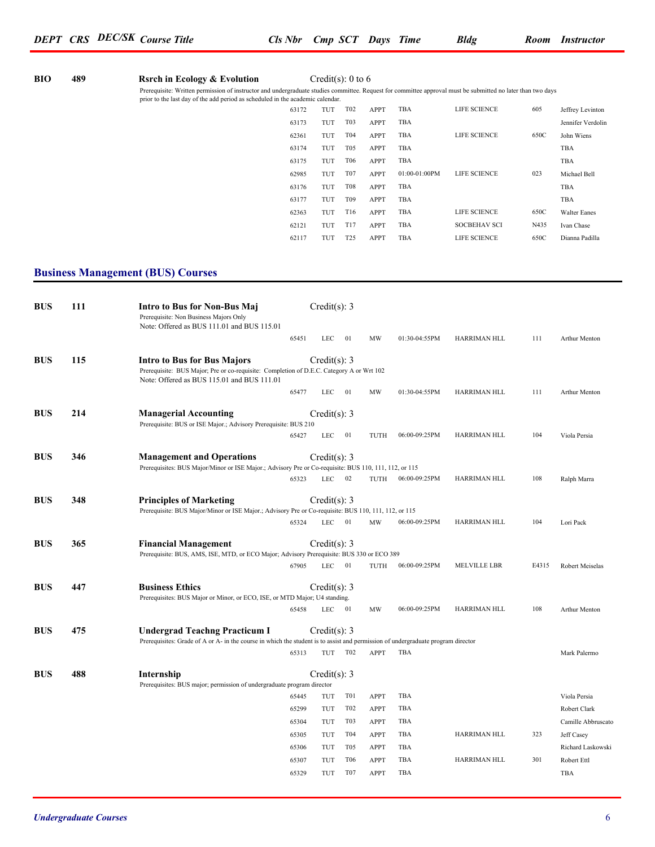| <b>BIO</b> | 489 | <b>Rsrch in Ecology &amp; Evolution</b>                                                                                                                                                                                                       |       |     | Credit(s): 0 to 6 |             |                 |                     |      |                   |
|------------|-----|-----------------------------------------------------------------------------------------------------------------------------------------------------------------------------------------------------------------------------------------------|-------|-----|-------------------|-------------|-----------------|---------------------|------|-------------------|
|            |     | Prerequisite: Written permission of instructor and undergraduate studies committee. Request for committee approval must be submitted no later than two days<br>prior to the last day of the add period as scheduled in the academic calendar. |       |     |                   |             |                 |                     |      |                   |
|            |     |                                                                                                                                                                                                                                               | 63172 | TUT | T <sub>02</sub>   | <b>APPT</b> | TBA             | LIFE SCIENCE        | 605  | Jeffrey Levinton  |
|            |     |                                                                                                                                                                                                                                               | 63173 | TUT | T <sub>0</sub> 3  | <b>APPT</b> | TBA             |                     |      | Jennifer Verdolin |
|            |     |                                                                                                                                                                                                                                               | 62361 | TUT | T04               | <b>APPT</b> | TBA             | LIFE SCIENCE        | 650C | John Wiens        |
|            |     |                                                                                                                                                                                                                                               | 63174 | TUT | T <sub>05</sub>   | <b>APPT</b> | TBA             |                     |      | TBA               |
|            |     |                                                                                                                                                                                                                                               | 63175 | TUT | T06               | <b>APPT</b> | TBA             |                     |      | TBA               |
|            |     |                                                                                                                                                                                                                                               | 62985 | TUT | T07               | <b>APPT</b> | $01:00-01:00PM$ | LIFE SCIENCE        | 023  | Michael Bell      |
|            |     |                                                                                                                                                                                                                                               | 63176 | TUT | <b>T08</b>        | <b>APPT</b> | TBA             |                     |      | TBA               |
|            |     |                                                                                                                                                                                                                                               | 63177 | TUT | T <sub>09</sub>   | <b>APPT</b> | TBA             |                     |      | TBA               |
|            |     |                                                                                                                                                                                                                                               | 62363 | TUT | T <sub>16</sub>   | <b>APPT</b> | TBA             | LIFE SCIENCE        | 650C | Walter Eanes      |
|            |     |                                                                                                                                                                                                                                               | 62121 | TUT | T17               | <b>APPT</b> | TBA             | <b>SOCBEHAV SCI</b> | N435 | Ivan Chase        |
|            |     |                                                                                                                                                                                                                                               | 62117 | TUT | T <sub>25</sub>   | <b>APPT</b> | TBA             | LIFE SCIENCE        | 650C | Dianna Padilla    |

### **Business Management (BUS) Courses**

| <b>BUS</b> | 111 | Intro to Bus for Non-Bus Maj<br>Prerequisite: Non Business Majors Only<br>Note: Offered as BUS 111.01 and BUS 115.01                                                         |       | Credit(s): $3$   |                  |             |               |              |       |                    |
|------------|-----|------------------------------------------------------------------------------------------------------------------------------------------------------------------------------|-------|------------------|------------------|-------------|---------------|--------------|-------|--------------------|
|            |     |                                                                                                                                                                              | 65451 | <b>LEC</b>       | 01               | MW          | 01:30-04:55PM | HARRIMAN HLL | 111   | Arthur Menton      |
| <b>BUS</b> | 115 | <b>Intro to Bus for Bus Majors</b><br>Prerequisite: BUS Major; Pre or co-requisite: Completion of D.E.C. Category A or Wrt 102<br>Note: Offered as BUS 115.01 and BUS 111.01 |       | Credit(s): $3$   |                  |             |               |              |       |                    |
|            |     |                                                                                                                                                                              | 65477 | LEC              | 01               | MW          | 01:30-04:55PM | HARRIMAN HLL | 111   | Arthur Menton      |
| <b>BUS</b> | 214 | <b>Managerial Accounting</b><br>Prerequisite: BUS or ISE Major.; Advisory Prerequisite: BUS 210                                                                              |       | Credit(s): $3$   |                  |             |               |              |       |                    |
|            |     |                                                                                                                                                                              | 65427 | <b>LEC</b>       | 01               | TUTH        | 06:00-09:25PM | HARRIMAN HLL | 104   | Viola Persia       |
| <b>BUS</b> | 346 | <b>Management and Operations</b><br>Prerequisites: BUS Major/Minor or ISE Major.; Advisory Pre or Co-requisite: BUS 110, 111, 112, or 115                                    |       | Credit(s): $3$   |                  |             |               |              |       |                    |
|            |     |                                                                                                                                                                              | 65323 | <b>LEC</b>       | 02               | TUTH        | 06:00-09:25PM | HARRIMAN HLL | 108   | Ralph Marra        |
| <b>BUS</b> | 348 | <b>Principles of Marketing</b><br>Prerequisite: BUS Major/Minor or ISE Major.; Advisory Pre or Co-requisite: BUS 110, 111, 112, or 115                                       |       | Credit $(s)$ : 3 |                  |             |               |              |       |                    |
|            |     |                                                                                                                                                                              | 65324 | <b>LEC</b>       | 01               | MW          | 06:00-09:25PM | HARRIMAN HLL | 104   | Lori Pack          |
| <b>BUS</b> | 365 | <b>Financial Management</b><br>Prerequisite: BUS, AMS, ISE, MTD, or ECO Major; Advisory Prerequisite: BUS 330 or ECO 389                                                     |       | Credit(s): 3     |                  |             |               |              |       |                    |
|            |     |                                                                                                                                                                              | 67905 | <b>LEC</b>       | 01               | TUTH        | 06:00-09:25PM | MELVILLE LBR | E4315 | Robert Meiselas    |
| <b>BUS</b> | 447 | <b>Business Ethics</b><br>Prerequisites: BUS Major or Minor, or ECO, ISE, or MTD Major; U4 standing.                                                                         |       | Credit(s): 3     |                  |             |               |              |       |                    |
|            |     |                                                                                                                                                                              | 65458 | LEC              | 01               | MW          | 06:00-09:25PM | HARRIMAN HLL | 108   | Arthur Menton      |
| <b>BUS</b> | 475 | <b>Undergrad Teachng Practicum I</b><br>Prerequisites: Grade of A or A- in the course in which the student is to assist and permission of undergraduate program director     |       | Credit(s): $3$   |                  |             |               |              |       |                    |
|            |     |                                                                                                                                                                              | 65313 | TUT              | T <sub>02</sub>  | APPT        | TBA           |              |       | Mark Palermo       |
| <b>BUS</b> | 488 | Internship<br>Prerequisites: BUS major; permission of undergraduate program director                                                                                         |       | Credit(s): $3$   |                  |             |               |              |       |                    |
|            |     |                                                                                                                                                                              | 65445 | TUT              | T <sub>0</sub> 1 | APPT        | TBA           |              |       | Viola Persia       |
|            |     |                                                                                                                                                                              | 65299 | TUT              | T <sub>02</sub>  | <b>APPT</b> | TBA           |              |       | Robert Clark       |
|            |     |                                                                                                                                                                              | 65304 | TUT              | T <sub>0</sub> 3 | <b>APPT</b> | TBA           |              |       | Camille Abbruscato |
|            |     |                                                                                                                                                                              | 65305 | TUT              | T04              | APPT        | TBA           | HARRIMAN HLL | 323   | Jeff Casey         |
|            |     |                                                                                                                                                                              | 65306 | TUT              | T <sub>05</sub>  | APPT        | TBA           |              |       | Richard Laskowski  |
|            |     |                                                                                                                                                                              | 65307 | TUT              | <b>T06</b>       | <b>APPT</b> | TBA           | HARRIMAN HLL | 301   | Robert Ettl        |
|            |     |                                                                                                                                                                              | 65329 | TUT              | T <sub>07</sub>  | APPT        | <b>TBA</b>    |              |       | TBA                |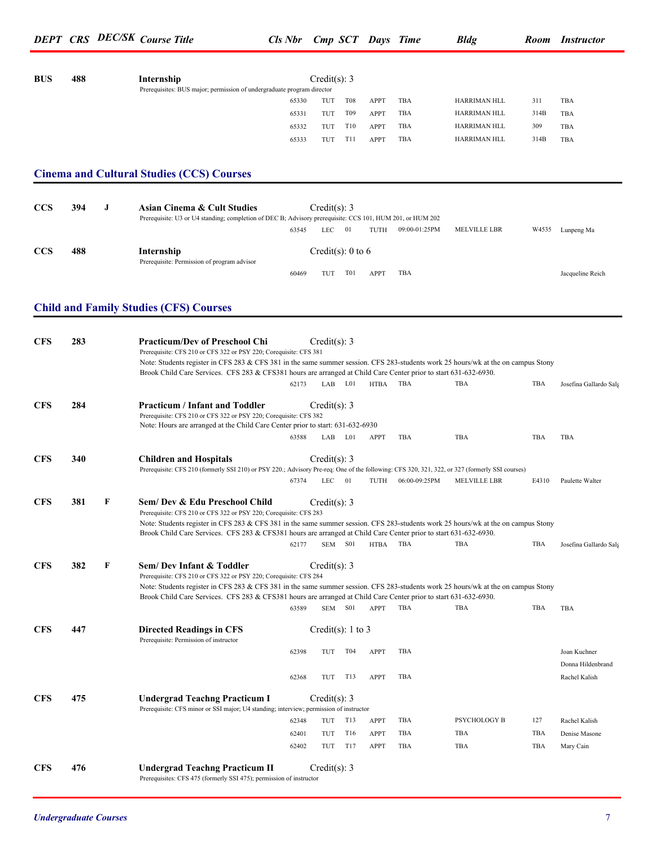| <b>BUS</b> | 488 |   | Internship<br>Prerequisites: BUS major; permission of undergraduate program director                                                                                                                   |                | Credit(s): $3$        |            |              |                    |                              |             |                        |
|------------|-----|---|--------------------------------------------------------------------------------------------------------------------------------------------------------------------------------------------------------|----------------|-----------------------|------------|--------------|--------------------|------------------------------|-------------|------------------------|
|            |     |   |                                                                                                                                                                                                        | 65330          | TUT                   | T08        | <b>APPT</b>  | TBA                | HARRIMAN HLL                 | 311         | TBA                    |
|            |     |   |                                                                                                                                                                                                        | 65331          | TUT                   | T09        | <b>APPT</b>  | TBA                | HARRIMAN HLL                 | 314B        | TBA                    |
|            |     |   |                                                                                                                                                                                                        | 65332<br>65333 | TUT<br>TUT            | T10<br>T11 | APPT<br>APPT | TBA<br>TBA         | HARRIMAN HLL<br>HARRIMAN HLL | 309<br>314B | TBA<br>TBA             |
|            |     |   |                                                                                                                                                                                                        |                |                       |            |              |                    |                              |             |                        |
|            |     |   | <b>Cinema and Cultural Studies (CCS) Courses</b>                                                                                                                                                       |                |                       |            |              |                    |                              |             |                        |
|            |     |   |                                                                                                                                                                                                        |                |                       |            |              |                    |                              |             |                        |
| <b>CCS</b> | 394 | J | <b>Asian Cinema &amp; Cult Studies</b>                                                                                                                                                                 |                | Credit(s): $3$        |            |              |                    |                              |             |                        |
|            |     |   | Prerequisite: U3 or U4 standing; completion of DEC B; Advisory prerequisite: CCS 101, HUM 201, or HUM 202                                                                                              | 63545          | LEC                   | 01         |              | TUTH 09:00-01:25PM | <b>MELVILLE LBR</b>          |             | W4535 Lunpeng Ma       |
| <b>CCS</b> | 488 |   | Internship                                                                                                                                                                                             |                | Credit(s): 0 to 6     |            |              |                    |                              |             |                        |
|            |     |   | Prerequisite: Permission of program advisor                                                                                                                                                            |                |                       |            |              |                    |                              |             |                        |
|            |     |   |                                                                                                                                                                                                        | 60469          | TUT                   | T01        | APPT         | TBA                |                              |             | Jacqueline Reich       |
|            |     |   | <b>Child and Family Studies (CFS) Courses</b>                                                                                                                                                          |                |                       |            |              |                    |                              |             |                        |
|            |     |   |                                                                                                                                                                                                        |                |                       |            |              |                    |                              |             |                        |
| <b>CFS</b> | 283 |   | <b>Practicum/Dev of Preschool Chi</b>                                                                                                                                                                  |                | Credit(s): $3$        |            |              |                    |                              |             |                        |
|            |     |   | Prerequisite: CFS 210 or CFS 322 or PSY 220; Corequisite: CFS 381<br>Note: Students register in CFS 283 & CFS 381 in the same summer session. CFS 283-students work 25 hours/wk at the on campus Stony |                |                       |            |              |                    |                              |             |                        |
|            |     |   | Brook Child Care Services. CFS 283 & CFS381 hours are arranged at Child Care Center prior to start 631-632-6930.                                                                                       |                |                       |            |              |                    |                              |             |                        |
|            |     |   |                                                                                                                                                                                                        | 62173          |                       | LAB L01    | HTBA         | TBA                | <b>TBA</b>                   | TBA         | Josefina Gallardo Salg |
| <b>CFS</b> | 284 |   | <b>Practicum / Infant and Toddler</b>                                                                                                                                                                  |                | Credit(s): $3$        |            |              |                    |                              |             |                        |
|            |     |   | Prerequisite: CFS 210 or CFS 322 or PSY 220; Corequisite: CFS 382<br>Note: Hours are arranged at the Child Care Center prior to start: 631-632-6930                                                    |                |                       |            |              |                    |                              |             |                        |
|            |     |   |                                                                                                                                                                                                        | 63588          |                       | LAB L01    | APPT         | TBA                | <b>TBA</b>                   | TBA         | TBA                    |
| <b>CFS</b> | 340 |   | <b>Children and Hospitals</b>                                                                                                                                                                          |                | Credit(s): $3$        |            |              |                    |                              |             |                        |
|            |     |   | Prerequisite: CFS 210 (formerly SSI 210) or PSY 220.; Advisory Pre-req: One of the following: CFS 320, 321, 322, or 327 (formerly SSI courses)                                                         |                |                       |            |              |                    |                              |             |                        |
|            |     |   |                                                                                                                                                                                                        | 67374          | LEC                   | 01         | TUTH         | 06:00-09:25PM      | MELVILLE LBR                 | E4310       | Paulette Walter        |
| <b>CFS</b> | 381 | F | Sem/ Dev & Edu Preschool Child                                                                                                                                                                         |                | Credit(s): 3          |            |              |                    |                              |             |                        |
|            |     |   | Prerequisite: CFS 210 or CFS 322 or PSY 220; Corequisite: CFS 283<br>Note: Students register in CFS 283 & CFS 381 in the same summer session. CFS 283-students work 25 hours/wk at the on campus Stony |                |                       |            |              |                    |                              |             |                        |
|            |     |   | Brook Child Care Services. CFS 283 & CFS381 hours are arranged at Child Care Center prior to start 631-632-6930.                                                                                       |                |                       |            |              |                    |                              |             |                        |
|            |     |   |                                                                                                                                                                                                        | 62177          |                       | SEM S01    | HTBA         | TBA                | TBA                          | TBA         | Josefina Gallardo Salg |
| <b>CFS</b> | 382 | F | Sem/Dev Infant & Toddler<br>Prerequisite: CFS 210 or CFS 322 or PSY 220; Corequisite: CFS 284                                                                                                          |                | Credit(s): $3$        |            |              |                    |                              |             |                        |
|            |     |   | Note: Students register in CFS 283 & CFS 381 in the same summer session. CFS 283-students work 25 hours/wk at the on campus Stony                                                                      |                |                       |            |              |                    |                              |             |                        |
|            |     |   | Brook Child Care Services. CFS 283 & CFS381 hours are arranged at Child Care Center prior to start 631-632-6930.                                                                                       | 63589          |                       | SEM S01    | APPT         | TBA                | <b>TBA</b>                   | TBA         | TBA                    |
|            |     |   |                                                                                                                                                                                                        |                |                       |            |              |                    |                              |             |                        |
| <b>CFS</b> | 447 |   | <b>Directed Readings in CFS</b><br>Prerequisite: Permission of instructor                                                                                                                              |                | Credit(s): $1$ to $3$ |            |              |                    |                              |             |                        |
|            |     |   |                                                                                                                                                                                                        | 62398          | TUT                   | T04        | <b>APPT</b>  | TBA                |                              |             | Joan Kuchner           |
|            |     |   |                                                                                                                                                                                                        |                |                       |            |              |                    |                              |             | Donna Hildenbrand      |
|            |     |   |                                                                                                                                                                                                        | 62368          | TUT                   | T13        | <b>APPT</b>  | TBA                |                              |             | Rachel Kalish          |
| <b>CFS</b> | 475 |   | <b>Undergrad Teachng Practicum I</b><br>Prerequisite: CFS minor or SSI major; U4 standing; interview; permission of instructor                                                                         |                | Credit(s): $3$        |            |              |                    |                              |             |                        |
|            |     |   |                                                                                                                                                                                                        | 62348          | TUT                   | T13        | <b>APPT</b>  | TBA                | PSYCHOLOGY B                 | 127         | Rachel Kalish          |
|            |     |   |                                                                                                                                                                                                        | 62401          | TUT                   | T16        | <b>APPT</b>  | TBA                | TBA                          | TBA         | Denise Masone          |
|            |     |   |                                                                                                                                                                                                        | 62402          | TUT                   | T17        | <b>APPT</b>  | TBA                | TBA                          | TBA         | Mary Cain              |
| <b>CFS</b> | 476 |   | <b>Undergrad Teachng Practicum II</b>                                                                                                                                                                  |                | Credit(s): $3$        |            |              |                    |                              |             |                        |

Prerequisites: CFS 475 (formerly SSI 475); permission of instructor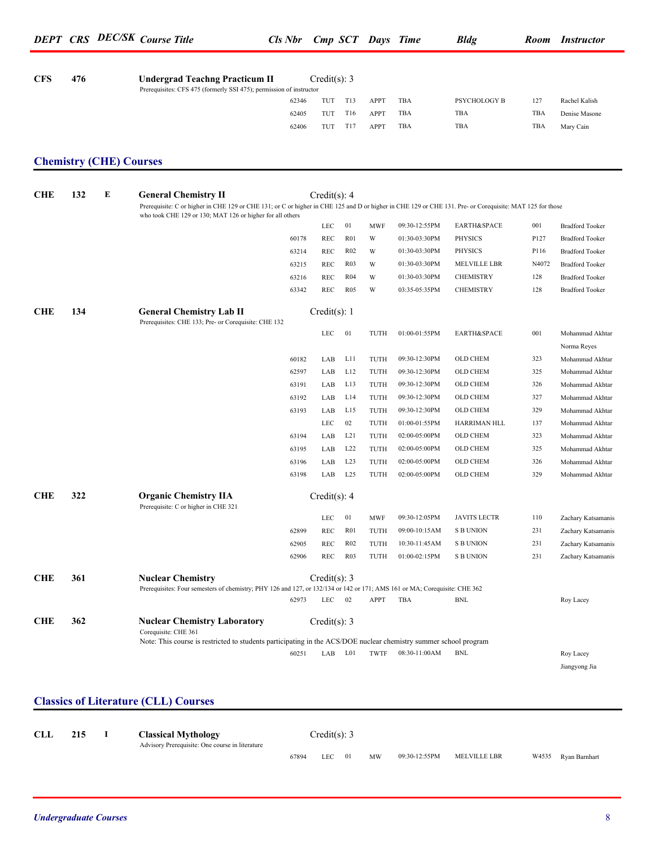| <b>CFS</b> | 476                            |   | <b>Undergrad Teachng Practicum II</b><br>Prerequisites: CFS 475 (formerly SSI 475); permission of instructor                                                                                                          |       | Credit(s): $3$ |                  |             |               |                     |       |                                |
|------------|--------------------------------|---|-----------------------------------------------------------------------------------------------------------------------------------------------------------------------------------------------------------------------|-------|----------------|------------------|-------------|---------------|---------------------|-------|--------------------------------|
|            |                                |   |                                                                                                                                                                                                                       | 62346 | TUT            | T13              | <b>APPT</b> | TBA           | PSYCHOLOGY B        | 127   | Rachel Kalish                  |
|            |                                |   |                                                                                                                                                                                                                       | 62405 | TUT            | T <sub>16</sub>  | <b>APPT</b> | TBA           | TBA                 | TBA   | Denise Masone                  |
|            |                                |   |                                                                                                                                                                                                                       | 62406 | TUT            | T17              | APPT        | TBA           | TBA                 | TBA   | Mary Cain                      |
|            | <b>Chemistry (CHE) Courses</b> |   |                                                                                                                                                                                                                       |       |                |                  |             |               |                     |       |                                |
| <b>CHE</b> | 132                            | E | <b>General Chemistry II</b>                                                                                                                                                                                           |       | Credit(s): $4$ |                  |             |               |                     |       |                                |
|            |                                |   | Prerequisite: C or higher in CHE 129 or CHE 131; or C or higher in CHE 125 and D or higher in CHE 129 or CHE 131. Pre- or Corequisite: MAT 125 for those<br>who took CHE 129 or 130; MAT 126 or higher for all others |       |                |                  |             |               |                     |       |                                |
|            |                                |   |                                                                                                                                                                                                                       |       | LEC            | 01               | <b>MWF</b>  | 09:30-12:55PM | EARTH&SPACE         | 001   | <b>Bradford Tooker</b>         |
|            |                                |   |                                                                                                                                                                                                                       | 60178 | REC            | R <sub>01</sub>  | W           | 01:30-03:30PM | <b>PHYSICS</b>      | P127  | <b>Bradford Tooker</b>         |
|            |                                |   |                                                                                                                                                                                                                       | 63214 | REC            | R <sub>02</sub>  | W           | 01:30-03:30PM | <b>PHYSICS</b>      | P116  | <b>Bradford Tooker</b>         |
|            |                                |   |                                                                                                                                                                                                                       | 63215 | REC            | R <sub>03</sub>  | W           | 01:30-03:30PM | MELVILLE LBR        | N4072 | <b>Bradford Tooker</b>         |
|            |                                |   |                                                                                                                                                                                                                       | 63216 | REC            | R <sub>04</sub>  | W           | 01:30-03:30PM | <b>CHEMISTRY</b>    | 128   | <b>Bradford Tooker</b>         |
|            |                                |   |                                                                                                                                                                                                                       | 63342 | REC            | R <sub>05</sub>  | W           | 03:35-05:35PM | <b>CHEMISTRY</b>    | 128   | <b>Bradford Tooker</b>         |
| <b>CHE</b> | 134                            |   | <b>General Chemistry Lab II</b><br>Prerequisites: CHE 133; Pre- or Corequisite: CHE 132                                                                                                                               |       | Credit(s): $1$ |                  |             |               |                     |       |                                |
|            |                                |   |                                                                                                                                                                                                                       |       | LEC            | 01               | TUTH        | 01:00-01:55PM | EARTH&SPACE         | 001   | Mohammad Akhtar                |
|            |                                |   |                                                                                                                                                                                                                       | 60182 | LAB            | L11              | TUTH        | 09:30-12:30PM | OLD CHEM            | 323   | Norma Reyes<br>Mohammad Akhtar |
|            |                                |   |                                                                                                                                                                                                                       | 62597 | LAB            | L12              | TUTH        | 09:30-12:30PM | OLD CHEM            | 325   | Mohammad Akhtar                |
|            |                                |   |                                                                                                                                                                                                                       | 63191 | LAB            | L13              | TUTH        | 09:30-12:30PM | OLD CHEM            | 326   | Mohammad Akhtar                |
|            |                                |   |                                                                                                                                                                                                                       | 63192 | LAB            | L14              | TUTH        | 09:30-12:30PM | OLD CHEM            | 327   | Mohammad Akhtar                |
|            |                                |   |                                                                                                                                                                                                                       | 63193 | LAB            | L <sub>15</sub>  | TUTH        | 09:30-12:30PM | OLD CHEM            | 329   | Mohammad Akhtar                |
|            |                                |   |                                                                                                                                                                                                                       |       | LEC            | 02               | TUTH        | 01:00-01:55PM | HARRIMAN HLL        | 137   | Mohammad Akhtar                |
|            |                                |   |                                                                                                                                                                                                                       | 63194 | LAB            | L21              | TUTH        | 02:00-05:00PM | OLD CHEM            | 323   | Mohammad Akhtar                |
|            |                                |   |                                                                                                                                                                                                                       | 63195 | LAB            | L22              | TUTH        | 02:00-05:00PM | OLD CHEM            | 325   | Mohammad Akhtar                |
|            |                                |   |                                                                                                                                                                                                                       | 63196 | LAB            | L23              | TUTH        | 02:00-05:00PM | OLD CHEM            | 326   | Mohammad Akhtar                |
|            |                                |   |                                                                                                                                                                                                                       | 63198 | LAB            | L25              | TUTH        | 02:00-05:00PM | OLD CHEM            | 329   | Mohammad Akhtar                |
| <b>CHE</b> | 322                            |   | <b>Organic Chemistry IIA</b><br>Prerequisite: C or higher in CHE 321                                                                                                                                                  |       | Credit(s): $4$ |                  |             |               |                     |       |                                |
|            |                                |   |                                                                                                                                                                                                                       |       | LEC            | 01               | <b>MWF</b>  | 09:30-12:05PM | <b>JAVITS LECTR</b> | 110   | Zachary Katsamanis             |
|            |                                |   |                                                                                                                                                                                                                       | 62899 | REC            | R <sub>01</sub>  | TUTH        | 09:00-10:15AM | <b>S B UNION</b>    | 231   | Zachary Katsamanis             |
|            |                                |   |                                                                                                                                                                                                                       | 62905 | REC            | R02              | TUTH        | 10:30-11:45AM | <b>S B UNION</b>    | 231   | Zachary Katsamanis             |
|            |                                |   |                                                                                                                                                                                                                       | 62906 | REC            | R <sub>0</sub> 3 | TUTH        | 01:00-02:15PM | <b>S B UNION</b>    | 231   | Zachary Katsamanis             |
| <b>CHE</b> | 361                            |   | <b>Nuclear Chemistry</b><br>Prerequisites: Four semesters of chemistry; PHY 126 and 127, or 132/134 or 142 or 171; AMS 161 or MA; Corequisite: CHE 362                                                                |       | Credit(s): 3   |                  |             |               |                     |       |                                |
|            |                                |   |                                                                                                                                                                                                                       | 62973 | $LEC$ 02       |                  | APPT        | TBA           | BNL                 |       | Roy Lacey                      |
| <b>CHE</b> | 362                            |   | <b>Nuclear Chemistry Laboratory</b><br>Corequisite: CHE 361                                                                                                                                                           |       | Credit(s): $3$ |                  |             |               |                     |       |                                |
|            |                                |   | Note: This course is restricted to students participating in the ACS/DOE nuclear chemistry summer school program                                                                                                      |       |                |                  |             |               |                     |       |                                |
|            |                                |   |                                                                                                                                                                                                                       | 60251 | LAB L01        |                  | TWTF        | 08:30-11:00AM | BNL                 |       | Roy Lacey<br>Jiangyong Jia     |

### **Classics of Literature (CLL) Courses**

| <b>CLL</b> | 215 | <b>Classical Mythology</b><br>Advisory Prerequisite: One course in literature |       | Credit(s): 3 |         |    |               |              |                     |
|------------|-----|-------------------------------------------------------------------------------|-------|--------------|---------|----|---------------|--------------|---------------------|
|            |     |                                                                               | 67894 | LEC.         | $_{01}$ | MW | 09:30-12:55PM | MELVILLE LBR | W4535 Ryan Barnhart |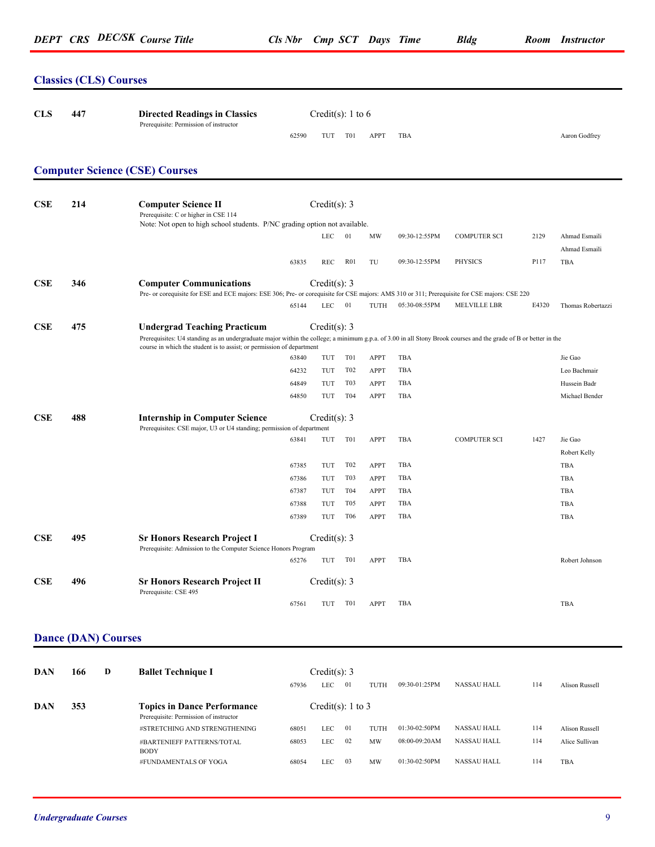### **Classics (CLS) Courses**

| <b>CLS</b> | 447 | <b>Directed Readings in Classics</b><br>Prerequisite: Permission of instructor                                                                                                                                                                                                   |                                  | Credit(s): 1 to 6                        |                                                                 |                                                          |                          |                     |       |                                                           |
|------------|-----|----------------------------------------------------------------------------------------------------------------------------------------------------------------------------------------------------------------------------------------------------------------------------------|----------------------------------|------------------------------------------|-----------------------------------------------------------------|----------------------------------------------------------|--------------------------|---------------------|-------|-----------------------------------------------------------|
|            |     |                                                                                                                                                                                                                                                                                  | 62590                            | TUT                                      | T01                                                             | <b>APPT</b>                                              | TBA                      |                     |       | Aaron Godfrey                                             |
|            |     | <b>Computer Science (CSE) Courses</b>                                                                                                                                                                                                                                            |                                  |                                          |                                                                 |                                                          |                          |                     |       |                                                           |
| <b>CSE</b> | 214 | <b>Computer Science II</b><br>Prerequisite: C or higher in CSE 114                                                                                                                                                                                                               |                                  | Credit(s): $3$                           |                                                                 |                                                          |                          |                     |       |                                                           |
|            |     | Note: Not open to high school students. P/NC grading option not available.                                                                                                                                                                                                       |                                  | ${\rm LEC}$                              | 01                                                              | MW                                                       | 09:30-12:55PM            | <b>COMPUTER SCI</b> | 2129  | Ahmad Esmaili<br>Ahmad Esmaili                            |
|            |     |                                                                                                                                                                                                                                                                                  | 63835                            | REC                                      | R <sub>01</sub>                                                 | TU                                                       | 09:30-12:55PM            | <b>PHYSICS</b>      | P117  | TBA                                                       |
| CSE        | 346 | <b>Computer Communications</b><br>Pre- or corequisite for ESE and ECE majors: ESE 306; Pre- or corequisite for CSE majors: AMS 310 or 311; Prerequisite for CSE majors: CSE 220                                                                                                  |                                  | Credit(s): 3                             |                                                                 |                                                          |                          |                     |       |                                                           |
|            |     |                                                                                                                                                                                                                                                                                  | 65144                            | LEC.                                     | 01                                                              | TUTH                                                     | 05:30-08:55PM            | <b>MELVILLE LBR</b> | E4320 | Thomas Robertazzi                                         |
| CSE        | 475 | <b>Undergrad Teaching Practicum</b><br>Prerequisites: U4 standing as an undergraduate major within the college; a minimum g.p.a. of 3.00 in all Stony Brook courses and the grade of B or better in the<br>course in which the student is to assist; or permission of department | 63840<br>64232<br>64849<br>64850 | Credit(s): 3<br>TUT<br>TUT<br>TUT<br>TUT | T <sub>0</sub> 1<br>T <sub>0</sub> 2<br>T <sub>0</sub> 3<br>T04 | <b>APPT</b><br><b>APPT</b><br><b>APPT</b><br><b>APPT</b> | TBA<br>TBA<br>TBA<br>TBA |                     |       | Jie Gao<br>Leo Bachmair<br>Hussein Badr<br>Michael Bender |
| CSE        | 488 | <b>Internship in Computer Science</b>                                                                                                                                                                                                                                            |                                  | Credit(s): 3                             |                                                                 |                                                          |                          |                     |       |                                                           |
|            |     | Prerequisites: CSE major, U3 or U4 standing; permission of department                                                                                                                                                                                                            |                                  |                                          |                                                                 |                                                          |                          |                     |       |                                                           |
|            |     |                                                                                                                                                                                                                                                                                  | 63841                            | TUT                                      | T <sub>0</sub> 1                                                | APPT                                                     | TBA                      | <b>COMPUTER SCI</b> | 1427  | Jie Gao<br>Robert Kelly                                   |
|            |     |                                                                                                                                                                                                                                                                                  | 67385                            | TUT                                      | T <sub>0</sub> 2                                                | <b>APPT</b>                                              | TBA                      |                     |       | TBA                                                       |
|            |     |                                                                                                                                                                                                                                                                                  | 67386                            | TUT                                      | T <sub>0</sub> 3                                                | APPT                                                     | TBA                      |                     |       | TBA                                                       |
|            |     |                                                                                                                                                                                                                                                                                  | 67387                            | TUT                                      | T04                                                             | <b>APPT</b>                                              | <b>TBA</b>               |                     |       | TBA                                                       |
|            |     |                                                                                                                                                                                                                                                                                  | 67388                            | TUT                                      | T <sub>05</sub>                                                 | <b>APPT</b>                                              | TBA                      |                     |       | <b>TBA</b>                                                |
|            |     |                                                                                                                                                                                                                                                                                  | 67389                            | TUT                                      | <b>T06</b>                                                      | <b>APPT</b>                                              | TBA                      |                     |       | TBA                                                       |
| CSE        | 495 | <b>Sr Honors Research Project I</b><br>Prerequisite: Admission to the Computer Science Honors Program                                                                                                                                                                            |                                  | Credit(s): 3                             |                                                                 |                                                          |                          |                     |       |                                                           |
|            |     |                                                                                                                                                                                                                                                                                  | 65276                            | TUT                                      | T01                                                             | <b>APPT</b>                                              | TBA                      |                     |       | Robert Johnson                                            |
| CSE        | 496 | <b>Sr Honors Research Project II</b><br>Prerequisite: CSE 495                                                                                                                                                                                                                    |                                  | Credit(s): $3$                           |                                                                 |                                                          |                          |                     |       |                                                           |
|            |     |                                                                                                                                                                                                                                                                                  | 67561                            | TUT                                      | T01                                                             | <b>APPT</b>                                              | TBA                      |                     |       | TBA                                                       |
|            |     |                                                                                                                                                                                                                                                                                  |                                  |                                          |                                                                 |                                                          |                          |                     |       |                                                           |

### **Dance (DAN) Courses**

| DAN | 166 | D | <b>Ballet Technique I</b>                                                    |       | Credit(s): 3 |                   |      |               |                    |     |                       |
|-----|-----|---|------------------------------------------------------------------------------|-------|--------------|-------------------|------|---------------|--------------------|-----|-----------------------|
|     |     |   |                                                                              | 67936 | LEC          | 01                | TUTH | 09:30-01:25PM | <b>NASSAU HALL</b> | 114 | <b>Alison Russell</b> |
| DAN | 353 |   | <b>Topics in Dance Performance</b><br>Prerequisite: Permission of instructor |       |              | Credit(s): 1 to 3 |      |               |                    |     |                       |
|     |     |   | #STRETCHING AND STRENGTHENING                                                | 68051 | LEC          | 01                | TUTH | 01:30-02:50PM | NASSAU HALL        | 114 | <b>Alison Russell</b> |
|     |     |   | #BARTENIEFF PATTERNS/TOTAL<br><b>BODY</b>                                    | 68053 | LEC          | 02                | MW   | 08:00-09:20AM | <b>NASSAU HALL</b> | 114 | Alice Sullivan        |
|     |     |   | #FUNDAMENTALS OF YOGA                                                        | 68054 | LEC          | 03                | MW   | 01:30-02:50PM | <b>NASSAU HALL</b> | 114 | TBA                   |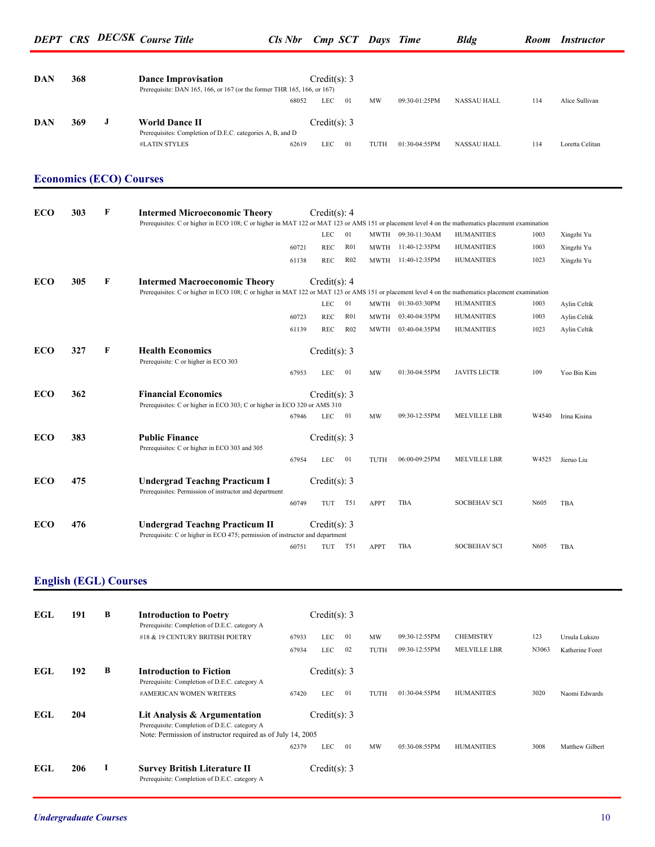| DAN                          | 368 |   | <b>Dance Improvisation</b>                                                                                                                                                                |       | Credit(s): $3$   |                 |      |                    |                     |       |                 |
|------------------------------|-----|---|-------------------------------------------------------------------------------------------------------------------------------------------------------------------------------------------|-------|------------------|-----------------|------|--------------------|---------------------|-------|-----------------|
|                              |     |   | Prerequisite: DAN 165, 166, or 167 (or the former THR 165, 166, or 167)                                                                                                                   | 68052 | LEC              | 01              | MW   | 09:30-01:25PM      | NASSAU HALL         | 114   | Alice Sullivan  |
| DAN                          | 369 | J | <b>World Dance II</b>                                                                                                                                                                     |       | Credit(s): 3     |                 |      |                    |                     |       |                 |
|                              |     |   | Prerequisites: Completion of D.E.C. categories A, B, and D<br>#LATIN STYLES                                                                                                               | 62619 | LEC              | 01              | TUTH | 01:30-04:55PM      | <b>NASSAU HALL</b>  | 114   | Loretta Celitan |
|                              |     |   |                                                                                                                                                                                           |       |                  |                 |      |                    |                     |       |                 |
|                              |     |   | <b>Economics (ECO) Courses</b>                                                                                                                                                            |       |                  |                 |      |                    |                     |       |                 |
| <b>ECO</b>                   | 303 | F | <b>Intermed Microeconomic Theory</b><br>Prerequisites: C or higher in ECO 108; C or higher in MAT 122 or MAT 123 or AMS 151 or placement level 4 on the mathematics placement examination |       | Credit(s): $4$   |                 |      |                    |                     |       |                 |
|                              |     |   |                                                                                                                                                                                           |       | LEC              | 01              |      | MWTH 09:30-11:30AM | <b>HUMANITIES</b>   | 1003  | Xingzhi Yu      |
|                              |     |   |                                                                                                                                                                                           | 60721 | REC              | R01             |      | MWTH 11:40-12:35PM | <b>HUMANITIES</b>   | 1003  | Xingzhi Yu      |
|                              |     |   |                                                                                                                                                                                           | 61138 | REC              | R02             |      | MWTH 11:40-12:35PM | <b>HUMANITIES</b>   | 1023  | Xingzhi Yu      |
| <b>ECO</b>                   | 305 | F | <b>Intermed Macroeconomic Theory</b><br>Prerequisites: C or higher in ECO 108; C or higher in MAT 122 or MAT 123 or AMS 151 or placement level 4 on the mathematics placement examination |       | Credit(s): 4     |                 |      |                    |                     |       |                 |
|                              |     |   |                                                                                                                                                                                           |       | LEC              | 01              |      | MWTH 01:30-03:30PM | <b>HUMANITIES</b>   | 1003  | Aylin Celtik    |
|                              |     |   |                                                                                                                                                                                           | 60723 | REC              | R <sub>01</sub> | MWTH | 03:40-04:35PM      | <b>HUMANITIES</b>   | 1003  | Aylin Celtik    |
|                              |     |   |                                                                                                                                                                                           | 61139 | REC              | R02             | MWTH | 03:40-04:35PM      | <b>HUMANITIES</b>   | 1023  | Aylin Celtik    |
| <b>ECO</b>                   | 327 | F | <b>Health Economics</b><br>Prerequisite: C or higher in ECO 303                                                                                                                           |       | Credit(s): 3     |                 |      |                    |                     |       |                 |
|                              |     |   |                                                                                                                                                                                           | 67953 | LEC              | 01              | MW   | 01:30-04:55PM      | <b>JAVITS LECTR</b> | 109   | Yoo Bin Kim     |
| <b>ECO</b>                   | 362 |   | <b>Financial Economics</b><br>Prerequisites: C or higher in ECO 303; C or higher in ECO 320 or AMS 310                                                                                    |       | Credit(s): 3     |                 |      |                    |                     |       |                 |
|                              |     |   |                                                                                                                                                                                           | 67946 | LEC              | 01              | MW   | 09:30-12:55PM      | MELVILLE LBR        | W4540 | Irina Kisina    |
| <b>ECO</b>                   | 383 |   | <b>Public Finance</b><br>Prerequisites: C or higher in ECO 303 and 305                                                                                                                    |       | Credit $(s)$ : 3 |                 |      |                    |                     |       |                 |
|                              |     |   |                                                                                                                                                                                           | 67954 | LEC              | 01              | TUTH | 06:00-09:25PM      | MELVILLE LBR        | W4525 | Jieruo Liu      |
| <b>ECO</b>                   | 475 |   | <b>Undergrad Teachng Practicum I</b><br>Prerequisites: Permission of instructor and department                                                                                            |       | Credit(s): 3     |                 |      |                    |                     |       |                 |
|                              |     |   |                                                                                                                                                                                           | 60749 | TUT              | T51             | APPT | TBA                | <b>SOCBEHAV SCI</b> | N605  | TBA             |
| <b>ECO</b>                   | 476 |   | <b>Undergrad Teachng Practicum II</b><br>Prerequisite: C or higher in ECO 475; permission of instructor and department                                                                    |       | Credit(s): 3     |                 |      |                    |                     |       |                 |
|                              |     |   |                                                                                                                                                                                           | 60751 | TUT T51          |                 | APPT | TBA                | <b>SOCBEHAV SCI</b> | N605  | TBA             |
|                              |     |   |                                                                                                                                                                                           |       |                  |                 |      |                    |                     |       |                 |
| <b>English (EGL) Courses</b> |     |   |                                                                                                                                                                                           |       |                  |                 |      |                    |                     |       |                 |
| EGL                          | 191 | В | <b>Introduction to Poetry</b>                                                                                                                                                             |       | Credit(s): $3$   |                 |      |                    |                     |       |                 |
|                              |     |   | Prerequisite: Completion of D.E.C. category A<br>#18 & 19 CENTURY BRITISH POETRY                                                                                                          | 67933 | LEC              | 01              | MW   | 09:30-12:55PM      | <b>CHEMISTRY</b>    | 123   | Ursula Lukszo   |
|                              |     |   |                                                                                                                                                                                           | 67934 | LEC              | 02              | TUTH | 09:30-12:55PM      | MELVILLE LBR        | N3063 | Katherine Foret |
| EGL                          | 192 | В | <b>Introduction to Fiction</b>                                                                                                                                                            |       | Credit(s): $3$   |                 |      |                    |                     |       |                 |
|                              |     |   | Prerequisite: Completion of D.E.C. category A<br>#AMERICAN WOMEN WRITERS                                                                                                                  | 67420 | LEC              | 01              | TUTH | 01:30-04:55PM      | <b>HUMANITIES</b>   | 3020  | Naomi Edwards   |
| EGL                          | 204 |   | Lit Analysis & Argumentation<br>Prerequisite: Completion of D.E.C. category A                                                                                                             |       | Credit(s): $3$   |                 |      |                    |                     |       |                 |
|                              |     |   | Note: Permission of instructor required as of July 14, 2005                                                                                                                               | 62379 | LEC              | 01              | MW   | 05:30-08:55PM      | <b>HUMANITIES</b>   | 3008  | Matthew Gilbert |
| EGL                          | 206 | 1 | <b>Survey British Literature II</b><br>Prerequisite: Completion of D.E.C. category A                                                                                                      |       | Credit $(s)$ : 3 |                 |      |                    |                     |       |                 |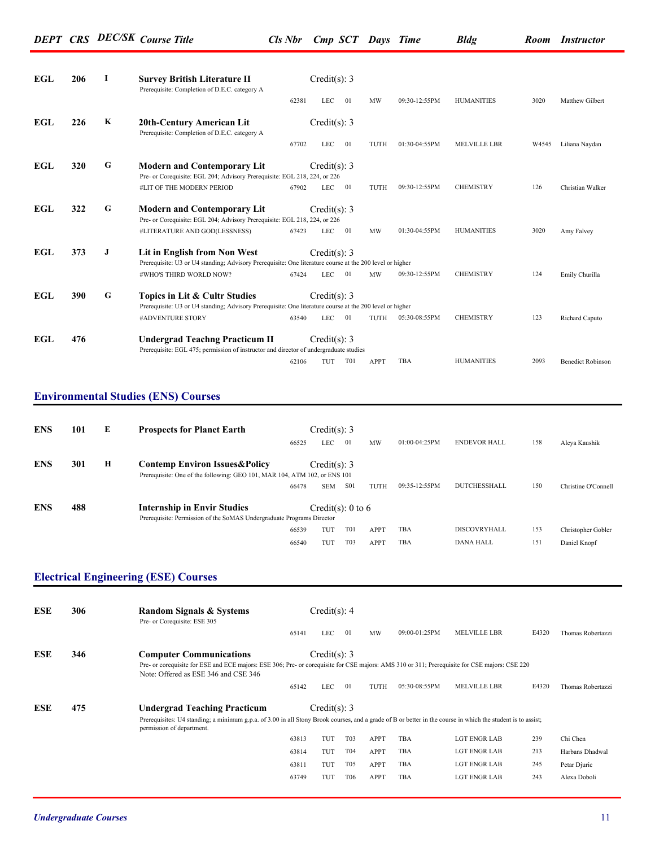| EGL        | 206 | L       | <b>Survey British Literature II</b><br>Prerequisite: Completion of D.E.C. category A                                                      | Credit(s): $3$ |         |      |               |                     |       |                          |
|------------|-----|---------|-------------------------------------------------------------------------------------------------------------------------------------------|----------------|---------|------|---------------|---------------------|-------|--------------------------|
|            |     |         | 62381                                                                                                                                     | <b>LEC</b>     | 01      | MW   | 09:30-12:55PM | <b>HUMANITIES</b>   | 3020  | Matthew Gilbert          |
| EGL        | 226 | $\bf K$ | 20th-Century American Lit<br>Prerequisite: Completion of D.E.C. category A                                                                | Credit(s): 3   |         |      |               |                     |       |                          |
|            |     |         | 67702                                                                                                                                     | <b>LEC</b>     | 01      | TUTH | 01:30-04:55PM | <b>MELVILLE LBR</b> | W4545 | Liliana Naydan           |
| EGL        | 320 | G       | <b>Modern and Contemporary Lit</b>                                                                                                        | Credit(s): 3   |         |      |               |                     |       |                          |
|            |     |         | Pre- or Corequisite: EGL 204; Advisory Prerequisite: EGL 218, 224, or 226                                                                 |                |         |      |               |                     |       |                          |
|            |     |         | #LIT OF THE MODERN PERIOD<br>67902                                                                                                        | <b>LEC</b>     | 01      | TUTH | 09:30-12:55PM | <b>CHEMISTRY</b>    | 126   | Christian Walker         |
| EGL        | 322 | G       | <b>Modern and Contemporary Lit</b>                                                                                                        | Credit(s): 3   |         |      |               |                     |       |                          |
|            |     |         | Pre- or Corequisite: EGL 204; Advisory Prerequisite: EGL 218, 224, or 226                                                                 |                |         |      |               |                     |       |                          |
|            |     |         | #LITERATURE AND GOD(LESSNESS)<br>67423                                                                                                    | <b>LEC</b>     | 01      | MW   | 01:30-04:55PM | <b>HUMANITIES</b>   | 3020  | Amy Falvey               |
| EGL        | 373 | J       | Lit in English from Non West                                                                                                              | Credit(s): 3   |         |      |               |                     |       |                          |
|            |     |         | Prerequisite: U3 or U4 standing; Advisory Prerequisite: One literature course at the 200 level or higher                                  |                |         |      |               |                     |       |                          |
|            |     |         | #WHO'S THIRD WORLD NOW?<br>67424                                                                                                          | <b>LEC</b>     | 01      | MW   | 09:30-12:55PM | <b>CHEMISTRY</b>    | 124   | Emily Churilla           |
| <b>EGL</b> | 390 | G       | Topics in Lit & Cultr Studies<br>Prerequisite: U3 or U4 standing; Advisory Prerequisite: One literature course at the 200 level or higher | Credit(s): $3$ |         |      |               |                     |       |                          |
|            |     |         | #ADVENTURE STORY<br>63540                                                                                                                 | <b>LEC</b>     | 01      | TUTH | 05:30-08:55PM | <b>CHEMISTRY</b>    | 123   | Richard Caputo           |
| EGL        | 476 |         | Undergrad Teachng Practicum II<br>Prerequisite: EGL 475; permission of instructor and director of undergraduate studies                   | Credit(s): 3   |         |      |               |                     |       |                          |
|            |     |         | 62106                                                                                                                                     |                | TUT T01 | APPT | TBA           | <b>HUMANITIES</b>   | 2093  | <b>Benedict Robinson</b> |

#### **Environmental Studies (ENS) Courses**

| <b>ENS</b> | 101 | E | <b>Prospects for Planet Earth</b>                                                                                       | 66525 | Credit(s): 3<br>LEC | 01                | MW          | 01:00-04:25PM | <b>ENDEVOR HALL</b> | 158 | Aleya Kaushik       |
|------------|-----|---|-------------------------------------------------------------------------------------------------------------------------|-------|---------------------|-------------------|-------------|---------------|---------------------|-----|---------------------|
| <b>ENS</b> | 301 | н | <b>Contemp Environ Issues &amp; Policy</b><br>Prerequisite: One of the following: GEO 101, MAR 104, ATM 102, or ENS 101 |       | Credit(s): 3        |                   |             |               |                     |     |                     |
|            |     |   |                                                                                                                         | 66478 | <b>SEM</b>          | <b>S01</b>        | TUTH        | 09:35-12:55PM | <b>DUTCHESSHALL</b> | 150 | Christine O'Connell |
| <b>ENS</b> | 488 |   | <b>Internship in Envir Studies</b><br>Prerequisite: Permission of the SoMAS Undergraduate Programs Director             |       |                     | Credit(s): 0 to 6 |             |               |                     |     |                     |
|            |     |   |                                                                                                                         | 66539 | TUT                 | <b>T01</b>        | <b>APPT</b> | TBA           | DISCOVRYHALL        | 153 | Christopher Gobler  |
|            |     |   |                                                                                                                         | 66540 | TUT                 | T <sub>0</sub> 3  | <b>APPT</b> | <b>TBA</b>    | <b>DANA HALL</b>    | 151 | Daniel Knopf        |

#### **Electrical Engineering (ESE) Courses**

| <b>ESE</b> | 306 | <b>Random Signals &amp; Systems</b><br>Pre- or Corequisite: ESE 305                                                                                                                                                     |       | Credit(s): 4   |                  |             |               |                     |       |                   |
|------------|-----|-------------------------------------------------------------------------------------------------------------------------------------------------------------------------------------------------------------------------|-------|----------------|------------------|-------------|---------------|---------------------|-------|-------------------|
|            |     |                                                                                                                                                                                                                         | 65141 | LEC.           | 01               | MW          | 09:00-01:25PM | <b>MELVILLE LBR</b> | E4320 | Thomas Robertazzi |
| <b>ESE</b> | 346 | <b>Computer Communications</b><br>Pre- or corequisite for ESE and ECE majors: ESE 306; Pre- or corequisite for CSE majors: AMS 310 or 311; Prerequisite for CSE majors: CSE 220<br>Note: Offered as ESE 346 and CSE 346 |       | Credit(s): 3   |                  |             |               |                     |       |                   |
|            |     |                                                                                                                                                                                                                         | 65142 | <b>LEC</b>     | 01               | TUTH        | 05:30-08:55PM | <b>MELVILLE LBR</b> | E4320 | Thomas Robertazzi |
| <b>ESE</b> | 475 | <b>Undergrad Teaching Practicum</b>                                                                                                                                                                                     |       | Credit(s): $3$ |                  |             |               |                     |       |                   |
|            |     | Prerequisites: U4 standing; a minimum g.p.a. of 3.00 in all Stony Brook courses, and a grade of B or better in the course in which the student is to assist;<br>permission of department.                               |       |                |                  |             |               |                     |       |                   |
|            |     |                                                                                                                                                                                                                         | 63813 | TUT            | T <sub>0</sub> 3 | <b>APPT</b> | <b>TBA</b>    | <b>LGT ENGR LAB</b> | 239   | Chi Chen          |
|            |     |                                                                                                                                                                                                                         | 63814 | TUT            | T04              | <b>APPT</b> | TBA           | <b>LGT ENGR LAB</b> | 213   | Harbans Dhadwal   |
|            |     |                                                                                                                                                                                                                         | 63811 | TUT            | T <sub>05</sub>  | <b>APPT</b> | TBA           | <b>LGT ENGR LAB</b> | 245   | Petar Djuric      |
|            |     |                                                                                                                                                                                                                         | 63749 | TUT            | T <sub>06</sub>  | <b>APPT</b> | <b>TBA</b>    | <b>LGT ENGR LAB</b> | 243   | Alexa Doboli      |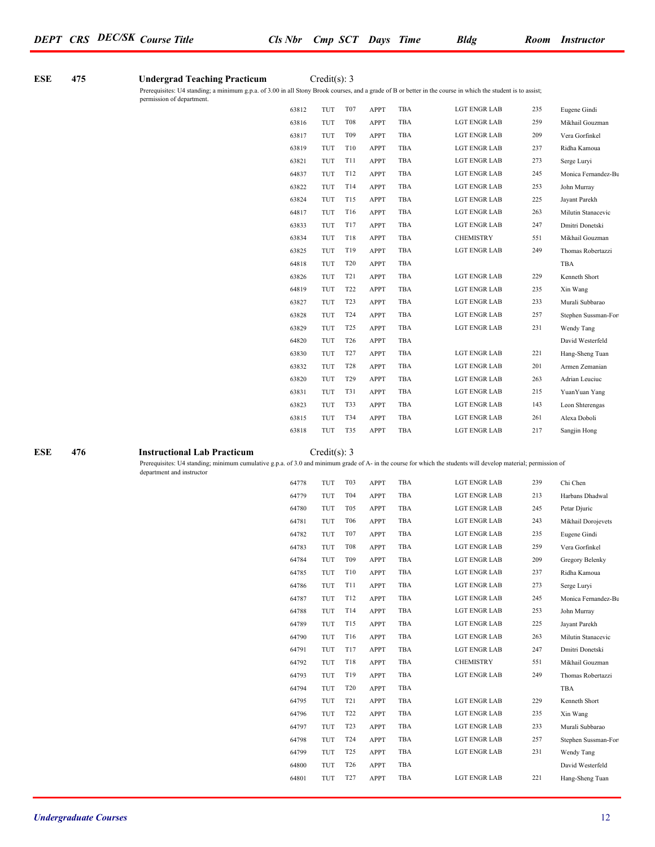#### **ESE** 475 **Undergrad Teaching Practicum** Credit(s): 3

Prerequisites: U4 standing; a minimum g.p.a. of 3.00 in all Stony Brook courses, and a grade of B or better in the course in which the student is to assist; permission of department.

| 63812 | TUT        | T <sub>07</sub>  | <b>APPT</b> | TBA        | <b>LGT ENGR LAB</b> | 235 | Eugene Gindi        |
|-------|------------|------------------|-------------|------------|---------------------|-----|---------------------|
| 63816 | TUT        | <b>T08</b>       | APPT        | TBA        | <b>LGT ENGR LAB</b> | 259 | Mikhail Gouzman     |
| 63817 | TUT        | T <sub>09</sub>  | <b>APPT</b> | TBA        | <b>LGT ENGR LAB</b> | 209 | Vera Gorfinkel      |
| 63819 | TUT        | T10              | APPT        | TBA        | <b>LGT ENGR LAB</b> | 237 | Ridha Kamoua        |
| 63821 | <b>TUT</b> | T11              | <b>APPT</b> | TBA        | <b>LGT ENGR LAB</b> | 273 | Serge Luryi         |
| 64837 | TUT        | T12              | <b>APPT</b> | TBA        | <b>LGT ENGR LAB</b> | 245 | Monica Fernandez-Bu |
| 63822 | <b>TUT</b> | T14              | <b>APPT</b> | TBA        | <b>LGT ENGR LAB</b> | 253 | John Murray         |
| 63824 | <b>TUT</b> | T15              | APPT        | TBA        | LGT ENGR LAB        | 225 | Jayant Parekh       |
| 64817 | <b>TUT</b> | T16              | <b>APPT</b> | TBA        | <b>LGT ENGR LAB</b> | 263 | Milutin Stanacevic  |
| 63833 | TUT        | T17              | <b>APPT</b> | TBA        | LGT ENGR LAB        | 247 | Dmitri Donetski     |
| 63834 | TUT        | T18              | <b>APPT</b> | TBA        | <b>CHEMISTRY</b>    | 551 | Mikhail Gouzman     |
| 63825 | <b>TUT</b> | T19              | <b>APPT</b> | TBA        | <b>LGT ENGR LAB</b> | 249 | Thomas Robertazzi   |
| 64818 | TUT        | T <sub>20</sub>  | <b>APPT</b> | TBA        |                     |     | TBA                 |
| 63826 | TUT        | T <sub>21</sub>  | APPT        | TBA        | <b>LGT ENGR LAB</b> | 229 | Kenneth Short       |
| 64819 | TUT        | T <sub>22</sub>  | APPT        | TBA        | <b>LGT ENGR LAB</b> | 235 | Xin Wang            |
| 63827 | TUT        | T <sub>2</sub> 3 | APPT        | TBA        | <b>LGT ENGR LAB</b> | 233 | Murali Subbarao     |
| 63828 | <b>TUT</b> | T24              | <b>APPT</b> | TBA        | <b>LGT ENGR LAB</b> | 257 | Stephen Sussman-For |
| 63829 | <b>TUT</b> | T <sub>25</sub>  | <b>APPT</b> | TBA        | <b>LGT ENGR LAB</b> | 231 | Wendy Tang          |
| 64820 | TUT        | T <sub>26</sub>  | APPT        | TBA        |                     |     | David Westerfeld    |
| 63830 | TUT        | T <sub>27</sub>  | <b>APPT</b> | TBA        | <b>LGT ENGR LAB</b> | 221 | Hang-Sheng Tuan     |
| 63832 | TUT        | <b>T28</b>       | APPT        | TBA        | <b>LGT ENGR LAB</b> | 201 | Armen Zemanian      |
| 63820 | TUT        | T <sub>29</sub>  | <b>APPT</b> | TBA        | <b>LGT ENGR LAB</b> | 263 | Adrian Leuciuc      |
| 63831 | <b>TUT</b> | T31              | <b>APPT</b> | TBA        | <b>LGT ENGR LAB</b> | 215 | Yuan Yuan Yang      |
| 63823 | TUT        | T33              | APPT        | TBA        | <b>LGT ENGR LAB</b> | 143 | Leon Shterengas     |
| 63815 | TUT        | T34              | <b>APPT</b> | TBA        | <b>LGT ENGR LAB</b> | 261 | Alexa Doboli        |
| 63818 | TUT        | T35              | APPT        | <b>TBA</b> | <b>LGT ENGR LAB</b> | 217 | Sangjin Hong        |

#### **ESE** 476 **Instructional Lab Practicum** Credit(s): 3

Prerequisites: U4 standing; minimum cumulative g.p.a. of 3.0 and minimum grade of A- in the course for which the students will develop material; permission of department and instructor

| 64778 | TUT | T <sub>0</sub> 3 | <b>APPT</b> | <b>TBA</b> | <b>LGT ENGR LAB</b> | 239 | Chi Chen            |
|-------|-----|------------------|-------------|------------|---------------------|-----|---------------------|
| 64779 | TUT | T04              | <b>APPT</b> | <b>TBA</b> | <b>LGT ENGR LAB</b> | 213 | Harbans Dhadwal     |
| 64780 | TUT | T <sub>05</sub>  | <b>APPT</b> | <b>TBA</b> | <b>LGT ENGR LAB</b> | 245 | Petar Djuric        |
| 64781 | TUT | T <sub>06</sub>  | <b>APPT</b> | TBA        | <b>LGT ENGR LAB</b> | 243 | Mikhail Dorojevets  |
| 64782 | TUT | T <sub>07</sub>  | <b>APPT</b> | TBA        | <b>LGT ENGR LAB</b> | 235 | Eugene Gindi        |
| 64783 | TUT | <b>T08</b>       | <b>APPT</b> | TBA        | <b>LGT ENGR LAB</b> | 259 | Vera Gorfinkel      |
| 64784 | TUT | T <sub>09</sub>  | APPT        | TBA        | <b>LGT ENGR LAB</b> | 209 | Gregory Belenky     |
| 64785 | TUT | T10              | <b>APPT</b> | TBA        | <b>LGT ENGR LAB</b> | 237 | Ridha Kamoua        |
| 64786 | TUT | <b>T11</b>       | <b>APPT</b> | <b>TBA</b> | <b>LGT ENGR LAB</b> | 273 | Serge Luryi         |
| 64787 | TUT | T12              | <b>APPT</b> | <b>TBA</b> | <b>LGT ENGR LAB</b> | 245 | Monica Fernandez-Bu |
| 64788 | TUT | T <sub>14</sub>  | <b>APPT</b> | TBA        | <b>LGT ENGR LAB</b> | 253 | John Murray         |
| 64789 | TUT | T15              | <b>APPT</b> | <b>TBA</b> | <b>LGT ENGR LAB</b> | 225 | Jayant Parekh       |
| 64790 | TUT | T16              | <b>APPT</b> | <b>TBA</b> | <b>LGT ENGR LAB</b> | 263 | Milutin Stanacevic  |
| 64791 | TUT | T17              | <b>APPT</b> | <b>TBA</b> | <b>LGT ENGR LAB</b> | 247 | Dmitri Donetski     |
| 64792 | TUT | T18              | <b>APPT</b> | <b>TBA</b> | <b>CHEMISTRY</b>    | 551 | Mikhail Gouzman     |
| 64793 | TUT | T19              | <b>APPT</b> | <b>TBA</b> | <b>LGT ENGR LAB</b> | 249 | Thomas Robertazzi   |
| 64794 | TUT | T <sub>20</sub>  | <b>APPT</b> | <b>TBA</b> |                     |     | <b>TBA</b>          |
| 64795 | TUT | T21              | <b>APPT</b> | <b>TBA</b> | <b>LGT ENGR LAB</b> | 229 | Kenneth Short       |
| 64796 | TUT | T <sub>22</sub>  | <b>APPT</b> | TBA        | <b>LGT ENGR LAB</b> | 235 | Xin Wang            |
| 64797 | TUT | T <sub>2</sub> 3 | APPT        | <b>TBA</b> | <b>LGT ENGR LAB</b> | 233 | Murali Subbarao     |
| 64798 | TUT | T <sub>24</sub>  | <b>APPT</b> | <b>TBA</b> | <b>LGT ENGR LAB</b> | 257 | Stephen Sussman-For |
| 64799 | TUT | T <sub>25</sub>  | <b>APPT</b> | <b>TBA</b> | <b>LGT ENGR LAB</b> | 231 | Wendy Tang          |
| 64800 | TUT | T <sub>26</sub>  | <b>APPT</b> | TBA        |                     |     | David Westerfeld    |
| 64801 | TUT | T <sub>27</sub>  | <b>APPT</b> | <b>TBA</b> | <b>LGT ENGR LAB</b> | 221 | Hang-Sheng Tuan     |
|       |     |                  |             |            |                     |     |                     |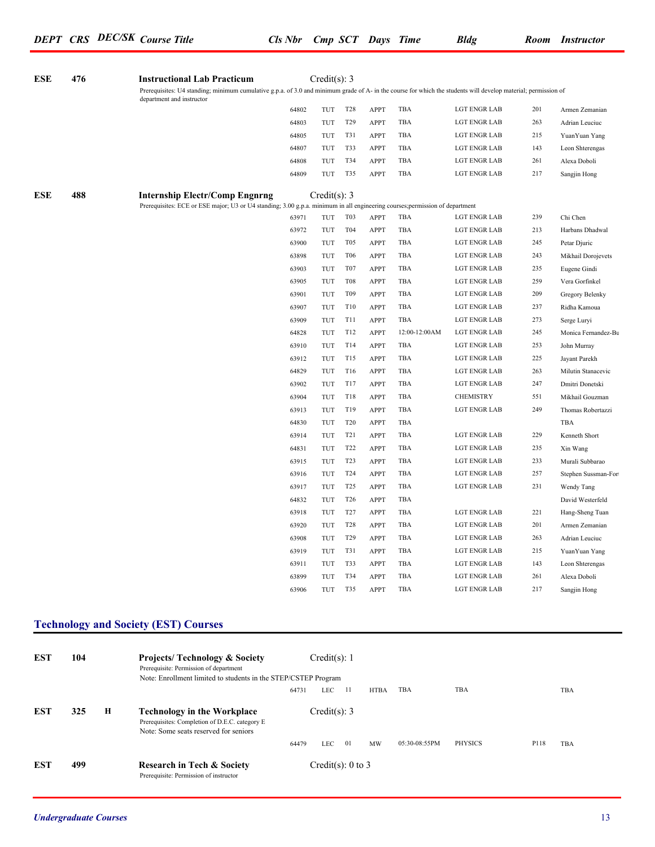| ESE | 476 | <b>Instructional Lab Practicum</b>                                                                                                                                                          |       | Credit(s): 3   |                 |             |               |                     |     |                     |
|-----|-----|---------------------------------------------------------------------------------------------------------------------------------------------------------------------------------------------|-------|----------------|-----------------|-------------|---------------|---------------------|-----|---------------------|
|     |     | Prerequisites: U4 standing; minimum cumulative g.p.a. of 3.0 and minimum grade of A- in the course for which the students will develop material; permission of<br>department and instructor |       |                |                 |             |               |                     |     |                     |
|     |     |                                                                                                                                                                                             | 64802 | TUT            | <b>T28</b>      | APPT        | TBA           | LGT ENGR LAB        | 201 | Armen Zemanian      |
|     |     |                                                                                                                                                                                             | 64803 | TUT            | T <sub>29</sub> | APPT        | TBA           | LGT ENGR LAB        | 263 | Adrian Leuciuc      |
|     |     |                                                                                                                                                                                             | 64805 | TUT            | T31             | APPT        | TBA           | LGT ENGR LAB        | 215 | Yuan Yuan Yang      |
|     |     |                                                                                                                                                                                             | 64807 | <b>TUT</b>     | T33             | <b>APPT</b> | TBA           | <b>LGT ENGR LAB</b> | 143 | Leon Shterengas     |
|     |     |                                                                                                                                                                                             | 64808 | <b>TUT</b>     | T34             | APPT        | TBA           | <b>LGT ENGR LAB</b> | 261 | Alexa Doboli        |
|     |     |                                                                                                                                                                                             | 64809 | <b>TUT</b>     | T35             | <b>APPT</b> | TBA           | <b>LGT ENGR LAB</b> | 217 | Sangjin Hong        |
| ESE | 488 | <b>Internship Electr/Comp Engnrng</b>                                                                                                                                                       |       | Credit(s): $3$ |                 |             |               |                     |     |                     |
|     |     | Prerequisites: ECE or ESE major; U3 or U4 standing; 3.00 g.p.a. minimum in all engineering courses; permission of department                                                                |       |                |                 |             |               |                     |     |                     |
|     |     |                                                                                                                                                                                             | 63971 | TUT            | T03             | APPT        | TBA           | <b>LGT ENGR LAB</b> | 239 | Chi Chen            |
|     |     |                                                                                                                                                                                             | 63972 | <b>TUT</b>     | T04             | APPT        | TBA           | <b>LGT ENGR LAB</b> | 213 | Harbans Dhadwal     |
|     |     |                                                                                                                                                                                             | 63900 | <b>TUT</b>     | T <sub>05</sub> | APPT        | TBA           | <b>LGT ENGR LAB</b> | 245 | Petar Djuric        |
|     |     |                                                                                                                                                                                             | 63898 | <b>TUT</b>     | <b>T06</b>      | <b>APPT</b> | TBA           | <b>LGT ENGR LAB</b> | 243 | Mikhail Dorojevets  |
|     |     |                                                                                                                                                                                             | 63903 | TUT            | T <sub>07</sub> | APPT        | TBA           | <b>LGT ENGR LAB</b> | 235 | Eugene Gindi        |
|     |     |                                                                                                                                                                                             | 63905 | TUT            | <b>T08</b>      | APPT        | TBA           | LGT ENGR LAB        | 259 | Vera Gorfinkel      |
|     |     |                                                                                                                                                                                             | 63901 | TUT            | T09             | APPT        | <b>TBA</b>    | LGT ENGR LAB        | 209 | Gregory Belenky     |
|     |     |                                                                                                                                                                                             | 63907 | TUT            | T10             | APPT        | <b>TBA</b>    | <b>LGT ENGR LAB</b> | 237 | Ridha Kamoua        |
|     |     |                                                                                                                                                                                             | 63909 | <b>TUT</b>     | <b>T11</b>      | APPT        | TBA           | <b>LGT ENGR LAB</b> | 273 | Serge Luryi         |
|     |     |                                                                                                                                                                                             | 64828 | <b>TUT</b>     | T12             | <b>APPT</b> | 12:00-12:00AM | <b>LGT ENGR LAB</b> | 245 | Monica Fernandez-Bu |
|     |     |                                                                                                                                                                                             | 63910 | TUT            | T14             | APPT        | TBA           | <b>LGT ENGR LAB</b> | 253 | John Murray         |
|     |     |                                                                                                                                                                                             | 63912 | TUT            | T15             | APPT        | TBA           | LGT ENGR LAB        | 225 | Jayant Parekh       |
|     |     |                                                                                                                                                                                             | 64829 | <b>TUT</b>     | T16             | APPT        | TBA           | <b>LGT ENGR LAB</b> | 263 | Milutin Stanacevic  |
|     |     |                                                                                                                                                                                             | 63902 | <b>TUT</b>     | T17             | APPT        | TBA           | <b>LGT ENGR LAB</b> | 247 | Dmitri Donetski     |
|     |     |                                                                                                                                                                                             | 63904 | <b>TUT</b>     | T18             | APPT        | TBA           | <b>CHEMISTRY</b>    | 551 | Mikhail Gouzman     |
|     |     |                                                                                                                                                                                             | 63913 | TUT            | T19             | <b>APPT</b> | TBA           | LGT ENGR LAB        | 249 | Thomas Robertazzi   |
|     |     |                                                                                                                                                                                             | 64830 | TUT            | T20             | APPT        | TBA           |                     |     | TBA                 |
|     |     |                                                                                                                                                                                             | 63914 | TUT            | T <sub>21</sub> | APPT        | <b>TBA</b>    | <b>LGT ENGR LAB</b> | 229 | Kenneth Short       |
|     |     |                                                                                                                                                                                             | 64831 | <b>TUT</b>     | T22             | APPT        | TBA           | <b>LGT ENGR LAB</b> | 235 | Xin Wang            |
|     |     |                                                                                                                                                                                             | 63915 | <b>TUT</b>     | T <sub>23</sub> | APPT        | TBA           | <b>LGT ENGR LAB</b> | 233 | Murali Subbarao     |
|     |     |                                                                                                                                                                                             | 63916 | <b>TUT</b>     | T <sub>24</sub> | <b>APPT</b> | TBA           | LGT ENGR LAB        | 257 | Stephen Sussman-For |
|     |     |                                                                                                                                                                                             | 63917 | TUT            | T <sub>25</sub> | APPT        | TBA           | LGT ENGR LAB        | 231 | Wendy Tang          |
|     |     |                                                                                                                                                                                             | 64832 | TUT            | T <sub>26</sub> | APPT        | TBA           |                     |     | David Westerfeld    |
|     |     |                                                                                                                                                                                             | 63918 | <b>TUT</b>     | T <sub>27</sub> | APPT        | TBA           | LGT ENGR LAB        | 221 | Hang-Sheng Tuan     |
|     |     |                                                                                                                                                                                             | 63920 | TUT            | <b>T28</b>      | APPT        | TBA           | <b>LGT ENGR LAB</b> | 201 | Armen Zemanian      |
|     |     |                                                                                                                                                                                             | 63908 | <b>TUT</b>     | T <sub>29</sub> | APPT        | TBA           | LGT ENGR LAB        | 263 | Adrian Leuciuc      |
|     |     |                                                                                                                                                                                             | 63919 | <b>TUT</b>     | T31             | <b>APPT</b> | TBA           | <b>LGT ENGR LAB</b> | 215 | Yuan Yuan Yang      |
|     |     |                                                                                                                                                                                             | 63911 | TUT            | T33             | APPT        | TBA           | LGT ENGR LAB        | 143 | Leon Shterengas     |
|     |     |                                                                                                                                                                                             | 63899 | TUT            | T34             | APPT        | TBA           | <b>LGT ENGR LAB</b> | 261 | Alexa Doboli        |
|     |     |                                                                                                                                                                                             | 63906 | TUT            | T35             | <b>APPT</b> | <b>TBA</b>    | <b>LGT ENGR LAB</b> | 217 | Sangjin Hong        |
|     |     |                                                                                                                                                                                             |       |                |                 |             |               |                     |     |                     |

#### **Technology and Society (EST) Courses**

| EST | 104 |   | <b>Projects/Technology &amp; Society</b><br>Prerequisite: Permission of department<br>Note: Enrollment limited to students in the STEP/CSTEP Program |       | Credit(s): 1          |     |             |               |                |      |            |  |
|-----|-----|---|------------------------------------------------------------------------------------------------------------------------------------------------------|-------|-----------------------|-----|-------------|---------------|----------------|------|------------|--|
|     |     |   |                                                                                                                                                      | 64731 | <b>LEC</b>            | -11 | <b>HTBA</b> | TBA           | <b>TBA</b>     |      | <b>TBA</b> |  |
| EST | 325 | Н | <b>Technology in the Workplace</b><br>Prerequisites: Completion of D.E.C. category E<br>Note: Some seats reserved for seniors                        | 64479 | Credit(s): 3<br>LEC . | 01  | MW          | 05:30-08:55PM | <b>PHYSICS</b> | P118 | <b>TBA</b> |  |
| EST | 499 |   | <b>Research in Tech &amp; Society</b><br>Prerequisite: Permission of instructor                                                                      |       | Credit(s): $0$ to $3$ |     |             |               |                |      |            |  |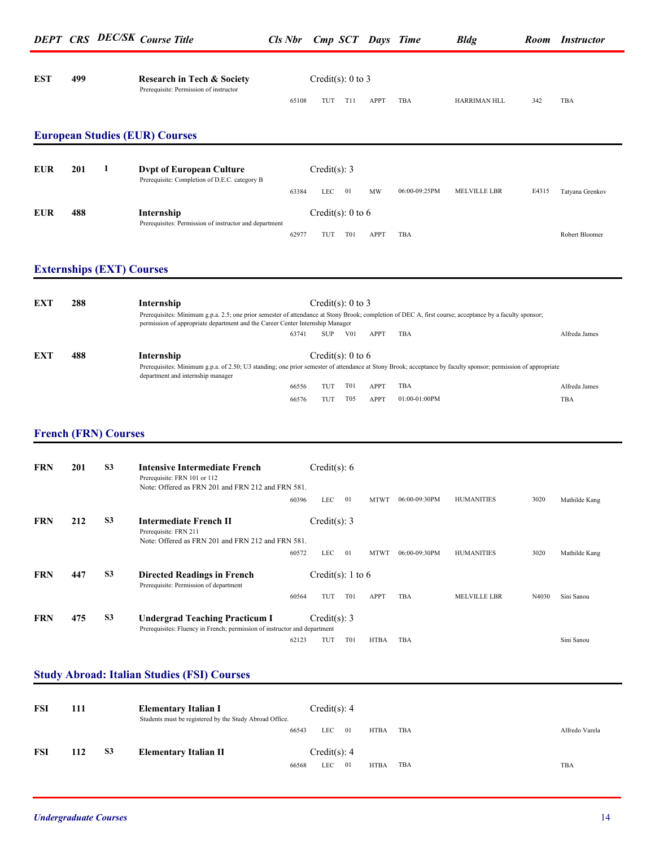| <b>EST</b> | 499 | <b>Research in Tech &amp; Society</b><br>Prerequisite: Permission of instructor |       | Credit(s): $0$ to $3$ |     |             |     |                     |     |            |  |
|------------|-----|---------------------------------------------------------------------------------|-------|-----------------------|-----|-------------|-----|---------------------|-----|------------|--|
|            |     |                                                                                 | 65108 | TUT                   | T11 | <b>APPT</b> | TBA | <b>HARRIMAN HLL</b> | 342 | <b>TBA</b> |  |

#### **European Studies (EUR) Courses**

| EUR        | 201 | <b>Dypt of European Culture</b><br>Prerequisite: Completion of D.E.C. category B |       | Credit(s): 3      |                  |             |               |              |       |                 |
|------------|-----|----------------------------------------------------------------------------------|-------|-------------------|------------------|-------------|---------------|--------------|-------|-----------------|
|            |     |                                                                                  | 63384 | LEC               | 01               | <b>MW</b>   | 06:00-09:25PM | MELVILLE LBR | E4315 | Tatyana Grenkov |
| <b>EUR</b> | 488 | Internship<br>Prerequisites: Permission of instructor and department             |       | Credit(s): 0 to 6 |                  |             |               |              |       |                 |
|            |     |                                                                                  | 6297  | TU                | T <sub>0</sub> 1 | <b>APPT</b> | <b>TBA</b>    |              |       | Robert Bloomer  |

#### **Externships (EXT) Courses**

| EXT | 288 | Internship<br>Prerequisites: Minimum g.p.a. 2.5; one prior semester of attendance at Stony Brook; completion of DEC A, first course; acceptance by a faculty sponsor;<br>permission of appropriate department and the Career Center Internship Manager |       | Credit(s): $0$ to $3$ |                  |             |                    |               |
|-----|-----|--------------------------------------------------------------------------------------------------------------------------------------------------------------------------------------------------------------------------------------------------------|-------|-----------------------|------------------|-------------|--------------------|---------------|
|     |     |                                                                                                                                                                                                                                                        | 63741 | <b>SUP</b>            | V <sub>0</sub> 1 | <b>APPT</b> | TBA                | Alfreda James |
| EXT | 488 | Internship                                                                                                                                                                                                                                             |       | Credit(s): $0$ to $6$ |                  |             |                    |               |
|     |     | Prerequisites: Minimum g.p.a. of 2.50; U3 standing; one prior semester of attendance at Stony Brook; acceptance by faculty sponsor; permission of appropriate<br>department and internship manager                                                     |       |                       |                  |             |                    |               |
|     |     |                                                                                                                                                                                                                                                        | 66556 | TUI                   | <b>T01</b>       | <b>APPT</b> | TBA                | Alfreda James |
|     |     |                                                                                                                                                                                                                                                        | 66576 | TUT                   | T <sub>05</sub>  | <b>APPT</b> | $01.00 - 01.00$ PM | TBA           |

#### **French (FRN) Courses**

| <b>FRN</b> | 201 | S <sub>3</sub> | Intensive Intermediate French<br>Prerequisite: FRN 101 or 112<br>Note: Offered as FRN 201 and FRN 212 and FRN 581. | Credit(s): $6$    |            |             |               |                     |       |               |
|------------|-----|----------------|--------------------------------------------------------------------------------------------------------------------|-------------------|------------|-------------|---------------|---------------------|-------|---------------|
|            |     |                | 60396                                                                                                              | <b>LEC</b>        | 01         | <b>MTWT</b> | 06:00-09:30PM | <b>HUMANITIES</b>   | 3020  | Mathilde Kang |
| <b>FRN</b> | 212 | S <sub>3</sub> | <b>Intermediate French II</b><br>Prerequisite: FRN 211<br>Note: Offered as FRN 201 and FRN 212 and FRN 581.        | Credit(s): $3$    |            |             |               |                     |       |               |
|            |     |                | 60572                                                                                                              | <b>LEC</b>        | 01         | <b>MTWT</b> | 06:00-09:30PM | <b>HUMANITIES</b>   | 3020  | Mathilde Kang |
| <b>FRN</b> | 447 | S <sub>3</sub> | <b>Directed Readings in French</b><br>Prerequisite: Permission of department                                       | Credit(s): 1 to 6 |            |             |               |                     |       |               |
|            |     |                | 60564                                                                                                              | TUT               | <b>T01</b> | <b>APPT</b> | TBA           | <b>MELVILLE LBR</b> | N4030 | Sini Sanou    |
| <b>FRN</b> | 475 | S <sub>3</sub> | <b>Undergrad Teaching Practicum I</b><br>Prerequisites: Fluency in French; permission of instructor and department | Credit(s): $3$    |            |             |               |                     |       |               |
|            |     |                | 62123                                                                                                              | TUT               | <b>T01</b> | <b>HTBA</b> | TBA           |                     |       | Sini Sanou    |

#### **Study Abroad: Italian Studies (FSI) Courses**

| <b>FSI</b> | 111 |           | <b>Elementary Italian I</b><br>Students must be registered by the Study Abroad Office. | Credit(s): 4 |            |     |             |     |                |
|------------|-----|-----------|----------------------------------------------------------------------------------------|--------------|------------|-----|-------------|-----|----------------|
|            |     |           | 66543                                                                                  |              | <b>LEC</b> | -01 | <b>HTBA</b> | TBA | Alfredo Varela |
| FSI        | 112 | <b>S3</b> | <b>Elementary Italian II</b>                                                           | Credit(s): 4 |            |     |             |     |                |
|            |     |           | 66568                                                                                  | LEC          |            | 01  | <b>HTBA</b> | TBA | TBA            |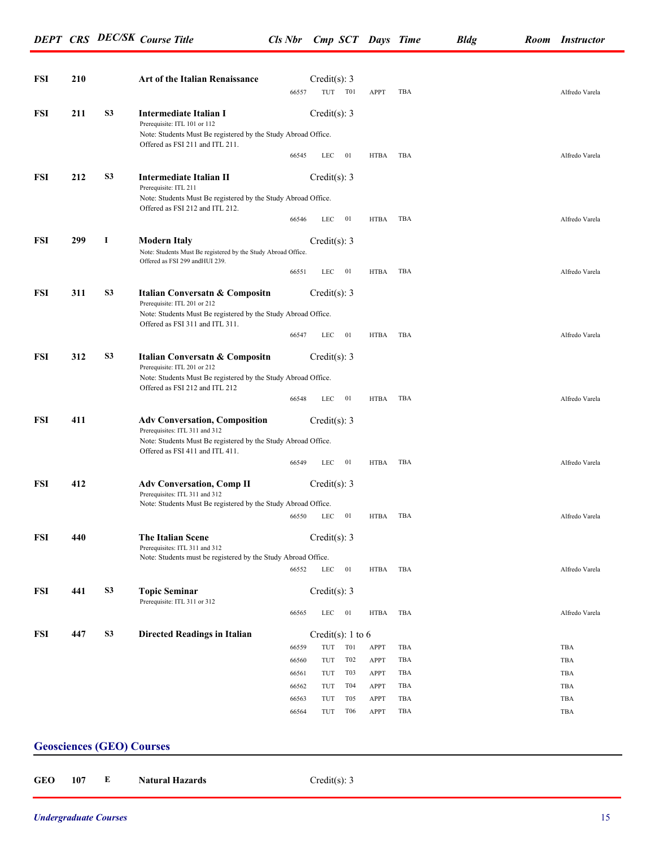*DEPT CRS DEC/SK Course Title Cls Nbr Cmp SCT Days Time Bldg Room Instructor*

| 211 | <b>S3</b>      |                                                                                                                                                                   | 66557                                                            | TUT T01                                                                         |                                                                                                                                                                                                                                                                                                                                                                                                           | APPT                                                                                                                                                                                 | TBA                                                 |            | Alfredo Varela |
|-----|----------------|-------------------------------------------------------------------------------------------------------------------------------------------------------------------|------------------------------------------------------------------|---------------------------------------------------------------------------------|-----------------------------------------------------------------------------------------------------------------------------------------------------------------------------------------------------------------------------------------------------------------------------------------------------------------------------------------------------------------------------------------------------------|--------------------------------------------------------------------------------------------------------------------------------------------------------------------------------------|-----------------------------------------------------|------------|----------------|
|     |                |                                                                                                                                                                   |                                                                  |                                                                                 |                                                                                                                                                                                                                                                                                                                                                                                                           |                                                                                                                                                                                      |                                                     |            |                |
|     |                | <b>Intermediate Italian I</b><br>Prerequisite: ITL 101 or 112<br>Note: Students Must Be registered by the Study Abroad Office.<br>Offered as FSI 211 and ITL 211. |                                                                  | Credit $(s)$ : 3                                                                |                                                                                                                                                                                                                                                                                                                                                                                                           |                                                                                                                                                                                      |                                                     |            |                |
|     |                |                                                                                                                                                                   | 66545                                                            | LEC                                                                             | 01                                                                                                                                                                                                                                                                                                                                                                                                        | HTBA                                                                                                                                                                                 | TBA                                                 |            | Alfredo Varela |
| 212 | S <sub>3</sub> | <b>Intermediate Italian II</b><br>Prerequisite: ITL 211                                                                                                           |                                                                  |                                                                                 |                                                                                                                                                                                                                                                                                                                                                                                                           |                                                                                                                                                                                      |                                                     |            |                |
|     |                | Offered as FSI 212 and ITL 212.                                                                                                                                   |                                                                  |                                                                                 |                                                                                                                                                                                                                                                                                                                                                                                                           |                                                                                                                                                                                      |                                                     |            |                |
|     |                |                                                                                                                                                                   | 66546                                                            | LEC                                                                             | 01                                                                                                                                                                                                                                                                                                                                                                                                        | HTBA                                                                                                                                                                                 | TBA                                                 |            | Alfredo Varela |
| 299 | -1             | <b>Modern Italy</b><br>Offered as FSI 299 andHUI 239.                                                                                                             |                                                                  |                                                                                 |                                                                                                                                                                                                                                                                                                                                                                                                           |                                                                                                                                                                                      |                                                     |            |                |
|     |                |                                                                                                                                                                   | 66551                                                            | LEC                                                                             | 01                                                                                                                                                                                                                                                                                                                                                                                                        | HTBA                                                                                                                                                                                 | TBA                                                 |            | Alfredo Varela |
| 311 | <b>S3</b>      | Italian Conversatn & Compositn<br>Prerequisite: ITL 201 or 212                                                                                                    |                                                                  |                                                                                 |                                                                                                                                                                                                                                                                                                                                                                                                           |                                                                                                                                                                                      |                                                     |            |                |
|     |                | Offered as FSI 311 and ITL 311.                                                                                                                                   |                                                                  |                                                                                 |                                                                                                                                                                                                                                                                                                                                                                                                           |                                                                                                                                                                                      |                                                     |            |                |
|     |                |                                                                                                                                                                   | 66547                                                            | LEC                                                                             | 01                                                                                                                                                                                                                                                                                                                                                                                                        | HTBA                                                                                                                                                                                 | TBA                                                 |            | Alfredo Varela |
| 312 | <b>S3</b>      | Italian Conversatn & Compositn<br>Prerequisite: ITL 201 or 212                                                                                                    |                                                                  |                                                                                 |                                                                                                                                                                                                                                                                                                                                                                                                           |                                                                                                                                                                                      |                                                     |            |                |
|     |                | Offered as FSI 212 and ITL 212                                                                                                                                    | 66548                                                            | LEC                                                                             | 01                                                                                                                                                                                                                                                                                                                                                                                                        | HTBA                                                                                                                                                                                 | TBA                                                 |            | Alfredo Varela |
| 411 |                | <b>Adv Conversation, Composition</b>                                                                                                                              |                                                                  |                                                                                 |                                                                                                                                                                                                                                                                                                                                                                                                           |                                                                                                                                                                                      |                                                     |            |                |
|     |                | Offered as FSI 411 and ITL 411.                                                                                                                                   |                                                                  |                                                                                 |                                                                                                                                                                                                                                                                                                                                                                                                           |                                                                                                                                                                                      |                                                     |            |                |
|     |                |                                                                                                                                                                   | 66549                                                            | LEC                                                                             |                                                                                                                                                                                                                                                                                                                                                                                                           | HTBA                                                                                                                                                                                 | TBA                                                 |            | Alfredo Varela |
| 412 |                | <b>Adv Conversation, Comp II</b><br>Prerequisites: ITL 311 and 312                                                                                                |                                                                  |                                                                                 |                                                                                                                                                                                                                                                                                                                                                                                                           |                                                                                                                                                                                      |                                                     |            |                |
|     |                |                                                                                                                                                                   | 66550                                                            | LEC                                                                             | 01                                                                                                                                                                                                                                                                                                                                                                                                        | HTBA                                                                                                                                                                                 | TBA                                                 |            | Alfredo Varela |
| 440 |                | <b>The Italian Scene</b>                                                                                                                                          |                                                                  |                                                                                 |                                                                                                                                                                                                                                                                                                                                                                                                           |                                                                                                                                                                                      |                                                     |            |                |
|     |                |                                                                                                                                                                   |                                                                  |                                                                                 |                                                                                                                                                                                                                                                                                                                                                                                                           |                                                                                                                                                                                      |                                                     |            |                |
|     |                |                                                                                                                                                                   |                                                                  |                                                                                 |                                                                                                                                                                                                                                                                                                                                                                                                           |                                                                                                                                                                                      |                                                     |            | Alfredo Varela |
| 441 | S <sub>3</sub> | <b>Topic Seminar</b><br>Prerequisite: ITL 311 or 312                                                                                                              |                                                                  |                                                                                 |                                                                                                                                                                                                                                                                                                                                                                                                           |                                                                                                                                                                                      |                                                     |            |                |
|     |                |                                                                                                                                                                   |                                                                  |                                                                                 |                                                                                                                                                                                                                                                                                                                                                                                                           |                                                                                                                                                                                      |                                                     |            | Alfredo Varela |
| 447 | S <sub>3</sub> | <b>Directed Readings in Italian</b>                                                                                                                               |                                                                  |                                                                                 |                                                                                                                                                                                                                                                                                                                                                                                                           |                                                                                                                                                                                      |                                                     |            |                |
|     |                |                                                                                                                                                                   | 66559                                                            | TUT                                                                             |                                                                                                                                                                                                                                                                                                                                                                                                           | APPT                                                                                                                                                                                 | TBA                                                 |            | TBA            |
|     |                |                                                                                                                                                                   | 66560                                                            | TUT                                                                             | T <sub>02</sub>                                                                                                                                                                                                                                                                                                                                                                                           | <b>APPT</b>                                                                                                                                                                          | TBA                                                 |            | TBA            |
|     |                |                                                                                                                                                                   | 66561                                                            | TUT                                                                             | T <sub>0</sub> 3                                                                                                                                                                                                                                                                                                                                                                                          | <b>APPT</b>                                                                                                                                                                          | TBA                                                 |            | TBA            |
|     |                |                                                                                                                                                                   | 66562                                                            | TUT                                                                             | T04                                                                                                                                                                                                                                                                                                                                                                                                       | APPT                                                                                                                                                                                 | TBA                                                 |            | TBA            |
|     |                |                                                                                                                                                                   | 66563                                                            | TUT                                                                             | T <sub>05</sub>                                                                                                                                                                                                                                                                                                                                                                                           | <b>APPT</b>                                                                                                                                                                          | TBA                                                 |            | TBA            |
|     |                |                                                                                                                                                                   | 66564                                                            | TUT                                                                             | T <sub>06</sub>                                                                                                                                                                                                                                                                                                                                                                                           | <b>APPT</b>                                                                                                                                                                          | TBA                                                 |            | TBA            |
|     |                |                                                                                                                                                                   | Prerequisites: ITL 311 and 312<br>Prerequisites: ITL 311 and 312 | Note: Students Must Be registered by the Study Abroad Office.<br>66552<br>66565 | Note: Students Must Be registered by the Study Abroad Office.<br>Note: Students Must Be registered by the Study Abroad Office.<br>Note: Students Must Be registered by the Study Abroad Office.<br>Note: Students Must Be registered by the Study Abroad Office.<br>Note: Students Must Be registered by the Study Abroad Office.<br>Note: Students must be registered by the Study Abroad Office.<br>LEC | Credit(s): $3$<br>Credit(s): $3$<br>Credit(s): 3<br>Credit(s): $3$<br>Credit(s): $3$<br>01<br>Credit(s): $3$<br>Credit(s): 3<br>01<br>Credit $(s)$ : 3<br>LEC 01<br>T <sub>0</sub> 1 | <b>HTBA</b><br><b>HTBA</b><br>Credit(s): $1$ to $6$ | TBA<br>TBA |                |

#### **Geosciences (GEO) Courses**

**GEO 107 E Natural Hazards** Credit(s): 3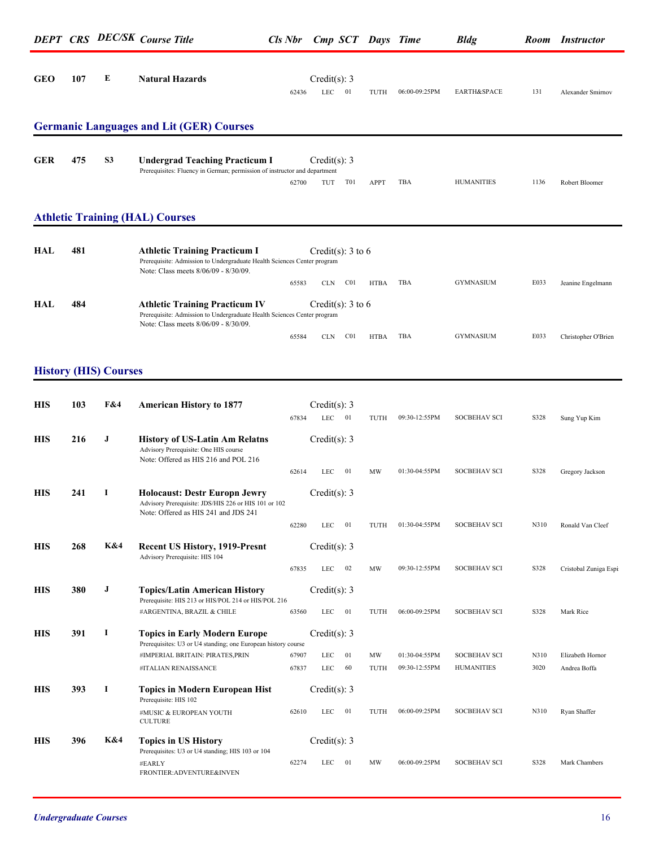|            |     |                              | <b>DEPT CRS DEC/SK Course Title</b>                                                                                                                     |                |                               | Cls Nbr Cmp SCT Days Time      |                                | <b>Bldg</b>                              |              | <b>Room</b> Instructor           |
|------------|-----|------------------------------|---------------------------------------------------------------------------------------------------------------------------------------------------------|----------------|-------------------------------|--------------------------------|--------------------------------|------------------------------------------|--------------|----------------------------------|
| <b>GEO</b> | 107 | E                            | <b>Natural Hazards</b>                                                                                                                                  | 62436          | Credit(s): $3$<br>$LEC$ 01    | TUTH                           | 06:00-09:25PM                  | EARTH&SPACE                              | 131          | Alexander Smirnov                |
|            |     |                              | <b>Germanic Languages and Lit (GER) Courses</b>                                                                                                         |                |                               |                                |                                |                                          |              |                                  |
| <b>GER</b> | 475 | S <sub>3</sub>               | <b>Undergrad Teaching Practicum I</b><br>Prerequisites: Fluency in German; permission of instructor and department                                      | 62700          | Credit(s): 3<br>TUT           | T01<br>APPT                    | TBA                            | <b>HUMANITIES</b>                        | 1136         | Robert Bloomer                   |
|            |     |                              | <b>Athletic Training (HAL) Courses</b>                                                                                                                  |                |                               |                                |                                |                                          |              |                                  |
| HAL        | 481 |                              | <b>Athletic Training Practicum I</b><br>Prerequisite: Admission to Undergraduate Health Sciences Center program<br>Note: Class meets 8/06/09 - 8/30/09. |                | Credit(s): 3 to 6             |                                |                                |                                          |              |                                  |
| HAL        | 484 |                              | <b>Athletic Training Practicum IV</b><br>Prerequisite: Admission to Undergraduate Health Sciences Center program<br>Note: Class meets 8/06/09 - 8/30/09 | 65583          | CLN<br>Credit(s): $3$ to 6    | C <sub>01</sub><br>HTBA        | TBA                            | <b>GYMNASIUM</b>                         | E033         | Jeanine Engelmann                |
|            |     |                              |                                                                                                                                                         | 65584          | CLN                           | C <sub>01</sub><br><b>HTBA</b> | TBA                            | <b>GYMNASIUM</b>                         | E033         | Christopher O'Brien              |
|            |     | <b>History (HIS) Courses</b> |                                                                                                                                                         |                |                               |                                |                                |                                          |              |                                  |
| <b>HIS</b> | 103 | F&4                          | <b>American History to 1877</b>                                                                                                                         | 67834          | Credit(s): 3<br>$LEC$ 01      | TUTH                           | 09:30-12:55PM                  | <b>SOCBEHAV SCI</b>                      | S328         | Sung Yup Kim                     |
| <b>HIS</b> | 216 | $\bf J$                      | <b>History of US-Latin Am Relatns</b><br>Advisory Prerequisite: One HIS course<br>Note: Offered as HIS 216 and POL 216                                  |                | Credit(s): $3$                |                                |                                |                                          |              |                                  |
| <b>HIS</b> | 241 | 1                            | <b>Holocaust: Destr Europn Jewry</b><br>Advisory Prerequisite: JDS/HIS 226 or HIS 101 or 102                                                            | 62614          | LEC<br>- 01<br>Credit(s): $3$ | MW                             | 01:30-04:55PM                  | <b>SOCBEHAV SCI</b>                      | S328         | Gregory Jackson                  |
|            |     |                              | Note: Offered as HIS 241 and JDS 241                                                                                                                    | 62280          | 01<br>LEC                     | TUTH                           | 01:30-04:55PM                  | <b>SOCBEHAV SCI</b>                      | N310         | Ronald Van Cleef                 |
| <b>HIS</b> | 268 | K&4                          | <b>Recent US History, 1919-Presnt</b><br>Advisory Prerequisite: HIS 104                                                                                 | 67835          | Credit(s): $3$<br>LEC<br>02   | MW                             | 09:30-12:55PM                  | <b>SOCBEHAV SCI</b>                      | S328         | Cristobal Zuniga Espi            |
| <b>HIS</b> | 380 | J                            | <b>Topics/Latin American History</b><br>Prerequisite: HIS 213 or HIS/POL 214 or HIS/POL 216                                                             |                | Credit(s): $3$                |                                |                                |                                          |              |                                  |
| <b>HIS</b> | 391 | -1                           | #ARGENTINA, BRAZIL & CHILE<br><b>Topics in Early Modern Europe</b>                                                                                      | 63560          | LEC<br>01<br>Credit(s): 3     | TUTH                           | 06:00-09:25PM                  | <b>SOCBEHAV SCI</b>                      | S328         | Mark Rice                        |
|            |     |                              | Prerequisites: U3 or U4 standing; one European history course<br>#IMPERIAL BRITAIN: PIRATES, PRIN<br>#ITALIAN RENAISSANCE                               | 67907<br>67837 | LEC<br>LEC                    | 01<br>MW<br>60<br>TUTH         | 01:30-04:55PM<br>09:30-12:55PM | <b>SOCBEHAV SCI</b><br><b>HUMANITIES</b> | N310<br>3020 | Elizabeth Hornor<br>Andrea Boffa |
| <b>HIS</b> | 393 | -1                           | <b>Topics in Modern European Hist</b><br>Prerequisite: HIS 102                                                                                          |                | Credit(s): $3$                |                                |                                |                                          |              |                                  |
|            |     |                              | #MUSIC & EUROPEAN YOUTH<br><b>CULTURE</b>                                                                                                               | 62610          | $LEC$ 01                      | TUTH                           | 06:00-09:25PM                  | <b>SOCBEHAV SCI</b>                      | N310         | Ryan Shaffer                     |
| <b>HIS</b> | 396 | K&4                          | <b>Topics in US History</b><br>Prerequisites: U3 or U4 standing; HIS 103 or 104<br>#EARLY                                                               | 62274          | Credit(s): 3<br>01<br>LEC     | MW                             | 06:00-09:25PM                  | <b>SOCBEHAV SCI</b>                      | S328         | Mark Chambers                    |
|            |     |                              | FRONTIER: ADVENTURE&INVEN                                                                                                                               |                |                               |                                |                                |                                          |              |                                  |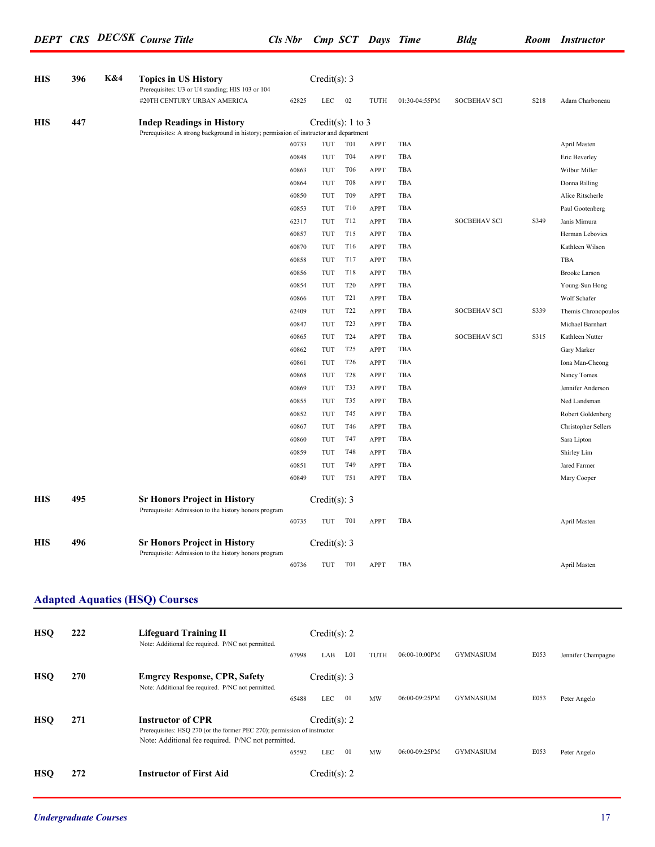| <b>HIS</b> | 396 | K&4 | <b>Topics in US History</b><br>Prerequisites: U3 or U4 standing; HIS 103 or 104                                            |       | Credit $(s)$ : 3      |                  |      |               |                     |      |                      |
|------------|-----|-----|----------------------------------------------------------------------------------------------------------------------------|-------|-----------------------|------------------|------|---------------|---------------------|------|----------------------|
|            |     |     | #20TH CENTURY URBAN AMERICA                                                                                                | 62825 | LEC                   | 02               | TUTH | 01:30-04:55PM | <b>SOCBEHAV SCI</b> | S218 | Adam Charboneau      |
| <b>HIS</b> | 447 |     | <b>Indep Readings in History</b><br>Prerequisites: A strong background in history; permission of instructor and department |       | Credit(s): $1$ to $3$ |                  |      |               |                     |      |                      |
|            |     |     |                                                                                                                            | 60733 | TUT                   | T <sub>0</sub> 1 | APPT | TBA           |                     |      | April Masten         |
|            |     |     |                                                                                                                            | 60848 | TUT                   | T04              | APPT | TBA           |                     |      | Eric Beverley        |
|            |     |     |                                                                                                                            | 60863 | TUT                   | T <sub>06</sub>  | APPT | TBA           |                     |      | Wilbur Miller        |
|            |     |     |                                                                                                                            | 60864 | TUT                   | T <sub>08</sub>  | APPT | TBA           |                     |      | Donna Rilling        |
|            |     |     |                                                                                                                            | 60850 | TUT                   | T <sub>09</sub>  | APPT | TBA           |                     |      | Alice Ritscherle     |
|            |     |     |                                                                                                                            | 60853 | TUT                   | T10              | APPT | TBA           |                     |      | Paul Gootenberg      |
|            |     |     |                                                                                                                            | 62317 | TUT                   | T12              | APPT | TBA           | <b>SOCBEHAV SCI</b> | S349 | Janis Mimura         |
|            |     |     |                                                                                                                            | 60857 | TUT                   | T15              | APPT | TBA           |                     |      | Herman Lebovics      |
|            |     |     |                                                                                                                            | 60870 | TUT                   | T16              | APPT | TBA           |                     |      | Kathleen Wilson      |
|            |     |     |                                                                                                                            | 60858 | TUT                   | T17              | APPT | TBA           |                     |      | TBA                  |
|            |     |     |                                                                                                                            | 60856 | TUT                   | <b>T18</b>       | APPT | TBA           |                     |      | <b>Brooke Larson</b> |
|            |     |     |                                                                                                                            | 60854 | TUT                   | T <sub>20</sub>  | APPT | TBA           |                     |      | Young-Sun Hong       |
|            |     |     |                                                                                                                            | 60866 | TUT                   | T <sub>2</sub> 1 | APPT | TBA           |                     |      | Wolf Schafer         |
|            |     |     |                                                                                                                            | 62409 | TUT                   | T <sub>22</sub>  | APPT | TBA           | <b>SOCBEHAV SCI</b> | S339 | Themis Chronopoulos  |
|            |     |     |                                                                                                                            | 60847 | TUT                   | T <sub>2</sub> 3 | APPT | TBA           |                     |      | Michael Barnhart     |
|            |     |     |                                                                                                                            | 60865 | TUT                   | T <sub>24</sub>  | APPT | TBA           | <b>SOCBEHAV SCI</b> | S315 | Kathleen Nutter      |
|            |     |     |                                                                                                                            | 60862 | TUT                   | T <sub>25</sub>  | APPT | TBA           |                     |      | Gary Marker          |
|            |     |     |                                                                                                                            | 60861 | TUT                   | T <sub>26</sub>  | APPT | TBA           |                     |      | Iona Man-Cheong      |
|            |     |     |                                                                                                                            | 60868 | TUT                   | <b>T28</b>       | APPT | TBA           |                     |      | Nancy Tomes          |
|            |     |     |                                                                                                                            | 60869 | TUT                   | T33              | APPT | TBA           |                     |      | Jennifer Anderson    |
|            |     |     |                                                                                                                            | 60855 | TUT                   | T35              | APPT | TBA           |                     |      | Ned Landsman         |
|            |     |     |                                                                                                                            | 60852 | TUT                   | T45              | APPT | TBA           |                     |      | Robert Goldenberg    |
|            |     |     |                                                                                                                            | 60867 | TUT                   | T46              | APPT | TBA           |                     |      | Christopher Sellers  |
|            |     |     |                                                                                                                            | 60860 | TUT                   | T47              | APPT | TBA           |                     |      | Sara Lipton          |
|            |     |     |                                                                                                                            | 60859 | TUT                   | T48              | APPT | TBA           |                     |      | Shirley Lim          |
|            |     |     |                                                                                                                            | 60851 | TUT                   | T49              | APPT | TBA           |                     |      | Jared Farmer         |
|            |     |     |                                                                                                                            | 60849 | TUT                   | <b>T51</b>       | APPT | TBA           |                     |      | Mary Cooper          |
|            | 495 |     |                                                                                                                            |       |                       |                  |      |               |                     |      |                      |
| <b>HIS</b> |     |     | <b>Sr Honors Project in History</b><br>Prerequisite: Admission to the history honors program                               |       | Credit(s): 3          |                  |      |               |                     |      |                      |
|            |     |     |                                                                                                                            | 60735 | TUT                   | T01              | APPT | TBA           |                     |      | April Masten         |
| <b>HIS</b> | 496 |     | <b>Sr Honors Project in History</b>                                                                                        |       | Credit(s): $3$        |                  |      |               |                     |      |                      |
|            |     |     | Prerequisite: Admission to the history honors program                                                                      | 60736 | TUT                   | T01              | APPT | TBA           |                     |      | April Masten         |
|            |     |     |                                                                                                                            |       |                       |                  |      |               |                     |      |                      |
|            |     |     | <b>Adapted Aquatics (HSQ) Courses</b>                                                                                      |       |                       |                  |      |               |                     |      |                      |
| <b>HSQ</b> | 222 |     | <b>Lifeguard Training II</b>                                                                                               |       | Credit(s): 2          |                  |      |               |                     |      |                      |
|            |     |     | Note: Additional fee required. P/NC not permitted.                                                                         | 67998 | LAB                   | L <sub>01</sub>  | TUTH | 06:00-10:00PM | <b>GYMNASIUM</b>    | E053 | Jennifer Champagne   |
| <b>HSQ</b> | 270 |     | <b>Emgrcy Response, CPR, Safety</b>                                                                                        |       | Credit(s): $3$        |                  |      |               |                     |      |                      |
|            |     |     | Note: Additional fee required. P/NC not permitted.                                                                         | 65488 | LEC                   | $\overline{01}$  | MW   | 06:00-09:25PM | <b>GYMNASIUM</b>    | E053 | Peter Angelo         |
| <b>HSQ</b> | 271 |     | <b>Instructor of CPR</b>                                                                                                   |       | Credit(s): 2          |                  |      |               |                     |      |                      |
|            |     |     |                                                                                                                            |       |                       |                  |      |               |                     |      |                      |

**HSQ 272 Instructor of First Aid** Credit(s): 2

LEC 01 MW 06:00-09:25PM GYMNASIUM E053 Peter Angelo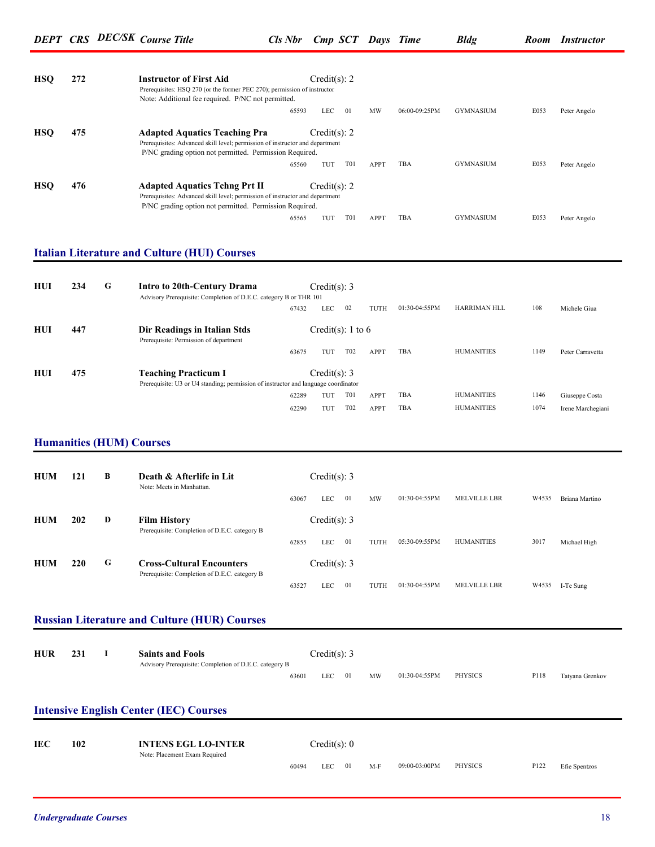| <b>HSO</b> | 272 | Credit(s): 2<br><b>Instructor of First Aid</b><br>Prerequisites: HSQ 270 (or the former PEC 270); permission of instructor<br>Note: Additional fee required. P/NC not permitted.                |
|------------|-----|-------------------------------------------------------------------------------------------------------------------------------------------------------------------------------------------------|
|            |     | 06:00-09:25PM<br><b>GYMNASIUM</b><br>E053<br>-01<br>65593<br>LEC<br><b>MW</b><br>Peter Angelo                                                                                                   |
| <b>HSO</b> | 475 | Credit(s): 2<br><b>Adapted Aquatics Teaching Pra</b><br>Prerequisites: Advanced skill level; permission of instructor and department<br>P/NC grading option not permitted. Permission Required. |
|            |     | <b>TBA</b><br><b>GYMNASIUM</b><br>E053<br><b>T01</b><br>65560<br>TUT<br><b>APPT</b><br>Peter Angelo                                                                                             |
| <b>HSO</b> | 476 | <b>Adapted Aquatics Tchng Prt II</b><br>Credit(s): 2<br>Prerequisites: Advanced skill level; permission of instructor and department<br>P/NC grading option not permitted. Permission Required. |
|            |     | TBA<br>E053<br><b>GYMNASIUM</b><br>T01<br>65565<br><b>APPT</b><br>Peter Angelo<br>TUT                                                                                                           |

#### **Italian Literature and Culture (HUI) Courses**

| HUI | 234 | G | <b>Intro to 20th-Century Drama</b><br>Advisory Prerequisite: Completion of D.E.C. category B or THR 101           |       | Credit(s): 3 |                   |             |               |                     |      |                   |
|-----|-----|---|-------------------------------------------------------------------------------------------------------------------|-------|--------------|-------------------|-------------|---------------|---------------------|------|-------------------|
|     |     |   |                                                                                                                   | 67432 | LEC          | 02                | TUTH        | 01:30-04:55PM | <b>HARRIMAN HLL</b> | 108  | Michele Giua      |
| HUI | 447 |   | Dir Readings in Italian Stds<br>Prerequisite: Permission of department                                            |       |              | Credit(s): 1 to 6 |             |               |                     |      |                   |
|     |     |   |                                                                                                                   | 63675 | TUT          | T <sub>02</sub>   | <b>APPT</b> | TBA           | <b>HUMANITIES</b>   | 1149 | Peter Carravetta  |
| HUI | 475 |   | <b>Teaching Practicum I</b><br>Prerequisite: U3 or U4 standing; permission of instructor and language coordinator |       | Credit(s): 3 |                   |             |               |                     |      |                   |
|     |     |   |                                                                                                                   | 62289 | TUT          | T <sub>0</sub> 1  | <b>APPT</b> | TBA           | <b>HUMANITIES</b>   | 1146 | Giuseppe Costa    |
|     |     |   |                                                                                                                   | 62290 | TUT          | T <sub>02</sub>   | APPT        | TBA           | <b>HUMANITIES</b>   | 1074 | Irene Marchegiani |

### **Humanities (HUM) Courses**

| <b>HUM</b> | 121 | B | Death & Afterlife in Lit<br>Note: Meets in Manhattan.                             |       | Credit(s): 3 |    |      |               |                     |       |                |
|------------|-----|---|-----------------------------------------------------------------------------------|-------|--------------|----|------|---------------|---------------------|-------|----------------|
|            |     |   |                                                                                   | 63067 | LEC          | 01 | MW   | 01:30-04:55PM | <b>MELVILLE LBR</b> | W4535 | Briana Martino |
| <b>HUM</b> | 202 | D | <b>Film History</b><br>Prerequisite: Completion of D.E.C. category B              |       | Credit(s): 3 |    |      |               |                     |       |                |
|            |     |   |                                                                                   | 62855 | LEC          | 01 | TUTH | 05:30-09:55PM | <b>HUMANITIES</b>   | 3017  | Michael High   |
| <b>HUM</b> | 220 | G | <b>Cross-Cultural Encounters</b><br>Prerequisite: Completion of D.E.C. category B |       | Credit(s): 3 |    |      |               |                     |       |                |
|            |     |   |                                                                                   | 63527 | <b>LEC</b>   | 01 | TUTH | 01:30-04:55PM | <b>MELVILLE LBR</b> | W4535 | I-Te Sung      |

### **Russian Literature and Culture (HUR) Courses**

| <b>HUR</b> | 231 | <b>Saints and Fools</b><br>Advisory Prerequisite: Completion of D.E.C. category B |       | Credit(s): 3 |    |    |               |                |      |                 |
|------------|-----|-----------------------------------------------------------------------------------|-------|--------------|----|----|---------------|----------------|------|-----------------|
|            |     |                                                                                   | 63601 | LEC          | 01 | MW | 01:30-04:55PM | <b>PHYSICS</b> | P118 | Tatyana Grenkov |

#### **Intensive English Center (IEC) Courses**

| <b>IEC</b> | 102 | <b>INTENS EGL LO-INTER</b><br>Note: Placement Exam Required |       | Credit(s): 0 |      |     |               |         |      |               |
|------------|-----|-------------------------------------------------------------|-------|--------------|------|-----|---------------|---------|------|---------------|
|            |     |                                                             | 60494 | LEC          | - 01 | M-F | 09:00-03:00PM | PHYSICS | P122 | Efie Spentzos |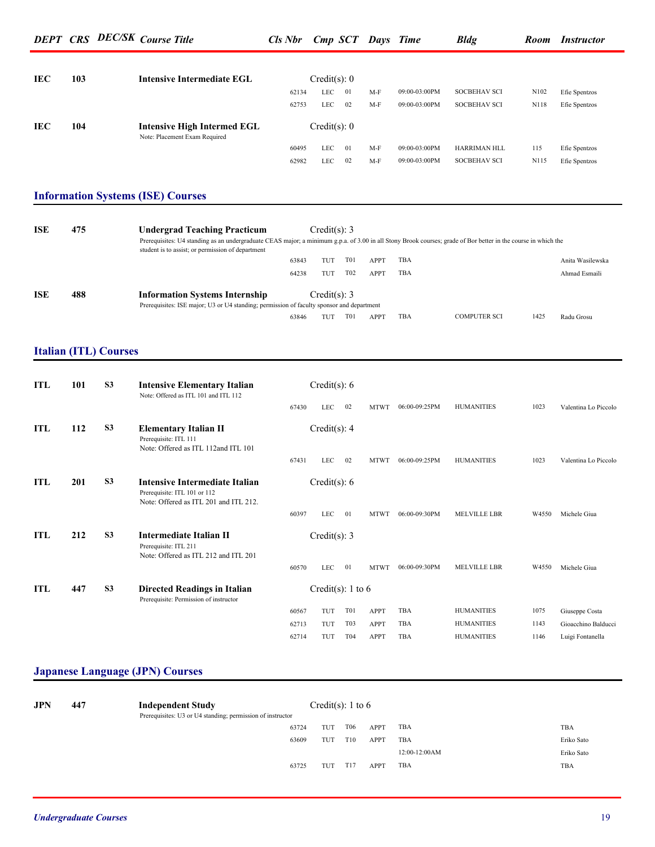|            |     |                              | <b>DEPT CRS DEC/SK Course Title</b>                                                                                                                                                                   | <b>Cls Nbr</b> |                   |                                     | <b>Cmp SCT Days Time</b>   |                    | <b>Bldg</b>                            |              | Room Instructor                         |
|------------|-----|------------------------------|-------------------------------------------------------------------------------------------------------------------------------------------------------------------------------------------------------|----------------|-------------------|-------------------------------------|----------------------------|--------------------|----------------------------------------|--------------|-----------------------------------------|
| <b>IEC</b> | 103 |                              | <b>Intensive Intermediate EGL</b>                                                                                                                                                                     |                | Credit(s): 0      |                                     |                            |                    |                                        |              |                                         |
|            |     |                              |                                                                                                                                                                                                       | 62134          | LEC               | 01                                  | $M-F$                      | 09:00-03:00PM      | <b>SOCBEHAV SCI</b>                    | N102         | Efie Spentzos                           |
|            |     |                              |                                                                                                                                                                                                       | 62753          | LEC               | 02                                  | M-F                        | 09:00-03:00PM      | SOCBEHAV SCI                           | N118         | Efie Spentzos                           |
|            |     |                              |                                                                                                                                                                                                       |                |                   |                                     |                            |                    |                                        |              |                                         |
| <b>IEC</b> | 104 |                              | <b>Intensive High Intermed EGL</b><br>Note: Placement Exam Required                                                                                                                                   |                | Credit(s): 0      |                                     |                            |                    |                                        |              |                                         |
|            |     |                              |                                                                                                                                                                                                       | 60495          | LEC               | 01                                  | M-F                        | 09:00-03:00PM      | HARRIMAN HLL                           | 115          | Efie Spentzos                           |
|            |     |                              |                                                                                                                                                                                                       | 62982          | LEC               | 02                                  | M-F                        | 09:00-03:00PM      | <b>SOCBEHAV SCI</b>                    | N115         | Efie Spentzos                           |
|            |     |                              |                                                                                                                                                                                                       |                |                   |                                     |                            |                    |                                        |              |                                         |
|            |     |                              | <b>Information Systems (ISE) Courses</b>                                                                                                                                                              |                |                   |                                     |                            |                    |                                        |              |                                         |
|            |     |                              |                                                                                                                                                                                                       |                |                   |                                     |                            |                    |                                        |              |                                         |
| ISE        | 475 |                              | <b>Undergrad Teaching Practicum</b><br>Prerequisites: U4 standing as an undergraduate CEAS major; a minimum g.p.a. of 3.00 in all Stony Brook courses; grade of Bor better in the course in which the |                | Credit(s): $3$    |                                     |                            |                    |                                        |              |                                         |
|            |     |                              | student is to assist; or permission of department                                                                                                                                                     |                |                   |                                     |                            |                    |                                        |              |                                         |
|            |     |                              |                                                                                                                                                                                                       | 63843<br>64238 | TUT<br>TUT        | T01<br>T <sub>02</sub>              | <b>APPT</b><br><b>APPT</b> | TBA<br>TBA         |                                        |              | Anita Wasilewska<br>Ahmad Esmaili       |
|            |     |                              |                                                                                                                                                                                                       |                |                   |                                     |                            |                    |                                        |              |                                         |
| ISE        | 488 |                              | <b>Information Systems Internship</b>                                                                                                                                                                 |                | Credit(s): 3      |                                     |                            |                    |                                        |              |                                         |
|            |     |                              | Prerequisites: ISE major; U3 or U4 standing; permission of faculty sponsor and department                                                                                                             |                |                   | T01                                 | APPT                       | TBA                | <b>COMPUTER SCI</b>                    | 1425         | Radu Grosu                              |
|            |     |                              |                                                                                                                                                                                                       |                |                   |                                     |                            |                    |                                        |              |                                         |
|            |     |                              |                                                                                                                                                                                                       | 63846          | TUT               |                                     |                            |                    |                                        |              |                                         |
|            |     |                              |                                                                                                                                                                                                       |                |                   |                                     |                            |                    |                                        |              |                                         |
|            |     | <b>Italian (ITL) Courses</b> |                                                                                                                                                                                                       |                |                   |                                     |                            |                    |                                        |              |                                         |
| <b>ITL</b> | 101 | S <sub>3</sub>               | <b>Intensive Elementary Italian</b>                                                                                                                                                                   |                | Credit(s): $6$    |                                     |                            |                    |                                        |              |                                         |
|            |     |                              | Note: Offered as ITL 101 and ITL 112                                                                                                                                                                  |                |                   |                                     |                            |                    |                                        |              |                                         |
|            |     |                              |                                                                                                                                                                                                       | 67430          | LEC               | - 02                                |                            | MTWT 06:00-09:25PM | <b>HUMANITIES</b>                      | 1023         | Valentina Lo Piccolo                    |
| ITL        | 112 | S <sub>3</sub>               | <b>Elementary Italian II</b><br>Prerequisite: ITL 111                                                                                                                                                 |                | Credit(s): $4$    |                                     |                            |                    |                                        |              |                                         |
|            |     |                              | Note: Offered as ITL 112and ITL 101                                                                                                                                                                   | 67431          | LEC               | 02                                  | MTWT                       | 06:00-09:25PM      | <b>HUMANITIES</b>                      | 1023         | Valentina Lo Piccolo                    |
| <b>ITL</b> | 201 | S <sub>3</sub>               | <b>Intensive Intermediate Italian</b><br>Prerequisite: ITL 101 or 112<br>Note: Offered as ITL 201 and ITL 212.                                                                                        |                | Credit(s): $6$    |                                     |                            |                    |                                        |              |                                         |
|            |     |                              |                                                                                                                                                                                                       | 60397          | LEC               | 01                                  |                            | MTWT 06:00-09:30PM | MELVILLE LBR                           | W4550        | Michele Giua                            |
| ITL        | 212 | S <sub>3</sub>               | <b>Intermediate Italian II</b>                                                                                                                                                                        |                | Credit(s): $3$    |                                     |                            |                    |                                        |              |                                         |
|            |     |                              | Prerequisite: ITL 211<br>Note: Offered as ITL 212 and ITL 201                                                                                                                                         |                |                   |                                     |                            |                    |                                        |              |                                         |
|            |     |                              |                                                                                                                                                                                                       | 60570          | LEC               | 01                                  |                            | MTWT 06:00-09:30PM | MELVILLE LBR                           | W4550        | Michele Giua                            |
| ITL        | 447 | S <sub>3</sub>               | <b>Directed Readings in Italian</b><br>Prerequisite: Permission of instructor                                                                                                                         |                | Credit(s): 1 to 6 |                                     |                            |                    |                                        |              |                                         |
|            |     |                              |                                                                                                                                                                                                       | 60567          | TUT               | T01                                 | <b>APPT</b>                | TBA                | <b>HUMANITIES</b>                      | 1075         | Giuseppe Costa                          |
|            |     |                              |                                                                                                                                                                                                       | 62713<br>62714 | TUT<br>TUT        | T <sub>0</sub> 3<br>T <sub>04</sub> | <b>APPT</b><br><b>APPT</b> | TBA<br>TBA         | <b>HUMANITIES</b><br><b>HUMANITIES</b> | 1143<br>1146 | Gioacchino Balducci<br>Luigi Fontanella |

## **Japanese Language (JPN) Courses**

| <b>JPN</b><br>447 | <b>Independent Study</b><br>Prerequisites: U3 or U4 standing; permission of instructor |       |     | Credit(s): 1 to 6 |             |               |            |
|-------------------|----------------------------------------------------------------------------------------|-------|-----|-------------------|-------------|---------------|------------|
|                   |                                                                                        | 63724 | TUT | T <sub>06</sub>   | APPT        | TBA           | TBA        |
|                   |                                                                                        | 63609 | TUT | T10               | <b>APPT</b> | TBA           | Eriko Sato |
|                   |                                                                                        |       |     |                   |             | 12:00-12:00AM | Eriko Sato |
|                   |                                                                                        | 63725 | TUT | T17               | APPT        | TBA           | TBA        |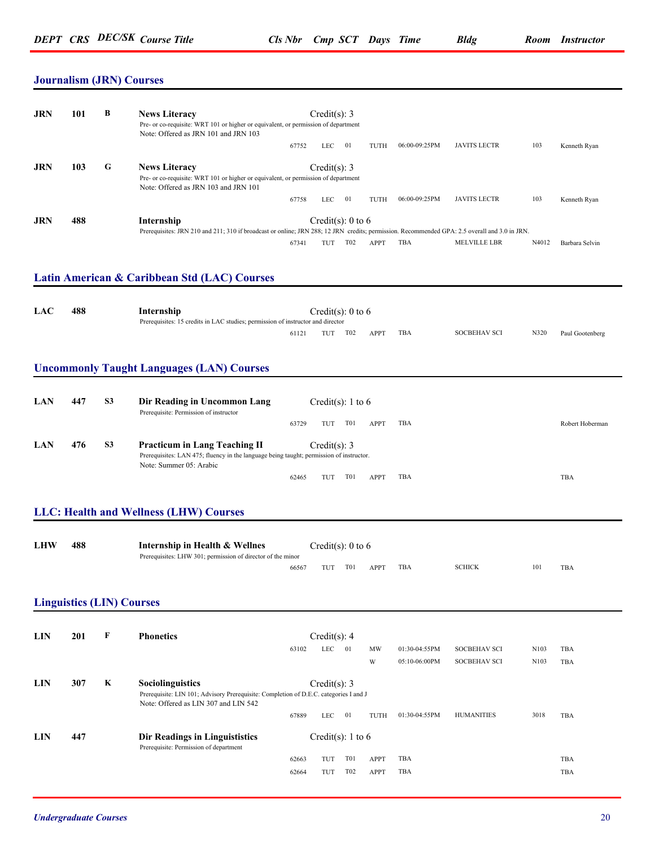#### **Journalism (JRN) Courses**

| <b>JRN</b> | 101 | В | <b>News Literacy</b><br>Pre- or co-requisite: WRT 101 or higher or equivalent, or permission of department<br>Note: Offered as JRN 101 and JRN 103          |       | Credit(s): 3      |                 |             |               |                     |       |                |
|------------|-----|---|-------------------------------------------------------------------------------------------------------------------------------------------------------------|-------|-------------------|-----------------|-------------|---------------|---------------------|-------|----------------|
|            |     |   |                                                                                                                                                             | 67752 | LEC               | 01              | TUTH        | 06:00-09:25PM | <b>JAVITS LECTR</b> | 103   | Kenneth Ryan   |
| <b>JRN</b> | 103 | G | <b>News Literacy</b><br>Pre- or co-requisite: WRT 101 or higher or equivalent, or permission of department<br>Note: Offered as JRN 103 and JRN 101          |       | Credit(s): 3      |                 |             |               |                     |       |                |
|            |     |   |                                                                                                                                                             | 67758 | LEC               | 01              | TUTH        | 06:00-09:25PM | <b>JAVITS LECTR</b> | 103   | Kenneth Ryan   |
| <b>JRN</b> | 488 |   | Internship<br>Prerequisites: JRN 210 and 211; 310 if broadcast or online; JRN 288; 12 JRN credits; permission. Recommended GPA: 2.5 overall and 3.0 in JRN. |       | Credit(s): 0 to 6 |                 |             |               |                     |       |                |
|            |     |   |                                                                                                                                                             | 67341 | TUT               | T <sub>02</sub> | <b>APPT</b> | TBA           | <b>MELVILLE LBR</b> | N4012 | Barbara Selvin |

#### **Latin American & Caribbean Std (LAC) Courses**

| <b>LAC</b> | 488 | Internship                                                                      | Credit(s): 0 to 6 |     |     |      |     |                     |      |                 |  |
|------------|-----|---------------------------------------------------------------------------------|-------------------|-----|-----|------|-----|---------------------|------|-----------------|--|
|            |     | Prerequisites: 15 credits in LAC studies; permission of instructor and director |                   |     |     |      |     |                     |      |                 |  |
|            |     |                                                                                 | 61121             | TUT | T02 | APPT | TBA | <b>SOCBEHAV SCI</b> | N320 | Paul Gootenberg |  |

#### **Uncommonly Taught Languages (LAN) Courses**

| LAN | 447 | <b>S3</b> | Dir Reading in Uncommon Lang<br>Prerequisite: Permission of instructor                  | Credit(s): 1 to 6                                             |                 |
|-----|-----|-----------|-----------------------------------------------------------------------------------------|---------------------------------------------------------------|-----------------|
|     |     |           |                                                                                         | TBA<br>T <sub>0</sub> 1<br><b>TUT</b><br><b>APPT</b><br>63729 | Robert Hoberman |
| LAN | 476 | -S3       | <b>Practicum in Lang Teaching II</b>                                                    | Credit(s): 3                                                  |                 |
|     |     |           | Prerequisites: LAN 475; fluency in the language being taught; permission of instructor. |                                                               |                 |
|     |     |           | Note: Summer 05: Arabic                                                                 |                                                               |                 |
|     |     |           |                                                                                         | TBA<br>T01<br><b>APPT</b><br>62465<br>ГU.                     | TBA             |

#### **LLC: Health and Wellness (LHW) Courses**

| <b>LHW</b> | 488 | Internship in Health & Wellnes<br>Prerequisites: LHW 301; permission of director of the minor | Credit(s): 0 to 6 |     |      |            |               |     |     |
|------------|-----|-----------------------------------------------------------------------------------------------|-------------------|-----|------|------------|---------------|-----|-----|
|            |     | 66567                                                                                         | TUT               | T01 | APPT | <b>TBA</b> | <b>SCHICK</b> | 101 | TBA |

#### **Linguistics (LIN) Courses**

| <b>LIN</b> | 201 | F | <b>Phonetics</b>                                                                                                                                         |       | Credit(s): $4$               |                 |             |               |                     |      |            |
|------------|-----|---|----------------------------------------------------------------------------------------------------------------------------------------------------------|-------|------------------------------|-----------------|-------------|---------------|---------------------|------|------------|
|            |     |   |                                                                                                                                                          | 63102 | <b>LEC</b>                   | 01              | MW          | 01:30-04:55PM | <b>SOCBEHAV SCI</b> | N103 | TBA        |
|            |     |   |                                                                                                                                                          |       |                              |                 | W           | 05:10-06:00PM | <b>SOCBEHAV SCI</b> | N103 | <b>TBA</b> |
| LIN        | 307 | K | <b>Sociolinguistics</b><br>Prerequisite: LIN 101; Advisory Prerequisite: Completion of D.E.C. categories I and J<br>Note: Offered as LIN 307 and LIN 542 | 67889 | Credit(s): $3$<br><b>LEC</b> | 01              | TUTH        | 01:30-04:55PM | <b>HUMANITIES</b>   | 3018 | TBA        |
| <b>LIN</b> | 447 |   | Dir Readings in Linguististics<br>Prerequisite: Permission of department                                                                                 | 62663 | Credit(s): 1 to 6<br>TUT     | <b>T01</b>      | <b>APPT</b> | TBA           |                     |      | TBA        |
|            |     |   |                                                                                                                                                          | 62664 | TUT                          | T <sub>02</sub> | APPT        | TBA           |                     |      | TBA        |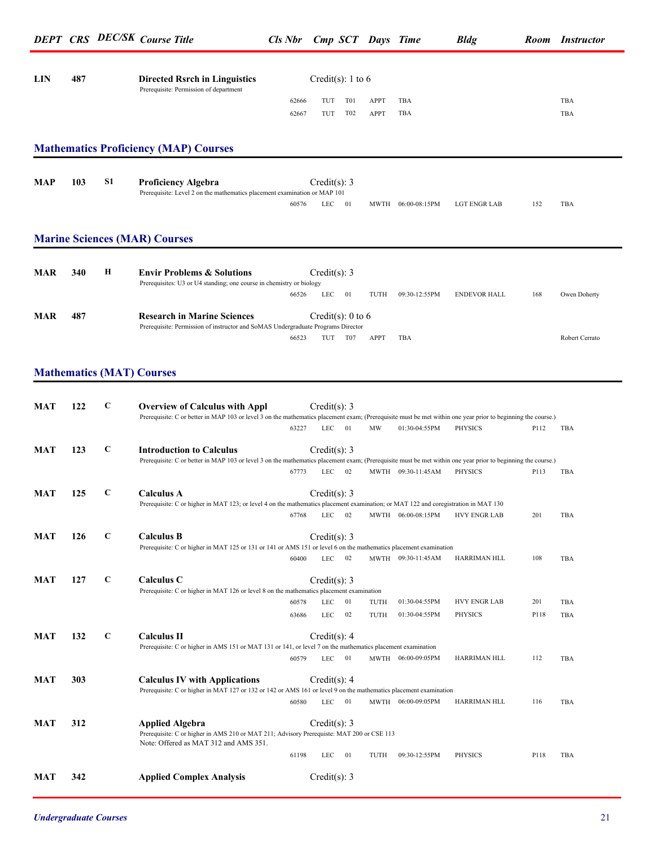|            |     |              |                                                                                                                                                                                                       |                |                                      |              |                    | $\circ$             |      |                |
|------------|-----|--------------|-------------------------------------------------------------------------------------------------------------------------------------------------------------------------------------------------------|----------------|--------------------------------------|--------------|--------------------|---------------------|------|----------------|
| <b>LIN</b> | 487 |              | <b>Directed Rsrch in Linguistics</b>                                                                                                                                                                  |                | Credit(s): 1 to 6                    |              |                    |                     |      |                |
|            |     |              | Prerequisite: Permission of department                                                                                                                                                                | 62666<br>62667 | TUT<br>T01<br>T <sub>02</sub><br>TUT | APPT<br>APPT | TBA<br>TBA         |                     |      | TBA<br>TBA     |
|            |     |              | <b>Mathematics Proficiency (MAP) Courses</b>                                                                                                                                                          |                |                                      |              |                    |                     |      |                |
| MAP        | 103 | S1           | <b>Proficiency Algebra</b><br>Prerequisite: Level 2 on the mathematics placement examination or MAP 101                                                                                               | 60576          | Credit(s): 3<br>01<br>LEC            |              | MWTH 06:00-08:15PM | LGT ENGR LAB        | 152  | TBA            |
|            |     |              | <b>Marine Sciences (MAR) Courses</b>                                                                                                                                                                  |                |                                      |              |                    |                     |      |                |
| <b>MAR</b> | 340 | Н            | <b>Envir Problems &amp; Solutions</b><br>Prerequisites: U3 or U4 standing; one course in chemistry or biology                                                                                         | 66526          | Credit(s): 3<br>01<br><b>LEC</b>     | TUTH         | 09:30-12:55PM      | <b>ENDEVOR HALL</b> | 168  | Owen Doherty   |
| <b>MAR</b> | 487 |              | <b>Research in Marine Sciences</b><br>Prerequisite: Permission of instructor and SoMAS Undergraduate Programs Director                                                                                | 66523          | Credit(s): $0$ to $6$<br>T07<br>TUT  | APPT         | TBA                |                     |      | Robert Cerrato |
|            |     |              | <b>Mathematics (MAT) Courses</b>                                                                                                                                                                      |                |                                      |              |                    |                     |      |                |
| <b>MAT</b> | 122 | C            | <b>Overview of Calculus with Appl</b><br>Prerequisite: C or better in MAP 103 or level 3 on the mathematics placement exam; (Prerequisite must be met within one year prior to beginning the course.) | 63227          | Credit(s): 3<br>01<br><b>LEC</b>     | MW           | 01:30-04:55PM      | <b>PHYSICS</b>      | P112 | TBA            |
| <b>MAT</b> | 123 | C            | <b>Introduction to Calculus</b><br>Prerequisite: C or better in MAP 103 or level 3 on the mathematics placement exam; (Prerequisite must be met within one year prior to beginning the course.)       | 67773          | Credit(s): 3<br>02<br><b>LEC</b>     |              | MWTH 09:30-11:45AM | <b>PHYSICS</b>      | P113 | TBA            |
| <b>MAT</b> | 125 | C            | <b>Calculus A</b><br>Prerequisite: C or higher in MAT 123; or level 4 on the mathematics placement examination; or MAT 122 and coregistration in MAT 130                                              | 67768          | Credit $(s)$ : 3<br>LEC<br>02        |              | MWTH 06:00-08:15PM | <b>HVY ENGR LAB</b> | 201  | TBA            |
| <b>MAT</b> | 126 | C            | <b>Calculus B</b><br>Prerequisite: C or higher in MAT 125 or 131 or 141 or AMS 151 or level 6 on the mathematics placement examination                                                                | 60400          | Credit(s): $3$<br>LEC<br>02          |              | MWTH 09:30-11:45AM | HARRIMAN HLL        | 108  | TBA            |
| <b>MAT</b> | 127 | $\mathbf C$  | Calculus C<br>Prerequisite: C or higher in MAT 126 or level 8 on the mathematics placement examination                                                                                                | 60578          | Credit(s): $3$<br>LEC<br>01          | TUTH         | 01:30-04:55PM      | <b>HVY ENGR LAB</b> | 201  | TBA            |
| <b>MAT</b> | 132 | $\mathbf{C}$ | <b>Calculus II</b>                                                                                                                                                                                    | 63686          | LEC<br>02<br>Credit(s): $4$          | TUTH         | 01:30-04:55PM      | PHYSICS             | P118 | TBA            |
|            |     |              | Prerequisite: C or higher in AMS 151 or MAT 131 or 141, or level 7 on the mathematics placement examination                                                                                           | 60579          | 01<br><b>LEC</b>                     |              | MWTH 06:00-09:05PM | HARRIMAN HLL        | 112  | TBA            |
| <b>MAT</b> | 303 |              | <b>Calculus IV with Applications</b><br>Prerequisite: C or higher in MAT 127 or 132 or 142 or AMS 161 or level 9 on the mathematics placement examination                                             | 60580          | Credit(s): $4$<br><b>LEC</b><br>01   |              | MWTH 06:00-09:05PM | HARRIMAN HLL        | 116  | TBA            |
| <b>MAT</b> | 312 |              | <b>Applied Algebra</b><br>Prerequisite: C or higher in AMS 210 or MAT 211; Advisory Prerequiste: MAT 200 or CSE 113<br>Note: Offered as MAT 312 and AMS 351.                                          |                | Credit(s): 3                         |              |                    |                     |      |                |
| MAT        | 342 |              | <b>Applied Complex Analysis</b>                                                                                                                                                                       | 61198          | 01<br>LEC<br>Credit(s): $3$          | TUTH         | 09:30-12:55PM      | PHYSICS             | P118 | TBA            |
|            |     |              |                                                                                                                                                                                                       |                |                                      |              |                    |                     |      |                |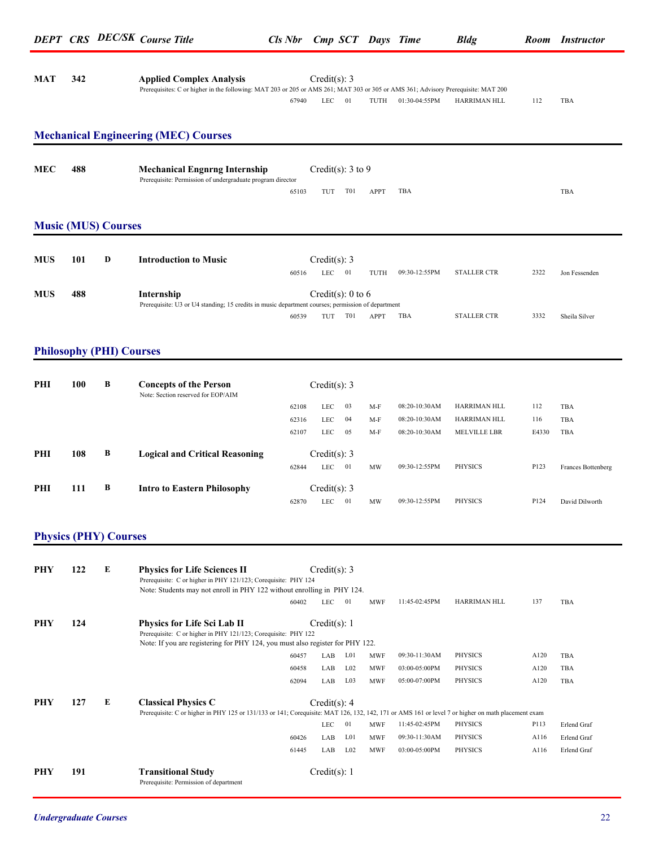| MAT | 342 | <b>Applied Complex Analysis</b>                                                                                                   |       | Credit(s): 3 |      |               |              |     |  |
|-----|-----|-----------------------------------------------------------------------------------------------------------------------------------|-------|--------------|------|---------------|--------------|-----|--|
|     |     | Prerequisites: C or higher in the following: MAT 203 or 205 or AMS 261; MAT 303 or 305 or AMS 361; Advisory Prerequisite: MAT 200 |       |              |      |               |              |     |  |
|     |     |                                                                                                                                   | 67940 | $IEC = 01$   | TUTH | 01:30-04:55PM | HARRIMAN HLL | TBA |  |

### **Mechanical Engineering (MEC) Courses**

| MEC | 488 | <b>Mechanical Engnrng Internship</b><br>Prerequisite: Permission of undergraduate program director | Credit(s): $3$ to $9$ |     |      |     |     |  |
|-----|-----|----------------------------------------------------------------------------------------------------|-----------------------|-----|------|-----|-----|--|
|     |     | 65103                                                                                              | TUT                   | T01 | APPT | TBA | TBA |  |

#### **Music (MUS) Courses**

| <b>MUS</b> | 101 | D | <b>Introduction to Music</b>                                                                      |       | Credit(s): 3 |                   |                  |               |                    |      |               |
|------------|-----|---|---------------------------------------------------------------------------------------------------|-------|--------------|-------------------|------------------|---------------|--------------------|------|---------------|
|            |     |   |                                                                                                   | 60516 | LEC          | -01               | TUTH             | 09:30-12:55PM | <b>STALLER CTR</b> | 2322 | Jon Fessenden |
|            |     |   |                                                                                                   |       |              |                   |                  |               |                    |      |               |
| <b>MUS</b> | 488 |   | Internship                                                                                        |       |              | Credit(s): 0 to 6 |                  |               |                    |      |               |
|            |     |   | Prerequisite: U3 or U4 standing; 15 credits in music department courses; permission of department |       |              |                   |                  |               |                    |      |               |
|            |     |   |                                                                                                   | 60539 | TUT          | T <sub>0</sub> 1  | APP <sup>*</sup> | TBA           | <b>STALLER CTR</b> | 3332 | Sheila Silver |

#### **Philosophy (PHI) Courses**

| PHI | 100 | B | <b>Concepts of the Person</b><br>Note: Section reserved for EOP/AIM |       | Credit(s): 3                 |      |           |               |                     |       |                    |
|-----|-----|---|---------------------------------------------------------------------|-------|------------------------------|------|-----------|---------------|---------------------|-------|--------------------|
|     |     |   |                                                                     | 62108 | <b>LEC</b>                   | 03   | $M-F$     | 08:20-10:30AM | <b>HARRIMAN HLL</b> | 112   | <b>TBA</b>         |
|     |     |   |                                                                     | 62316 | <b>LEC</b>                   | 04   | $M-F$     | 08:20-10:30AM | <b>HARRIMAN HLL</b> | 116   | TBA                |
|     |     |   |                                                                     | 62107 | <b>LEC</b>                   | 05   | $M-F$     | 08:20-10:30AM | <b>MELVILLE LBR</b> | E4330 | <b>TBA</b>         |
| PHI | 108 | B | <b>Logical and Critical Reasoning</b>                               | 62844 | Credit(s): $3$<br><b>LEC</b> | - 01 | <b>MW</b> | 09:30-12:55PM | <b>PHYSICS</b>      | P123  | Frances Bottenberg |
| PHI | 111 | В | <b>Intro to Eastern Philosophy</b>                                  | 62870 | Credit(s): $3$<br><b>LEC</b> | 01   | MW        | 09:30-12:55PM | <b>PHYSICS</b>      | P124  | David Dilworth     |

#### **Physics (PHY) Courses**

| PHY | 122 | E | <b>Physics for Life Sciences II</b><br>Prerequisite: C or higher in PHY 121/123; Corequisite: PHY 124<br>Note: Students may not enroll in PHY 122 without enrolling in PHY 124.       |       | Credit(s): 3 |                 |            |               |                     |      |             |
|-----|-----|---|---------------------------------------------------------------------------------------------------------------------------------------------------------------------------------------|-------|--------------|-----------------|------------|---------------|---------------------|------|-------------|
|     |     |   |                                                                                                                                                                                       | 60402 | <b>LEC</b>   | 01              | <b>MWF</b> | 11:45-02:45PM | <b>HARRIMAN HLL</b> | 137  | <b>TBA</b>  |
| PHY | 124 |   | <b>Physics for Life Sci Lab II</b><br>Prerequisite: C or higher in PHY 121/123; Corequisite: PHY 122<br>Note: If you are registering for PHY 124, you must also register for PHY 122. |       | Credit(s): 1 |                 |            |               |                     |      |             |
|     |     |   |                                                                                                                                                                                       | 60457 | LAB          | L01             | <b>MWF</b> | 09:30-11:30AM | <b>PHYSICS</b>      | A120 | TBA         |
|     |     |   |                                                                                                                                                                                       | 60458 | LAB          | $L_{02}$        | <b>MWF</b> | 03:00-05:00PM | <b>PHYSICS</b>      | A120 | <b>TBA</b>  |
|     |     |   |                                                                                                                                                                                       | 62094 | LAB          | L <sub>03</sub> | <b>MWF</b> | 05:00-07:00PM | <b>PHYSICS</b>      | A120 | TBA         |
| PHY | 127 | E | <b>Classical Physics C</b>                                                                                                                                                            |       | Credit(s): 4 |                 |            |               |                     |      |             |
|     |     |   | Prerequisite: C or higher in PHY 125 or 131/133 or 141; Corequisite: MAT 126, 132, 142, 171 or AMS 161 or level 7 or higher on math placement exam                                    |       |              |                 |            |               |                     |      |             |
|     |     |   |                                                                                                                                                                                       |       | <b>LEC</b>   | 01              | <b>MWF</b> | 11:45-02:45PM | PHYSICS             | P113 | Erlend Graf |
|     |     |   |                                                                                                                                                                                       | 60426 | LAB          | L01             | <b>MWF</b> | 09:30-11:30AM | PHYSICS             | A116 | Erlend Graf |
|     |     |   |                                                                                                                                                                                       | 61445 | LAB          | L02             | <b>MWF</b> | 03:00-05:00PM | <b>PHYSICS</b>      | A116 | Erlend Graf |
| PHY | 191 |   | <b>Transitional Study</b><br>Prerequisite: Permission of department                                                                                                                   |       | Credit(s): 1 |                 |            |               |                     |      |             |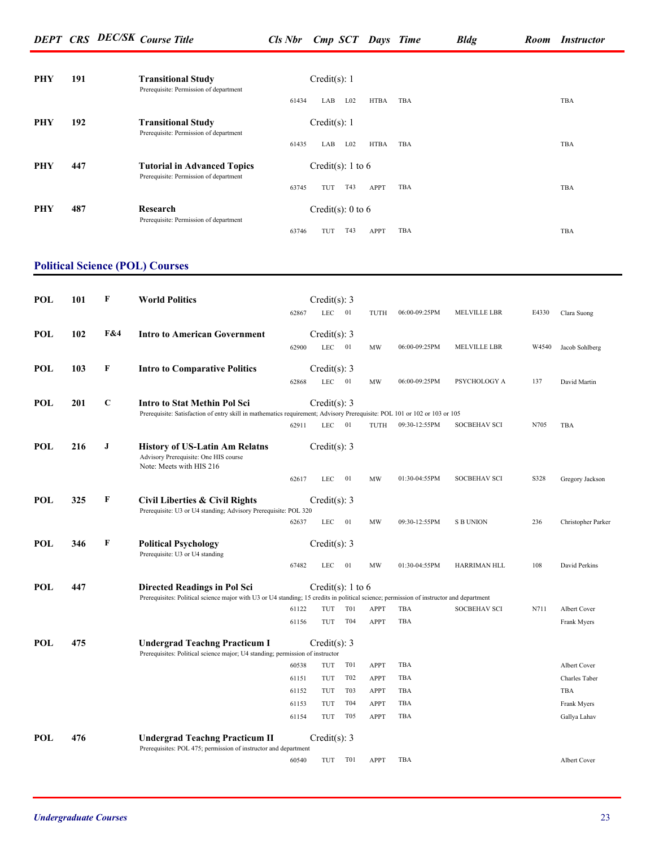*DEPT CRS DEC/SK Course Title Cls Nbr Cmp SCT Days Time Bldg Room Instructor*

| PHY | 191 | <b>Transitional Study</b><br>Prerequisite: Permission of department          | Credit(s): $1$                                               |  |
|-----|-----|------------------------------------------------------------------------------|--------------------------------------------------------------|--|
|     |     |                                                                              | L <sub>02</sub><br>TBA<br>61434<br><b>HTBA</b><br>TBA<br>LAB |  |
| PHY | 192 | <b>Transitional Study</b><br>Prerequisite: Permission of department          | Credit(s): $1$                                               |  |
|     |     |                                                                              | TBA<br>L <sub>02</sub><br>61435<br><b>HTBA</b><br>LAB<br>TBA |  |
| PHY | 447 | <b>Tutorial in Advanced Topics</b><br>Prerequisite: Permission of department | Credit(s): 1 to 6                                            |  |
|     |     |                                                                              | <b>TBA</b><br>T43<br>63745<br>TUT<br>APPT<br>TBA             |  |
| PHY | 487 | Research<br>Prerequisite: Permission of department                           | Credit(s): 0 to 6                                            |  |
|     |     |                                                                              | TBA<br>T43<br><b>TBA</b><br>63746<br>APPT<br>TUT             |  |

### **Political Science (POL) Courses**

| <b>POL</b> | 101 | F           | <b>World Politics</b>                                                                                                                   |       | Credit $(s)$ : 3           |                  |             |               |                     |       |                    |
|------------|-----|-------------|-----------------------------------------------------------------------------------------------------------------------------------------|-------|----------------------------|------------------|-------------|---------------|---------------------|-------|--------------------|
|            |     |             |                                                                                                                                         | 62867 | <b>LEC</b>                 | 01               | TUTH        | 06:00-09:25PM | <b>MELVILLE LBR</b> | E4330 | Clara Suong        |
|            |     |             |                                                                                                                                         |       |                            |                  |             |               |                     |       |                    |
| POL        | 102 | F&4         | <b>Intro to American Government</b>                                                                                                     | 62900 | Credit(s): 3<br><b>LEC</b> | 01               | MW          | 06:00-09:25PM | MELVILLE LBR        | W4540 | Jacob Sohlberg     |
|            |     |             |                                                                                                                                         |       |                            |                  |             |               |                     |       |                    |
| POL        | 103 | F           | <b>Intro to Comparative Politics</b>                                                                                                    |       | Credit(s): $3$             |                  |             |               |                     |       |                    |
|            |     |             |                                                                                                                                         | 62868 | <b>LEC</b>                 | 01               | MW          | 06:00-09:25PM | PSYCHOLOGY A        | 137   | David Martin       |
| POL        | 201 | $\mathbf C$ | <b>Intro to Stat Methin Pol Sci</b>                                                                                                     |       | Credit(s): 3               |                  |             |               |                     |       |                    |
|            |     |             | Prerequisite: Satisfaction of entry skill in mathematics requirement; Advisory Prerequisite: POL 101 or 102 or 103 or 105               |       |                            |                  |             |               |                     |       |                    |
|            |     |             |                                                                                                                                         | 62911 | <b>LEC</b>                 | 01               | TUTH        | 09:30-12:55PM | <b>SOCBEHAV SCI</b> | N705  | TBA                |
| POL        | 216 | J           | <b>History of US-Latin Am Relatns</b><br>Advisory Prerequisite: One HIS course                                                          |       | Credit(s): $3$             |                  |             |               |                     |       |                    |
|            |     |             | Note: Meets with HIS 216                                                                                                                |       |                            |                  |             |               |                     |       |                    |
|            |     |             |                                                                                                                                         | 62617 | <b>LEC</b>                 | 01               | MW          | 01:30-04:55PM | <b>SOCBEHAV SCI</b> | S328  | Gregory Jackson    |
| POL        | 325 | F           | <b>Civil Liberties &amp; Civil Rights</b><br>Prerequisite: U3 or U4 standing; Advisory Prerequisite: POL 320                            |       | Credit(s): $3$             |                  |             |               |                     |       |                    |
|            |     |             |                                                                                                                                         | 62637 | LEC                        | 01               | MW          | 09:30-12:55PM | <b>S B UNION</b>    | 236   | Christopher Parker |
| <b>POL</b> | 346 | F           | <b>Political Psychology</b><br>Prerequisite: U3 or U4 standing                                                                          |       | Credit(s): $3$             |                  |             |               |                     |       |                    |
|            |     |             |                                                                                                                                         | 67482 | <b>LEC</b>                 | 01               | MW          | 01:30-04:55PM | HARRIMAN HLL        | 108   | David Perkins      |
| POL        | 447 |             | Directed Readings in Pol Sci                                                                                                            |       | Credit(s): 1 to 6          |                  |             |               |                     |       |                    |
|            |     |             | Prerequisites: Political science major with U3 or U4 standing; 15 credits in political science; permission of instructor and department |       |                            |                  |             |               |                     |       |                    |
|            |     |             |                                                                                                                                         | 61122 | TUT                        | T <sub>0</sub> 1 | <b>APPT</b> | TBA           | <b>SOCBEHAV SCI</b> | N711  | Albert Cover       |
|            |     |             |                                                                                                                                         | 61156 | TUT                        | T04              | <b>APPT</b> | <b>TBA</b>    |                     |       | Frank Myers        |
| POL        | 475 |             | <b>Undergrad Teachng Practicum I</b>                                                                                                    |       | Credit(s): $3$             |                  |             |               |                     |       |                    |
|            |     |             |                                                                                                                                         |       |                            |                  |             |               |                     |       |                    |
|            |     |             | Prerequisites: Political science major; U4 standing; permission of instructor                                                           | 60538 | TUT                        | T <sub>0</sub> 1 | APPT        | TBA           |                     |       | Albert Cover       |
|            |     |             |                                                                                                                                         | 61151 | TUT                        | T <sub>02</sub>  | <b>APPT</b> | TBA           |                     |       | Charles Taber      |
|            |     |             |                                                                                                                                         | 61152 | TUT                        | T03              | APPT        | TBA           |                     |       | TBA                |
|            |     |             |                                                                                                                                         | 61153 | TUT                        | T04              | APPT        | TBA           |                     |       | Frank Myers        |
|            |     |             |                                                                                                                                         | 61154 | TUT                        | <b>T05</b>       | APPT        | TBA           |                     |       | Gallya Lahav       |
|            |     |             |                                                                                                                                         |       |                            |                  |             |               |                     |       |                    |
| POL        | 476 |             | <b>Undergrad Teachng Practicum II</b><br>Prerequisites: POL 475; permission of instructor and department                                |       | Credit(s): $3$             |                  |             |               |                     |       |                    |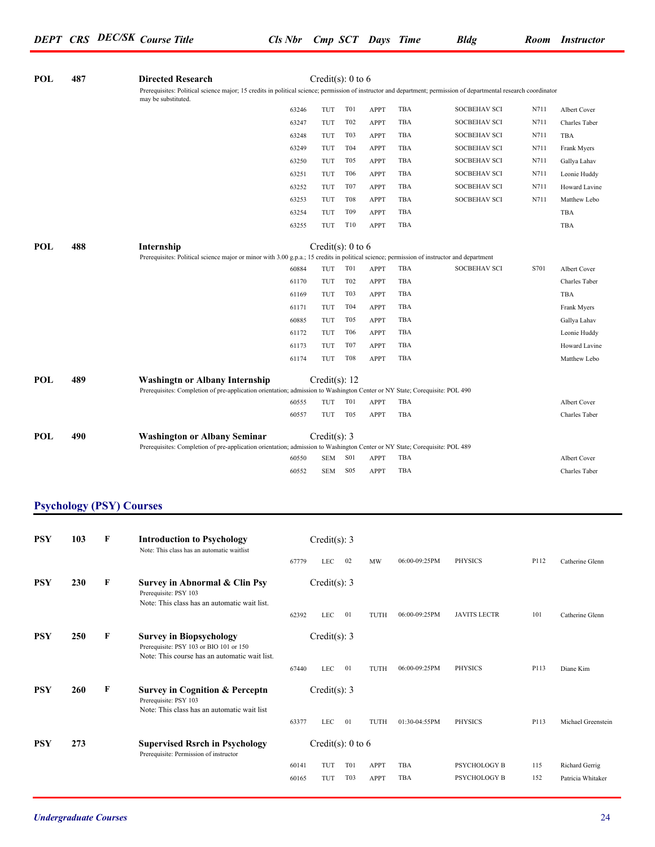| POL        | 487 | <b>Directed Research</b><br>Prerequisites: Political science major; 15 credits in political science; permission of instructor and department; permission of departmental research coordinator<br>may be substituted. |       | Credit(s): 0 to 6     |                  |             |            |                     |      |                     |
|------------|-----|----------------------------------------------------------------------------------------------------------------------------------------------------------------------------------------------------------------------|-------|-----------------------|------------------|-------------|------------|---------------------|------|---------------------|
|            |     |                                                                                                                                                                                                                      | 63246 | TUT                   | T <sub>0</sub> 1 | <b>APPT</b> | TBA        | <b>SOCBEHAV SCI</b> | N711 | Albert Cover        |
|            |     |                                                                                                                                                                                                                      | 63247 | TUT                   | T <sub>02</sub>  | <b>APPT</b> | TBA        | <b>SOCBEHAV SCI</b> | N711 | Charles Taber       |
|            |     |                                                                                                                                                                                                                      | 63248 | TUT                   | T <sub>0</sub> 3 | <b>APPT</b> | TBA        | <b>SOCBEHAV SCI</b> | N711 | TBA                 |
|            |     |                                                                                                                                                                                                                      | 63249 | TUT                   | T04              | <b>APPT</b> | TBA        | <b>SOCBEHAV SCI</b> | N711 | Frank Myers         |
|            |     |                                                                                                                                                                                                                      | 63250 | TUT                   | T <sub>05</sub>  | <b>APPT</b> | TBA        | <b>SOCBEHAV SCI</b> | N711 | Gallya Lahav        |
|            |     |                                                                                                                                                                                                                      | 63251 | TUT                   | <b>T06</b>       | <b>APPT</b> | TBA        | <b>SOCBEHAV SCI</b> | N711 | Leonie Huddy        |
|            |     |                                                                                                                                                                                                                      | 63252 | TUT                   | T <sub>07</sub>  | <b>APPT</b> | TBA        | <b>SOCBEHAV SCI</b> | N711 | Howard Lavine       |
|            |     |                                                                                                                                                                                                                      | 63253 | TUT                   | <b>T08</b>       | <b>APPT</b> | TBA        | <b>SOCBEHAV SCI</b> | N711 | Matthew Lebo        |
|            |     |                                                                                                                                                                                                                      | 63254 | TUT                   | T <sub>09</sub>  | APPT        | TBA        |                     |      | TBA                 |
|            |     |                                                                                                                                                                                                                      | 63255 | TUT                   | T10              | <b>APPT</b> | <b>TBA</b> |                     |      | TBA                 |
| POL        | 488 | Internship<br>Prerequisites: Political science major or minor with 3.00 g.p.a.; 15 credits in political science; permission of instructor and department                                                             |       | Credit(s): $0$ to $6$ |                  |             |            |                     |      |                     |
|            |     |                                                                                                                                                                                                                      | 60884 | TUT                   | T <sub>0</sub> 1 | APPT        | TBA        | <b>SOCBEHAV SCI</b> | S701 | <b>Albert Cover</b> |
|            |     |                                                                                                                                                                                                                      | 61170 | TUT                   | T <sub>02</sub>  | <b>APPT</b> | TBA        |                     |      | Charles Taber       |
|            |     |                                                                                                                                                                                                                      | 61169 | TUT                   | T <sub>0</sub> 3 | <b>APPT</b> | <b>TBA</b> |                     |      | TBA                 |
|            |     |                                                                                                                                                                                                                      | 61171 | TUT                   | T04              | <b>APPT</b> | <b>TBA</b> |                     |      | Frank Myers         |
|            |     |                                                                                                                                                                                                                      | 60885 | TUT                   | T <sub>05</sub>  | <b>APPT</b> | TBA        |                     |      | Gallya Lahav        |
|            |     |                                                                                                                                                                                                                      | 61172 | TUT                   | <b>T06</b>       | <b>APPT</b> | TBA        |                     |      | Leonie Huddy        |
|            |     |                                                                                                                                                                                                                      | 61173 | TUT                   | T <sub>07</sub>  | <b>APPT</b> | <b>TBA</b> |                     |      | Howard Lavine       |
|            |     |                                                                                                                                                                                                                      | 61174 | TUT                   | <b>T08</b>       | <b>APPT</b> | TBA        |                     |      | Matthew Lebo        |
| <b>POL</b> | 489 | <b>Washingtn or Albany Internship</b><br>Prerequisites: Completion of pre-application orientation; admission to Washington Center or NY State; Corequisite: POL 490                                                  |       | Credit(s): $12$       |                  |             |            |                     |      |                     |
|            |     |                                                                                                                                                                                                                      | 60555 | TUT                   | <b>T01</b>       | <b>APPT</b> | <b>TBA</b> |                     |      | <b>Albert Cover</b> |
|            |     |                                                                                                                                                                                                                      | 60557 | TUT                   | T <sub>05</sub>  | <b>APPT</b> | <b>TBA</b> |                     |      | Charles Taber       |
| POL        | 490 | <b>Washington or Albany Seminar</b><br>Prerequisites: Completion of pre-application orientation; admission to Washington Center or NY State; Corequisite: POL 489                                                    |       | Credit(s): 3          |                  |             |            |                     |      |                     |
|            |     |                                                                                                                                                                                                                      | 60550 | <b>SEM</b>            | S <sub>0</sub> 1 | <b>APPT</b> | TBA        |                     |      | <b>Albert Cover</b> |
|            |     |                                                                                                                                                                                                                      | 60552 | <b>SEM</b>            | S05              | <b>APPT</b> | <b>TBA</b> |                     |      | Charles Taber       |

### **Psychology (PSY) Courses**

| <b>PSY</b> | 103        | F | <b>Introduction to Psychology</b><br>Note: This class has an automatic waitlist                                            |       | Credit(s): 3      |                  |             |               |                     |      |                    |
|------------|------------|---|----------------------------------------------------------------------------------------------------------------------------|-------|-------------------|------------------|-------------|---------------|---------------------|------|--------------------|
|            |            |   |                                                                                                                            | 67779 | <b>LEC</b>        | 02               | <b>MW</b>   | 06:00-09:25PM | <b>PHYSICS</b>      | P112 | Catherine Glenn    |
| <b>PSY</b> | <b>230</b> | F | Survey in Abnormal & Clin Psy<br>Prerequisite: PSY 103<br>Note: This class has an automatic wait list.                     |       | Credit(s): 3      |                  |             |               |                     |      |                    |
|            |            |   |                                                                                                                            | 62392 | <b>LEC</b>        | 01               | TUTH        | 06:00-09:25PM | <b>JAVITS LECTR</b> | 101  | Catherine Glenn    |
| <b>PSY</b> | <b>250</b> | F | <b>Survey in Biopsychology</b><br>Prerequisite: PSY 103 or BIO 101 or 150<br>Note: This course has an automatic wait list. |       | Credit(s): 3      |                  |             |               |                     |      |                    |
|            |            |   |                                                                                                                            | 67440 | LEC               | 01               | TUTH        | 06:00-09:25PM | <b>PHYSICS</b>      | P113 | Diane Kim          |
| <b>PSY</b> | <b>260</b> | F | <b>Survey in Cognition &amp; Perceptn</b><br>Prerequisite: PSY 103<br>Note: This class has an automatic wait list          |       | Credit(s): 3      |                  |             |               |                     |      |                    |
|            |            |   |                                                                                                                            | 63377 | <b>LEC</b>        | 01               | TUTH        | 01:30-04:55PM | <b>PHYSICS</b>      | P113 | Michael Greenstein |
| <b>PSY</b> | 273        |   | <b>Supervised Rsrch in Psychology</b><br>Prerequisite: Permission of instructor                                            |       | Credit(s): 0 to 6 |                  |             |               |                     |      |                    |
|            |            |   |                                                                                                                            | 60141 | TUT               | T <sub>0</sub> 1 | <b>APPT</b> | TBA           | <b>PSYCHOLOGY B</b> | 115  | Richard Gerrig     |
|            |            |   |                                                                                                                            | 60165 | TUT               | T03              | <b>APPT</b> | TBA           | PSYCHOLOGY B        | 152  | Patricia Whitaker  |
|            |            |   |                                                                                                                            |       |                   |                  |             |               |                     |      |                    |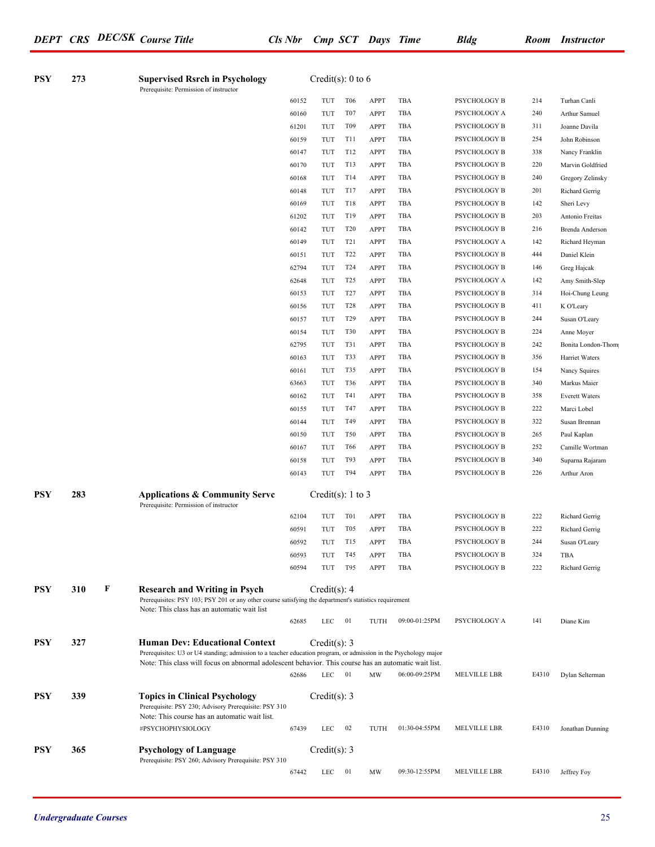*DEPT CRS DEC/SK Course Title Cls Nbr Cmp SCT Days Time Bldg Room Instructor*

| <b>PSY</b> | 273 |   | <b>Supervised Rsrch in Psychology</b><br>Prerequisite: Permission of instructor                                                                                                                                          |       | Credit(s): $0$ to $6$        |                  |             |               |                     |       |                       |
|------------|-----|---|--------------------------------------------------------------------------------------------------------------------------------------------------------------------------------------------------------------------------|-------|------------------------------|------------------|-------------|---------------|---------------------|-------|-----------------------|
|            |     |   |                                                                                                                                                                                                                          | 60152 | TUT                          | T <sub>06</sub>  | <b>APPT</b> | TBA           | PSYCHOLOGY B        | 214   | Turhan Canli          |
|            |     |   |                                                                                                                                                                                                                          | 60160 | TUT                          | T <sub>07</sub>  | <b>APPT</b> | TBA           | PSYCHOLOGY A        | 240   | Arthur Samuel         |
|            |     |   |                                                                                                                                                                                                                          | 61201 | TUT                          | T <sub>09</sub>  | <b>APPT</b> | TBA           | PSYCHOLOGY B        | 311   | Joanne Davila         |
|            |     |   |                                                                                                                                                                                                                          | 60159 | TUT                          | T11              | <b>APPT</b> | TBA           | PSYCHOLOGY B        | 254   | John Robinson         |
|            |     |   |                                                                                                                                                                                                                          | 60147 | TUT                          | T12              | <b>APPT</b> | TBA           | PSYCHOLOGY B        | 338   | Nancy Franklin        |
|            |     |   |                                                                                                                                                                                                                          | 60170 | TUT                          | T13              | <b>APPT</b> | TBA           | PSYCHOLOGY B        | 220   | Marvin Goldfried      |
|            |     |   |                                                                                                                                                                                                                          | 60168 | TUT                          | T14              | <b>APPT</b> | TBA           | PSYCHOLOGY B        | 240   | Gregory Zelinsky      |
|            |     |   |                                                                                                                                                                                                                          | 60148 | TUT                          | T17              | <b>APPT</b> | TBA           | PSYCHOLOGY B        | 201   | Richard Gerrig        |
|            |     |   |                                                                                                                                                                                                                          | 60169 | TUT                          | T18              | <b>APPT</b> | TBA           | PSYCHOLOGY B        | 142   | Sheri Levy            |
|            |     |   |                                                                                                                                                                                                                          | 61202 | TUT                          | T19              | <b>APPT</b> | TBA           | PSYCHOLOGY B        | 203   | Antonio Freitas       |
|            |     |   |                                                                                                                                                                                                                          | 60142 | TUT                          | <b>T20</b>       | <b>APPT</b> | TBA           | PSYCHOLOGY B        | 216   | Brenda Anderson       |
|            |     |   |                                                                                                                                                                                                                          | 60149 | TUT                          | T <sub>2</sub> 1 | <b>APPT</b> | TBA           | PSYCHOLOGY A        | 142   | Richard Heyman        |
|            |     |   |                                                                                                                                                                                                                          | 60151 | TUT                          | T <sub>22</sub>  | <b>APPT</b> | TBA           | PSYCHOLOGY B        | 444   | Daniel Klein          |
|            |     |   |                                                                                                                                                                                                                          | 62794 | TUT                          | T <sub>24</sub>  | <b>APPT</b> | TBA           | PSYCHOLOGY B        | 146   | Greg Hajcak           |
|            |     |   |                                                                                                                                                                                                                          | 62648 | TUT                          | T <sub>25</sub>  | <b>APPT</b> | TBA           | PSYCHOLOGY A        | 142   | Amy Smith-Slep        |
|            |     |   |                                                                                                                                                                                                                          | 60153 | TUT                          | T <sub>27</sub>  | <b>APPT</b> | TBA           | PSYCHOLOGY B        | 314   | Hoi-Chung Leung       |
|            |     |   |                                                                                                                                                                                                                          | 60156 | TUT                          | <b>T28</b>       | <b>APPT</b> | TBA           | PSYCHOLOGY B        | 411   | K O'Leary             |
|            |     |   |                                                                                                                                                                                                                          | 60157 | TUT                          | T <sub>29</sub>  | <b>APPT</b> | TBA           | PSYCHOLOGY B        | 244   | Susan O'Leary         |
|            |     |   |                                                                                                                                                                                                                          | 60154 | TUT                          | <b>T30</b>       | <b>APPT</b> | TBA           | PSYCHOLOGY B        | 224   | Anne Moyer            |
|            |     |   |                                                                                                                                                                                                                          | 62795 | TUT                          | T31              | <b>APPT</b> | TBA           | PSYCHOLOGY B        | 242   | Bonita London-Thom    |
|            |     |   |                                                                                                                                                                                                                          | 60163 | TUT                          | T33              | <b>APPT</b> | TBA           | PSYCHOLOGY B        | 356   | Harriet Waters        |
|            |     |   |                                                                                                                                                                                                                          | 60161 | TUT                          | T35              | <b>APPT</b> | TBA           | PSYCHOLOGY B        | 154   | Nancy Squires         |
|            |     |   |                                                                                                                                                                                                                          | 63663 | TUT                          | T36              | <b>APPT</b> | TBA           | PSYCHOLOGY B        | 340   | Markus Maier          |
|            |     |   |                                                                                                                                                                                                                          | 60162 | TUT                          | T41              | <b>APPT</b> | TBA           | PSYCHOLOGY B        | 358   | <b>Everett Waters</b> |
|            |     |   |                                                                                                                                                                                                                          | 60155 | TUT                          | T47              | <b>APPT</b> | TBA           | PSYCHOLOGY B        | 222   | Marci Lobel           |
|            |     |   |                                                                                                                                                                                                                          | 60144 | TUT                          | T49              | <b>APPT</b> | TBA           | PSYCHOLOGY B        | 322   | Susan Brennan         |
|            |     |   |                                                                                                                                                                                                                          | 60150 | TUT                          | T50              | <b>APPT</b> | TBA           | PSYCHOLOGY B        | 265   | Paul Kaplan           |
|            |     |   |                                                                                                                                                                                                                          | 60167 | TUT                          | T66              | <b>APPT</b> | TBA           | PSYCHOLOGY B        | 252   | Camille Wortman       |
|            |     |   |                                                                                                                                                                                                                          | 60158 | TUT                          | T93              | <b>APPT</b> | TBA           | PSYCHOLOGY B        | 340   | Suparna Rajaram       |
|            |     |   |                                                                                                                                                                                                                          | 60143 | TUT                          | T94              | <b>APPT</b> | TBA           | PSYCHOLOGY B        | 226   |                       |
|            |     |   |                                                                                                                                                                                                                          |       |                              |                  |             |               |                     |       | Arthur Aron           |
| <b>PSY</b> | 283 |   | <b>Applications &amp; Community Serve</b><br>Prerequisite: Permission of instructor                                                                                                                                      |       | Credit(s): $1$ to $3$        |                  |             |               |                     |       |                       |
|            |     |   |                                                                                                                                                                                                                          | 62104 | TUT                          | T <sub>0</sub> 1 | <b>APPT</b> | TBA           | PSYCHOLOGY B        | 222   | Richard Gerrig        |
|            |     |   |                                                                                                                                                                                                                          | 60591 | TUT                          | T <sub>05</sub>  | <b>APPT</b> | TBA           | PSYCHOLOGY B        | 222   | Richard Gerrig        |
|            |     |   |                                                                                                                                                                                                                          | 60592 | TUT                          | T15              | <b>APPT</b> | TBA           | PSYCHOLOGY B        | 244   | Susan O'Leary         |
|            |     |   |                                                                                                                                                                                                                          | 60593 | TUT                          | T45              | APPT        | TBA           | PSYCHOLOGY B        | 324   | TBA                   |
|            |     |   |                                                                                                                                                                                                                          | 60594 | TUT                          | T95              | <b>APPT</b> | TBA           | PSYCHOLOGY B        | 222   | Richard Gerrig        |
| <b>PSY</b> | 310 | F | <b>Research and Writing in Psych</b><br>Prerequisites: PSY 103; PSY 201 or any other course satisfying the department's statistics requirement<br>Note: This class has an automatic wait list                            |       | Credit(s): 4                 |                  |             |               |                     |       |                       |
|            |     |   |                                                                                                                                                                                                                          | 62685 | <b>LEC</b>                   | 01               | TUTH        | 09:00-01:25PM | PSYCHOLOGY A        | 141   | Diane Kim             |
| <b>PSY</b> | 327 |   | <b>Human Dev: Educational Context</b>                                                                                                                                                                                    |       | Credit(s): 3                 |                  |             |               |                     |       |                       |
|            |     |   | Prerequisites: U3 or U4 standing; admission to a teacher education program, or admission in the Psychology major<br>Note: This class will focus on abnormal adolescent behavior. This course has an automatic wait list. |       |                              |                  |             |               |                     |       |                       |
|            |     |   |                                                                                                                                                                                                                          | 62686 | $LEC$ 01                     |                  | MW          | 06:00-09:25PM | MELVILLE LBR        | E4310 | Dylan Selterman       |
| <b>PSY</b> | 339 |   | <b>Topics in Clinical Psychology</b><br>Prerequisite: PSY 230; Advisory Prerequisite: PSY 310<br>Note: This course has an automatic wait list.<br>#PSYCHOPHYSIOLOGY                                                      | 67439 | Credit(s): $3$<br><b>LEC</b> | 02               | TUTH        | 01:30-04:55PM | <b>MELVILLE LBR</b> | E4310 | Jonathan Dunning      |
| <b>PSY</b> | 365 |   | <b>Psychology of Language</b>                                                                                                                                                                                            |       | Credit(s): 3                 |                  |             |               |                     |       |                       |
|            |     |   | Prerequisite: PSY 260; Advisory Prerequisite: PSY 310                                                                                                                                                                    | 67442 | <b>LEC</b>                   | 01               | MW          | 09:30-12:55PM | MELVILLE LBR        | E4310 | Jeffrey Foy           |
|            |     |   |                                                                                                                                                                                                                          |       |                              |                  |             |               |                     |       |                       |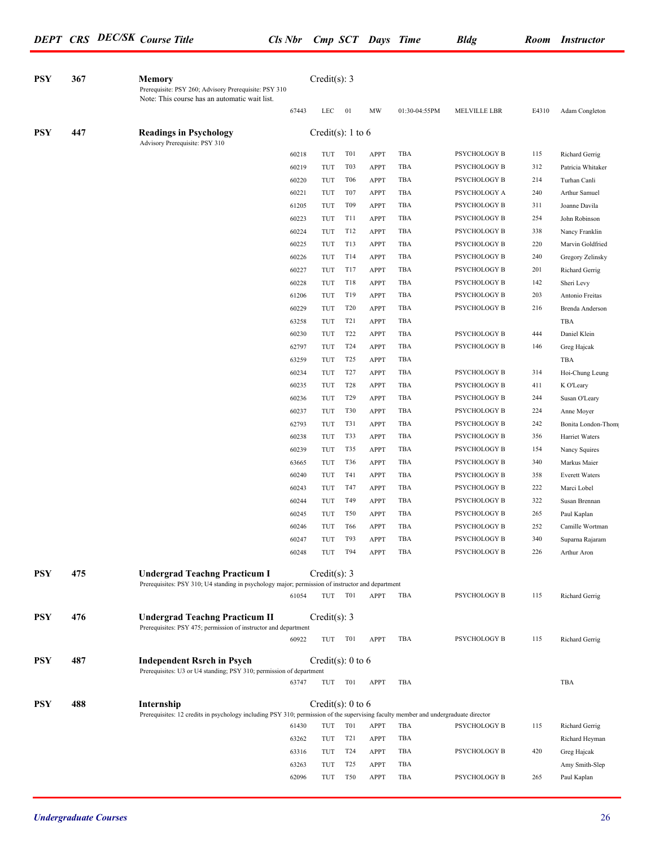| <b>PSY</b> | 367 | <b>Memory</b><br>Prerequisite: PSY 260; Advisory Prerequisite: PSY 310<br>Note: This course has an automatic wait list.                          |       | Credit $(s)$ : 3  |                  |             |               |              |       |                       |
|------------|-----|--------------------------------------------------------------------------------------------------------------------------------------------------|-------|-------------------|------------------|-------------|---------------|--------------|-------|-----------------------|
|            |     |                                                                                                                                                  | 67443 | LEC               | 01               | MW          | 01:30-04:55PM | MELVILLE LBR | E4310 | Adam Congleton        |
| <b>PSY</b> | 447 | <b>Readings in Psychology</b><br>Advisory Prerequisite: PSY 310                                                                                  |       | Credit(s): 1 to 6 |                  |             |               |              |       |                       |
|            |     |                                                                                                                                                  | 60218 | TUT               | T01              | <b>APPT</b> | TBA           | PSYCHOLOGY B | 115   | Richard Gerrig        |
|            |     |                                                                                                                                                  | 60219 | TUT               | T <sub>0</sub> 3 | <b>APPT</b> | TBA           | PSYCHOLOGY B | 312   | Patricia Whitaker     |
|            |     |                                                                                                                                                  | 60220 | TUT               | <b>T06</b>       | <b>APPT</b> | TBA           | PSYCHOLOGY B | 214   | Turhan Canli          |
|            |     |                                                                                                                                                  | 60221 | TUT               | T <sub>07</sub>  | <b>APPT</b> | TBA           | PSYCHOLOGY A | 240   | Arthur Samuel         |
|            |     |                                                                                                                                                  | 61205 | TUT               | T <sub>09</sub>  | <b>APPT</b> | TBA           | PSYCHOLOGY B | 311   | Joanne Davila         |
|            |     |                                                                                                                                                  | 60223 | TUT               | <b>T11</b>       | <b>APPT</b> | TBA           | PSYCHOLOGY B | 254   | John Robinson         |
|            |     |                                                                                                                                                  | 60224 | TUT               | T12              | <b>APPT</b> | TBA           | PSYCHOLOGY B | 338   | Nancy Franklin        |
|            |     |                                                                                                                                                  | 60225 | TUT               | T13              | <b>APPT</b> | TBA           | PSYCHOLOGY B | 220   | Marvin Goldfried      |
|            |     |                                                                                                                                                  | 60226 | TUT               | T14              | <b>APPT</b> | TBA           | PSYCHOLOGY B | 240   | Gregory Zelinsky      |
|            |     |                                                                                                                                                  | 60227 | TUT               | T17              | <b>APPT</b> | TBA           | PSYCHOLOGY B | 201   | Richard Gerrig        |
|            |     |                                                                                                                                                  | 60228 | TUT               | <b>T18</b>       | <b>APPT</b> | TBA           | PSYCHOLOGY B | 142   | Sheri Levy            |
|            |     |                                                                                                                                                  | 61206 | TUT               | T19              | <b>APPT</b> | TBA           | PSYCHOLOGY B | 203   | Antonio Freitas       |
|            |     |                                                                                                                                                  | 60229 | TUT               | T <sub>20</sub>  | <b>APPT</b> | TBA           | PSYCHOLOGY B | 216   | Brenda Anderson       |
|            |     |                                                                                                                                                  | 63258 | TUT               | T <sub>2</sub> 1 | <b>APPT</b> | TBA           |              |       | TBA                   |
|            |     |                                                                                                                                                  | 60230 | TUT               | T <sub>22</sub>  | <b>APPT</b> | TBA           | PSYCHOLOGY B | 444   | Daniel Klein          |
|            |     |                                                                                                                                                  | 62797 | TUT               | T <sub>24</sub>  | <b>APPT</b> | TBA           | PSYCHOLOGY B | 146   | Greg Hajcak           |
|            |     |                                                                                                                                                  | 63259 | TUT               | T <sub>25</sub>  | <b>APPT</b> | TBA           |              |       | TBA                   |
|            |     |                                                                                                                                                  | 60234 | TUT               | T <sub>27</sub>  | <b>APPT</b> | TBA           | PSYCHOLOGY B | 314   | Hoi-Chung Leung       |
|            |     |                                                                                                                                                  | 60235 | TUT               | <b>T28</b>       | <b>APPT</b> | TBA           | PSYCHOLOGY B | 411   | K O'Leary             |
|            |     |                                                                                                                                                  | 60236 | TUT               | T <sub>29</sub>  | <b>APPT</b> | TBA           | PSYCHOLOGY B | 244   | Susan O'Leary         |
|            |     |                                                                                                                                                  | 60237 | TUT               | T30              | <b>APPT</b> | TBA           | PSYCHOLOGY B | 224   | Anne Moyer            |
|            |     |                                                                                                                                                  | 62793 | TUT               | T31              | <b>APPT</b> | TBA           | PSYCHOLOGY B | 242   | Bonita London-Thom    |
|            |     |                                                                                                                                                  | 60238 | TUT               | T33              | <b>APPT</b> | TBA           | PSYCHOLOGY B | 356   | Harriet Waters        |
|            |     |                                                                                                                                                  | 60239 | TUT               | T35              | <b>APPT</b> | TBA           | PSYCHOLOGY B | 154   | Nancy Squires         |
|            |     |                                                                                                                                                  | 63665 | TUT               | T36              | <b>APPT</b> | TBA           | PSYCHOLOGY B | 340   | Markus Maier          |
|            |     |                                                                                                                                                  | 60240 | TUT               | T41              | <b>APPT</b> | TBA           | PSYCHOLOGY B | 358   | <b>Everett Waters</b> |
|            |     |                                                                                                                                                  | 60243 | TUT               | T47              | <b>APPT</b> | TBA           | PSYCHOLOGY B | 222   | Marci Lobel           |
|            |     |                                                                                                                                                  | 60244 | TUT               | T49              | <b>APPT</b> | TBA           | PSYCHOLOGY B | 322   | Susan Brennan         |
|            |     |                                                                                                                                                  | 60245 | TUT               | <b>T50</b>       | <b>APPT</b> | TBA           | PSYCHOLOGY B | 265   | Paul Kaplan           |
|            |     |                                                                                                                                                  | 60246 | TUT               | T <sub>66</sub>  | <b>APPT</b> | TBA           | PSYCHOLOGY B | 252   | Camille Wortman       |
|            |     |                                                                                                                                                  | 60247 | TUT               | T93              | <b>APPT</b> | TBA           | PSYCHOLOGY B | 340   | Suparna Rajaram       |
|            |     |                                                                                                                                                  | 60248 | TUT T94           |                  | APPT        | TBA           | PSYCHOLOGY B | 226   | Arthur Aron           |
| <b>PSY</b> | 475 | <b>Undergrad Teachng Practicum I</b><br>Prerequisites: PSY 310; U4 standing in psychology major; permission of instructor and department         |       | Credit(s): $3$    |                  |             |               |              |       |                       |
|            |     |                                                                                                                                                  | 61054 | TUT               | T01              | APPT        | TBA           | PSYCHOLOGY B | 115   | Richard Gerrig        |
| <b>PSY</b> | 476 | <b>Undergrad Teachng Practicum II</b><br>Prerequisites: PSY 475; permission of instructor and department                                         |       | Credit(s): $3$    |                  |             |               |              |       |                       |
|            |     |                                                                                                                                                  | 60922 | TUT               | T01              | APPT        | TBA           | PSYCHOLOGY B | 115   | Richard Gerrig        |
| <b>PSY</b> | 487 | <b>Independent Rsrch in Psych</b><br>Prerequisites: U3 or U4 standing; PSY 310; permission of department                                         |       | Credit(s): 0 to 6 |                  |             |               |              |       |                       |
|            |     |                                                                                                                                                  | 63747 | TUT T01           |                  | APPT        | TBA           |              |       | TBA                   |
| <b>PSY</b> | 488 | Internship<br>Prerequisites: 12 credits in psychology including PSY 310; permission of the supervising faculty member and undergraduate director |       | Credit(s): 0 to 6 |                  |             |               |              |       |                       |
|            |     |                                                                                                                                                  | 61430 | TUT               | T <sub>0</sub> 1 | <b>APPT</b> | TBA           | PSYCHOLOGY B | 115   | Richard Gerrig        |
|            |     |                                                                                                                                                  | 63262 | TUT               | T <sub>21</sub>  | <b>APPT</b> | TBA           |              |       | Richard Heyman        |
|            |     |                                                                                                                                                  | 63316 | TUT               | T <sub>24</sub>  | <b>APPT</b> | TBA           | PSYCHOLOGY B | 420   | Greg Hajcak           |
|            |     |                                                                                                                                                  | 63263 | TUT               | T <sub>25</sub>  | <b>APPT</b> | TBA           |              |       | Amy Smith-Slep        |
|            |     |                                                                                                                                                  | 62096 | TUT               | <b>T50</b>       | <b>APPT</b> | TBA           | PSYCHOLOGY B | 265   | Paul Kaplan           |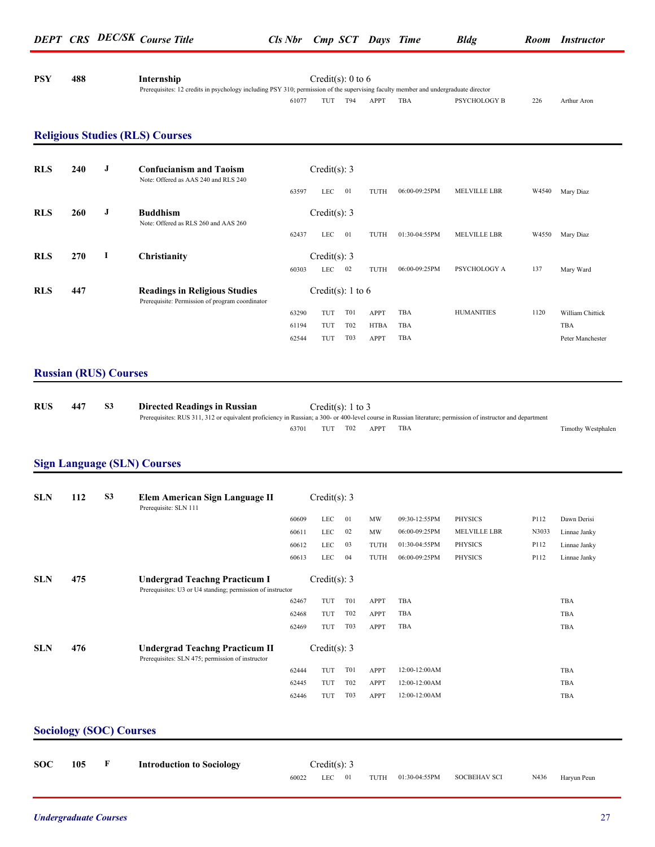| PSY | 488 | Internship                                                                                                                         |       | Credit(s): $0$ to $6$ |     |      |     |              |     |             |
|-----|-----|------------------------------------------------------------------------------------------------------------------------------------|-------|-----------------------|-----|------|-----|--------------|-----|-------------|
|     |     | Prerequisites: 12 credits in psychology including PSY 310; permission of the supervising faculty member and undergraduate director |       |                       |     |      |     |              |     |             |
|     |     |                                                                                                                                    | 61077 | TUT                   | T94 | APPT | TBA | PSYCHOLOGY B | 226 | Arthur Aron |

#### **Religious Studies (RLS) Courses**

| <b>RLS</b> | 240 | J  | <b>Confucianism and Taoism</b><br>Note: Offered as AAS 240 and RLS 240                  |       | Credit(s): 3      |                  |             |               |                     |       |                  |
|------------|-----|----|-----------------------------------------------------------------------------------------|-------|-------------------|------------------|-------------|---------------|---------------------|-------|------------------|
|            |     |    |                                                                                         | 63597 | <b>LEC</b>        | 01               | TUTH        | 06:00-09:25PM | <b>MELVILLE LBR</b> | W4540 | Mary Diaz        |
| <b>RLS</b> | 260 | J  | <b>Buddhism</b><br>Note: Offered as RLS 260 and AAS 260                                 |       | Credit(s): 3      |                  |             |               |                     |       |                  |
|            |     |    |                                                                                         | 62437 | <b>LEC</b>        | 01               | TUTH        | 01:30-04:55PM | <b>MELVILLE LBR</b> | W4550 | Mary Diaz        |
| <b>RLS</b> | 270 | -1 | Christianity                                                                            |       | Credit(s): 3      |                  |             |               |                     |       |                  |
|            |     |    |                                                                                         | 60303 | <b>LEC</b>        | 02               | TUTH        | 06:00-09:25PM | PSYCHOLOGY A        | 137   | Mary Ward        |
| <b>RLS</b> | 447 |    | <b>Readings in Religious Studies</b><br>Prerequisite: Permission of program coordinator |       | Credit(s): 1 to 6 |                  |             |               |                     |       |                  |
|            |     |    |                                                                                         | 63290 | TUT               | <b>T01</b>       | <b>APPT</b> | TBA           | <b>HUMANITIES</b>   | 1120  | William Chittick |
|            |     |    |                                                                                         | 61194 | TUT               | T <sub>02</sub>  | <b>HTBA</b> | TBA           |                     |       | TBA              |
|            |     |    |                                                                                         | 62544 | TUT               | T <sub>0</sub> 3 | APPT        | TBA           |                     |       | Peter Manchester |

#### **Russian (RUS) Courses**

| <b>RUS</b> | 447 | Directed Readings in Russian                                                                                                                                |       |     | Credit(s): 1 to 3 |      |     |                    |
|------------|-----|-------------------------------------------------------------------------------------------------------------------------------------------------------------|-------|-----|-------------------|------|-----|--------------------|
|            |     | Prerequisites: RUS 311, 312 or equivalent proficiency in Russian; a 300- or 400-level course in Russian literature; permission of instructor and department |       |     |                   |      |     |                    |
|            |     |                                                                                                                                                             | 63701 | TUT | T02               | APPT | TBA | Timothy Westphalen |

#### **Sign Language (SLN) Courses**

| <b>SLN</b> | 112 | S <sub>3</sub> | Elem American Sign Language II<br>Prerequisite: SLN 111                                            |       | Credit(s): $3$ |                  |             |               |                     |       |              |
|------------|-----|----------------|----------------------------------------------------------------------------------------------------|-------|----------------|------------------|-------------|---------------|---------------------|-------|--------------|
|            |     |                |                                                                                                    | 60609 | LEC            | 01               | MW          | 09:30-12:55PM | PHYSICS             | P112  | Dawn Derisi  |
|            |     |                |                                                                                                    | 60611 | <b>LEC</b>     | 02               | MW          | 06:00-09:25PM | <b>MELVILLE LBR</b> | N3033 | Linnae Janky |
|            |     |                |                                                                                                    | 60612 | LEC            | 03               | TUTH        | 01:30-04:55PM | <b>PHYSICS</b>      | P112  | Linnae Janky |
|            |     |                |                                                                                                    | 60613 | LEC            | 04               | TUTH        | 06:00-09:25PM | PHYSICS             | P112  | Linnae Janky |
| <b>SLN</b> | 475 |                | <b>Undergrad Teachng Practicum I</b><br>Prerequisites: U3 or U4 standing; permission of instructor |       | Credit(s): $3$ |                  |             |               |                     |       |              |
|            |     |                |                                                                                                    | 62467 | TUT            | T <sub>0</sub> 1 | APPT        | <b>TBA</b>    |                     |       | TBA          |
|            |     |                |                                                                                                    | 62468 | TUT            | T <sub>02</sub>  | APPT        | <b>TBA</b>    |                     |       | TBA          |
|            |     |                |                                                                                                    | 62469 | TUT            | T <sub>0</sub> 3 | <b>APPT</b> | TBA           |                     |       | TBA          |
| <b>SLN</b> | 476 |                | <b>Undergrad Teachng Practicum II</b><br>Prerequisites: SLN 475; permission of instructor          |       | Credit(s): $3$ |                  |             |               |                     |       |              |
|            |     |                |                                                                                                    | 62444 | TUT            | T <sub>0</sub> 1 | <b>APPT</b> | 12:00-12:00AM |                     |       | TBA          |
|            |     |                |                                                                                                    | 62445 | TUT            | T <sub>02</sub>  | <b>APPT</b> | 12:00-12:00AM |                     |       | TBA          |
|            |     |                |                                                                                                    | 62446 | TUT            | T <sub>0</sub> 3 | APPT        | 12:00-12:00AM |                     |       | TBA          |
|            |     |                |                                                                                                    |       |                |                  |             |               |                     |       |              |

### **Sociology (SOC) Courses**

| <b>SOC</b> | 105 | <b>Introduction to Sociology</b> |       | Credit(s): 3 |  |                           |              |      |             |
|------------|-----|----------------------------------|-------|--------------|--|---------------------------|--------------|------|-------------|
|            |     |                                  | 60022 |              |  | LEC 01 TUTH 01:30-04:55PM | SOCBEHAV SCI | N436 | Harvun Peun |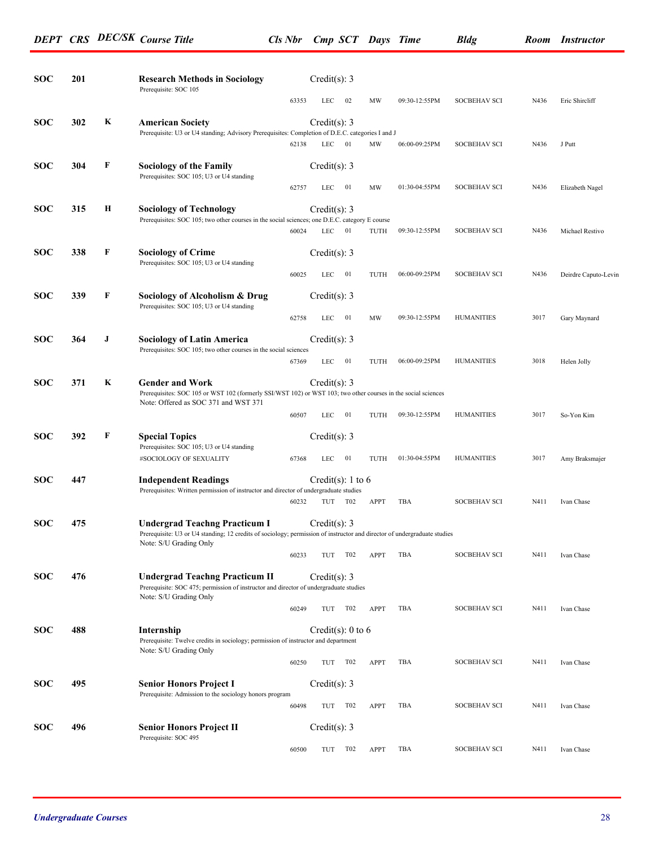| <b>SOC</b> | 201 |   | <b>Research Methods in Sociology</b><br>Prerequisite: SOC 105                                                                                                                   |       | Credit $(s)$ : 3             |                 |             |               |                     |      |                      |
|------------|-----|---|---------------------------------------------------------------------------------------------------------------------------------------------------------------------------------|-------|------------------------------|-----------------|-------------|---------------|---------------------|------|----------------------|
|            |     |   |                                                                                                                                                                                 | 63353 | <b>LEC</b>                   | 02              | MW          | 09:30-12:55PM | <b>SOCBEHAV SCI</b> | N436 | Eric Shireliff       |
| <b>SOC</b> | 302 | K | <b>American Society</b><br>Prerequisite: U3 or U4 standing; Advisory Prerequisites: Completion of D.E.C. categories I and J                                                     |       | Credit(s): $3$               |                 |             |               |                     |      |                      |
|            |     |   |                                                                                                                                                                                 | 62138 | LEC                          | 01              | MW          | 06:00-09:25PM | <b>SOCBEHAV SCI</b> | N436 | J Putt               |
| <b>SOC</b> | 304 | F | <b>Sociology of the Family</b><br>Prerequisites: SOC 105; U3 or U4 standing                                                                                                     | 62757 | Credit(s): $3$<br><b>LEC</b> | 01              | MW          | 01:30-04:55PM | <b>SOCBEHAV SCI</b> | N436 | Elizabeth Nagel      |
| <b>SOC</b> | 315 | Н | <b>Sociology of Technology</b>                                                                                                                                                  |       | Credit(s): 3                 |                 |             |               |                     |      |                      |
|            |     |   | Prerequisites: SOC 105; two other courses in the social sciences; one D.E.C. category E course                                                                                  | 60024 | <b>LEC</b>                   | - 01            | TUTH        | 09:30-12:55PM | <b>SOCBEHAV SCI</b> | N436 | Michael Restivo      |
| <b>SOC</b> | 338 | F | <b>Sociology of Crime</b><br>Prerequisites: SOC 105; U3 or U4 standing                                                                                                          |       | Credit(s): $3$               |                 |             |               |                     |      |                      |
|            |     |   |                                                                                                                                                                                 | 60025 | <b>LEC</b>                   | - 01            | TUTH        | 06:00-09:25PM | <b>SOCBEHAV SCI</b> | N436 | Deirdre Caputo-Levin |
| <b>SOC</b> | 339 | F | Sociology of Alcoholism & Drug<br>Prerequisites: SOC 105; U3 or U4 standing                                                                                                     | 62758 | Credit(s): 3<br>LEC          | - 01            | MW          | 09:30-12:55PM | <b>HUMANITIES</b>   | 3017 | Gary Maynard         |
| <b>SOC</b> | 364 | J | <b>Sociology of Latin America</b>                                                                                                                                               |       | Credit(s): $3$               |                 |             |               |                     |      |                      |
|            |     |   | Prerequisites: SOC 105; two other courses in the social sciences                                                                                                                | 67369 | LEC                          | - 01            | TUTH        | 06:00-09:25PM | <b>HUMANITIES</b>   | 3018 | Helen Jolly          |
| <b>SOC</b> | 371 | K | <b>Gender and Work</b><br>Prerequisites: SOC 105 or WST 102 (formerly SSI/WST 102) or WST 103; two other courses in the social sciences<br>Note: Offered as SOC 371 and WST 371 |       | Credit(s): $3$               |                 |             |               |                     |      |                      |
|            |     |   |                                                                                                                                                                                 | 60507 | LEC                          | - 01            | TUTH        | 09:30-12:55PM | <b>HUMANITIES</b>   | 3017 | So-Yon Kim           |
| <b>SOC</b> | 392 | F | <b>Special Topics</b><br>Prerequisites: SOC 105; U3 or U4 standing<br>#SOCIOLOGY OF SEXUALITY                                                                                   | 67368 | Credit(s): $3$<br>LEC        | 01              | TUTH        | 01:30-04:55PM | <b>HUMANITIES</b>   | 3017 | Amy Braksmajer       |
| <b>SOC</b> | 447 |   | <b>Independent Readings</b>                                                                                                                                                     |       | Credit(s): 1 to 6            |                 |             |               |                     |      |                      |
|            |     |   | Prerequisites: Written permission of instructor and director of undergraduate studies                                                                                           | 60232 | TUT                          | T02             | <b>APPT</b> | TBA           | <b>SOCBEHAV SCI</b> | N411 | Ivan Chase           |
| <b>SOC</b> | 475 |   | <b>Undergrad Teachng Practicum I</b><br>Prerequisite: U3 or U4 standing; 12 credits of sociology; permission of instructor and director of undergraduate studies                |       | Credit(s): 3                 |                 |             |               |                     |      |                      |
|            |     |   | Note: S/U Grading Only                                                                                                                                                          | 60233 | TUT T02                      |                 | APPT        | TBA           | SOCBEHAV SCI        | N411 | Ivan Chase           |
| <b>SOC</b> | 476 |   | <b>Undergrad Teachng Practicum II</b><br>Prerequisite: SOC 475; permission of instructor and director of undergraduate studies                                                  |       | Credit(s): $3$               |                 |             |               |                     |      |                      |
|            |     |   | Note: S/U Grading Only                                                                                                                                                          | 60249 | TUT                          | T02             | APPT        | TBA           | <b>SOCBEHAV SCI</b> | N411 | Ivan Chase           |
| <b>SOC</b> | 488 |   | Internship<br>Prerequisite: Twelve credits in sociology; permission of instructor and department<br>Note: S/U Grading Only                                                      |       | Credit(s): 0 to 6            |                 |             |               |                     |      |                      |
|            |     |   |                                                                                                                                                                                 | 60250 | TUT                          | T02             | <b>APPT</b> | TBA           | <b>SOCBEHAV SCI</b> | N411 | Ivan Chase           |
| <b>SOC</b> | 495 |   | <b>Senior Honors Project I</b><br>Prerequisite: Admission to the sociology honors program                                                                                       |       | Credit(s): $3$               |                 |             |               |                     |      |                      |
|            |     |   |                                                                                                                                                                                 | 60498 | TUT                          | T02             | <b>APPT</b> | TBA           | <b>SOCBEHAV SCI</b> | N411 | Ivan Chase           |
| <b>SOC</b> | 496 |   | <b>Senior Honors Project II</b><br>Prerequisite: SOC 495                                                                                                                        |       | Credit(s): 3                 |                 |             |               |                     |      |                      |
|            |     |   |                                                                                                                                                                                 | 60500 | TUT                          | T <sub>02</sub> | APPT        | TBA           | <b>SOCBEHAV SCI</b> | N411 | Ivan Chase           |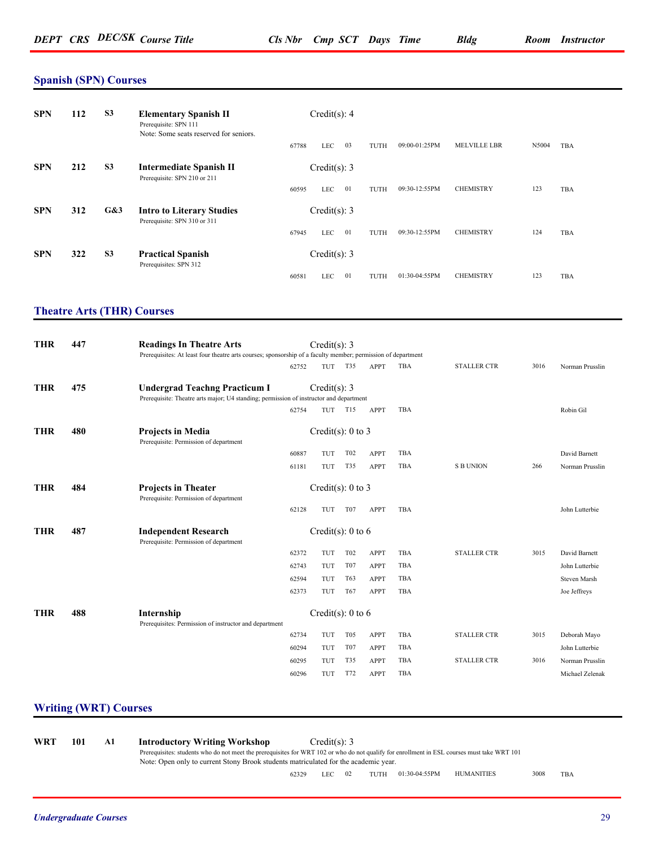#### **Spanish (SPN) Courses**

| <b>SPN</b> | 112 | S <sub>3</sub> | <b>Elementary Spanish II</b><br>Prerequisite: SPN 111<br>Note: Some seats reserved for seniors. |       | Credit(s): 4   |    |      |               |                     |       |     |
|------------|-----|----------------|-------------------------------------------------------------------------------------------------|-------|----------------|----|------|---------------|---------------------|-------|-----|
|            |     |                |                                                                                                 | 67788 | <b>LEC</b>     | 03 | TUTH | 09:00-01:25PM | <b>MELVILLE LBR</b> | N5004 | TBA |
| <b>SPN</b> | 212 | S <sub>3</sub> | <b>Intermediate Spanish II</b><br>Prerequisite: SPN 210 or 211                                  |       | Credit(s): $3$ |    |      |               |                     |       |     |
|            |     |                |                                                                                                 | 60595 | <b>LEC</b>     | 01 | TUTH | 09:30-12:55PM | <b>CHEMISTRY</b>    | 123   | TBA |
| <b>SPN</b> | 312 | G&3            | <b>Intro to Literary Studies</b><br>Prerequisite: SPN 310 or 311                                |       | Credit(s): 3   |    |      |               |                     |       |     |
|            |     |                |                                                                                                 | 67945 | <b>LEC</b>     | 01 | TUTH | 09:30-12:55PM | <b>CHEMISTRY</b>    | 124   | TBA |
| <b>SPN</b> | 322 | S <sub>3</sub> | <b>Practical Spanish</b><br>Prerequisites: SPN 312                                              |       | Credit(s): $3$ |    |      |               |                     |       |     |
|            |     |                |                                                                                                 | 60581 | LEC            | 01 | TUTH | 01:30-04:55PM | <b>CHEMISTRY</b>    | 123   | TBA |

#### **Theatre Arts (THR) Courses**

| <b>THR</b> | 447 | <b>Readings In Theatre Arts</b><br>Prerequisites: At least four theatre arts courses; sponsorship of a faculty member; permission of department |       | Credit(s): 3          |                 |             |     |                    |      |                 |
|------------|-----|-------------------------------------------------------------------------------------------------------------------------------------------------|-------|-----------------------|-----------------|-------------|-----|--------------------|------|-----------------|
|            |     |                                                                                                                                                 | 62752 | TUT                   | <b>T35</b>      | <b>APPT</b> | TBA | <b>STALLER CTR</b> | 3016 | Norman Prusslin |
| <b>THR</b> | 475 | <b>Undergrad Teachng Practicum I</b><br>Prerequisite: Theatre arts major; U4 standing; permission of instructor and department                  |       | Credit(s): 3          |                 |             |     |                    |      |                 |
|            |     |                                                                                                                                                 | 62754 | TUT                   | T15             | APPT        | TBA |                    |      | Robin Gil       |
| <b>THR</b> | 480 | <b>Projects in Media</b><br>Prerequisite: Permission of department                                                                              |       | Credit(s): $0$ to $3$ |                 |             |     |                    |      |                 |
|            |     |                                                                                                                                                 | 60887 | TUT                   | <b>T02</b>      | APPT        | TBA |                    |      | David Barnett   |
|            |     |                                                                                                                                                 | 61181 | TUT                   | T35             | <b>APPT</b> | TBA | <b>S B UNION</b>   | 266  | Norman Prusslin |
| <b>THR</b> | 484 | <b>Projects in Theater</b><br>Prerequisite: Permission of department                                                                            |       | Credit(s): $0$ to $3$ |                 |             |     |                    |      |                 |
|            |     |                                                                                                                                                 | 62128 | TUT                   | T <sub>07</sub> | APPT        | TBA |                    |      | John Lutterbie  |
| <b>THR</b> | 487 | <b>Independent Research</b><br>Prerequisite: Permission of department                                                                           |       | Credit(s): $0$ to $6$ |                 |             |     |                    |      |                 |
|            |     |                                                                                                                                                 | 62372 | TUT                   | T <sub>02</sub> | <b>APPT</b> | TBA | <b>STALLER CTR</b> | 3015 | David Barnett   |
|            |     |                                                                                                                                                 | 62743 | TUT                   | T07             | <b>APPT</b> | TBA |                    |      | John Lutterbie  |
|            |     |                                                                                                                                                 | 62594 | TUT                   | T63             | <b>APPT</b> | TBA |                    |      | Steven Marsh    |
|            |     |                                                                                                                                                 | 62373 | TUT                   | T <sub>67</sub> | APPT        | TBA |                    |      | Joe Jeffreys    |
| <b>THR</b> | 488 | Internship<br>Prerequisites: Permission of instructor and department                                                                            |       | Credit(s): $0$ to $6$ |                 |             |     |                    |      |                 |
|            |     |                                                                                                                                                 | 62734 | TUT                   | T <sub>05</sub> | APPT        | TBA | <b>STALLER CTR</b> | 3015 | Deborah Mayo    |
|            |     |                                                                                                                                                 | 60294 | TUT                   | T <sub>07</sub> | <b>APPT</b> | TBA |                    |      | John Lutterbie  |
|            |     |                                                                                                                                                 | 60295 | TUT                   | T35             | <b>APPT</b> | TBA | <b>STALLER CTR</b> | 3016 | Norman Prusslin |
|            |     |                                                                                                                                                 | 60296 | TUT                   | T72             | <b>APPT</b> | TBA |                    |      | Michael Zelenak |

#### **Writing (WRT) Courses**

**WRT 101 A1 Introductory Writing Workshop** Credit(s): 3 Prerequisites: students who do not meet the prerequisites for WRT 102 or who do not qualify for enrollment in ESL courses must take WRT 101 Note: Open only to current Stony Brook students matriculated for the academic year. 62329 LEC 02 TUTH 01:30-04:55PM HUMANITIES 3008 TBA